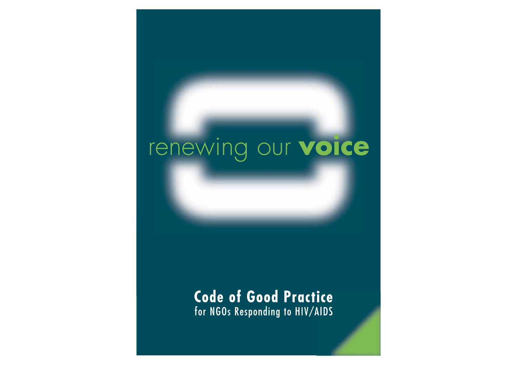# renewing our voice

### **Code of Good Practice** for NGOs Responding to HIV/AIDS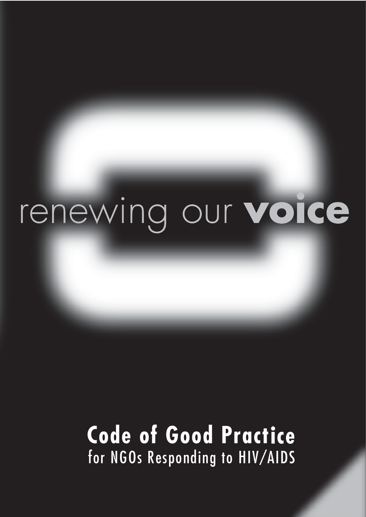# renewing our voice

### **Code of Good Practice** for NGOs Responding to HIV/AIDS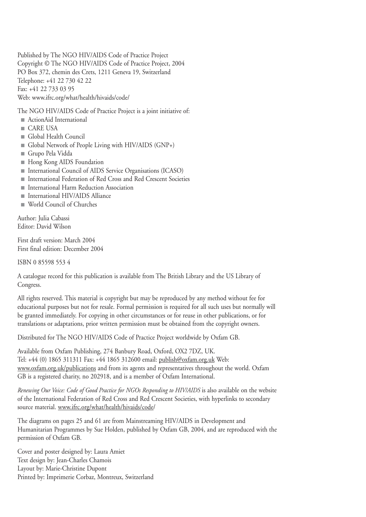Published by The NGO HIV/AIDS Code of Practice Project Copyright © The NGO HIV/AIDS Code of Practice Project, 2004 PO Box 372, chemin des Crets, 1211 Geneva 19, Switzerland Telephone: +41 22 730 42 22 Fax: +41 22 733 03 95 Web: www.ifrc.org/what/health/hivaids/code/

The NGO HIV/AIDS Code of Practice Project is a joint initiative of:

- ActionAid International
- CARE USA
- Global Health Council
- Global Network of People Living with HIV/AIDS (GNP+)
- Grupo Pela Vidda
- Hong Kong AIDS Foundation
- International Council of AIDS Service Organisations (ICASO)
- International Federation of Red Cross and Red Crescent Societies
- International Harm Reduction Association
- International HIV/AIDS Alliance
- World Council of Churches

Author: Julia Cabassi Editor: David Wilson

First draft version: March 2004 First final edition: December 2004

ISBN 0 85598 553 4

A catalogue record for this publication is available from The British Library and the US Library of Congress.

All rights reserved. This material is copyright but may be reproduced by any method without fee for educational purposes but not for resale. Formal permission is required for all such uses but normally will be granted immediately. For copying in other circumstances or for reuse in other publications, or for translations or adaptations, prior written permission must be obtained from the copyright owners.

Distributed for The NGO HIV/AIDS Code of Practice Project worldwide by Oxfam GB.

Available from Oxfam Publishing, 274 Banbury Road, Oxford, OX2 7DZ, UK. Tel: +44 (0) 1865 311311 Fax: +44 1865 312600 email: <publish@oxfam.org.uk> Web: <www.oxfam.org.uk/publications> and from its agents and representatives throughout the world. Oxfam GB is a registered charity, no 202918, and is a member of Oxfam International.

*Renewing Our Voice: Code of Good Practice for NGOs Responding to HIV/AIDS* is also available on the website of the International Federation of Red Cross and Red Crescent Societies, with hyperlinks to secondary source material.<www.ifrc.org/what/health/hivaids/code/>

The diagrams on pages 25 and 61 are from Mainstreaming HIV/AIDS in Development and Humanitarian Programmes by Sue Holden, published by Oxfam GB, 2004, and are reproduced with the permission of Oxfam GB.

Cover and poster designed by: Laura Amiet Text design by: Jean-Charles Chamois Layout by: Marie-Christine Dupont Printed by: Imprimerie Corbaz, Montreux, Switzerland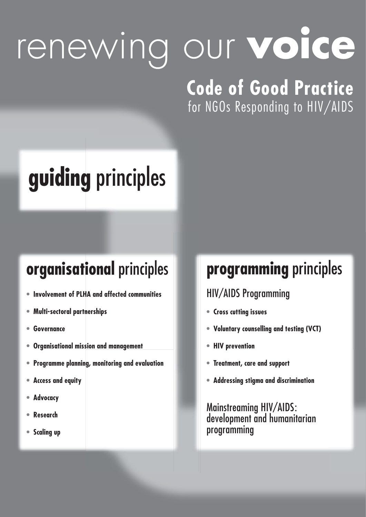# renewing our voice

**Code of Good Practice** for NGOs Responding to HIV/AIDS

### **guiding** principles

### **organisational** principles **programming** principles

- **Involvement of PLHA and affected communities**
- **Multi-sectoral partnerships**
- **Governance**
- **Organisational mission and management**
- **Programme planning, monitoring and evaluation**
- **Access and equity**
- **Advocacy**
- **Research**
- **Scaling up**

### HIV/AIDS Programming

- **Cross cutting issues**
- **Voluntary counselling and testing (VCT)**
- **HIV prevention**
- **Treatment, care and support**
- **Addressing stigma and discrimination**

Mainstreaming HIV/AIDS: development and humanitarian programming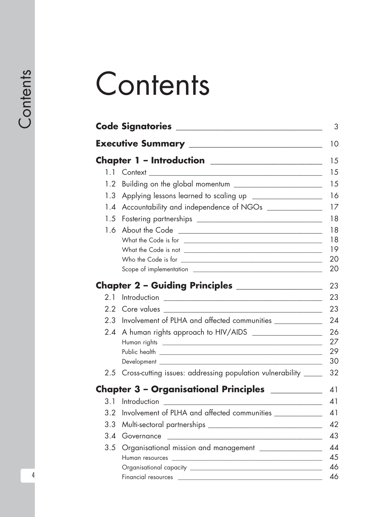## Contents

| 1.4 Accountability and independence of NGOs __________________ 17     |
|-----------------------------------------------------------------------|
|                                                                       |
|                                                                       |
|                                                                       |
|                                                                       |
|                                                                       |
|                                                                       |
| Chapter 2 - Guiding Principles _______________________ 23             |
|                                                                       |
|                                                                       |
| 2.3 Involvement of PLHA and affected communities _________________ 24 |
|                                                                       |
|                                                                       |
|                                                                       |
|                                                                       |
| 2.5 Cross-cutting issues: addressing population vulnerability ______  |
| Chapter 3 - Organisational Principles _________                       |
|                                                                       |
| 3.2 Involvement of PLHA and affected communities ____________         |
|                                                                       |
|                                                                       |
| 3.5 Organisational mission and management _________________           |
|                                                                       |
|                                                                       |
|                                                                       |
|                                                                       |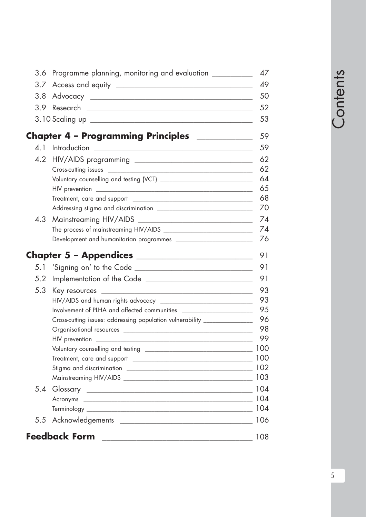|   | $\frac{1}{3}$<br>Dhi |  |
|---|----------------------|--|
| ( |                      |  |
|   |                      |  |
|   |                      |  |
|   |                      |  |
|   |                      |  |
|   |                      |  |
|   |                      |  |
|   |                      |  |
|   |                      |  |
|   |                      |  |

|     | 3.6 Programme planning, monitoring and evaluation ___________                    | 47  |
|-----|----------------------------------------------------------------------------------|-----|
|     |                                                                                  | 49  |
| 3.8 |                                                                                  | 50  |
| 3.9 |                                                                                  | 52  |
|     |                                                                                  | 53  |
|     | Chapter 4 – Programming Principles ___________                                   | 59  |
| 4.1 | Introduction                                                                     | 59  |
|     |                                                                                  | 62  |
|     |                                                                                  | 62  |
|     | Voluntary counselling and testing (VCT) ___________________________________      | 64  |
|     |                                                                                  | 65  |
|     |                                                                                  | 68  |
|     |                                                                                  |     |
| 4.3 |                                                                                  | 74  |
|     |                                                                                  | 74  |
|     |                                                                                  | 76  |
|     | Chapter 5 - Appendices _______________________                                   | 91  |
| 5.1 |                                                                                  | 91  |
| 5.2 |                                                                                  | 91  |
| 5.3 |                                                                                  | 93  |
|     |                                                                                  |     |
|     | Involvement of PLHA and affected communities ___________________________________ | 95  |
|     | Cross-cutting issues: addressing population vulnerability ________________       | 96  |
|     |                                                                                  | 98  |
|     |                                                                                  | 99  |
|     |                                                                                  |     |
|     |                                                                                  |     |
|     |                                                                                  |     |
|     |                                                                                  |     |
| 5.4 |                                                                                  |     |
|     |                                                                                  |     |
|     |                                                                                  | 104 |
|     |                                                                                  | 106 |
|     |                                                                                  | 108 |
|     |                                                                                  |     |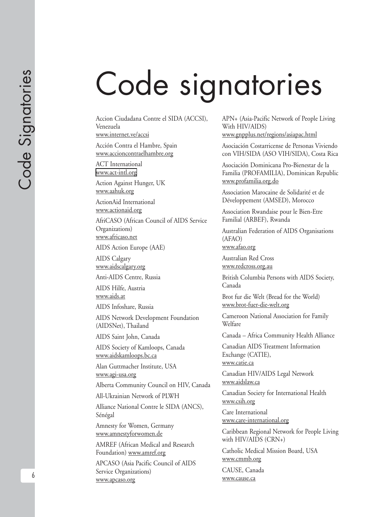# Code signatories

Accion Ciudadana Contre el SIDA (ACCSI), Venezuela <www.internet.ve/accsi>

Acción Contra el Hambre, Spain <www.accioncontraelhambre.org>

ACT International <www.act-intl.org>

Action Against Hunger, UK <www.aahuk.org>

ActionAid International <www.actionaid.org>

AfriCASO (African Council of AIDS Service Organizations) <www.africaso.net>

AIDS Action Europe (AAE)

AIDS Calgary <www.aidscalgary.org>

Anti-AIDS Centre, Russia

AIDS Hilfe, Austria <www.aids.at>

AIDS Infoshare, Russia

AIDS Network Development Foundation (AIDSNet), Thailand

AIDS Saint John, Canada

AIDS Society of Kamloops, Canada <www.aidskamloops.bc.ca>

Alan Guttmacher Institute, USA <www.agi-usa.org>

Alberta Community Council on HIV, Canada

All-Ukrainian Network of PLWH

Alliance National Contre le SIDA (ANCS), Sénégal

Amnesty for Women, Germany <www.amnestyforwomen.de>

AMREF (African Medical and Research Foundation) <www.amref.org>

APCASO (Asia Pacific Council of AIDS Service Organizations) <www.apcaso.org>

APN+ (Asia-Pacific Network of People Living With HIV/AIDS) <www.gnpplus.net/regions/asiapac.html>

Asociación Costarricense de Personas Viviendo con VIH/SIDA (ASO VIH/SIDA), Costa Rica

Asociación Dominicana Pro-Bienestar de la Familia (PROFAMILIA), Dominican Republic <www.profamilia.org.do>

Association Marocaine de Solidarité et de Développement (AMSED), Morocco

Association Rwandaise pour le Bien-Etre Familial (ARBEF), Rwanda

Australian Federation of AIDS Organisations (AFAO) <www.afao.org>

Australian Red Cross

<www.redcross.org.au>

British Columbia Persons with AIDS Society, Canada

Brot fur die Welt (Bread for the World) <www.brot-fuer-die-welt.org>

Cameroon National Association for Family Welfare

Canada – Africa Community Health Alliance

Canadian AIDS Treatment Information Exchange (CATIE), <www.catie.ca>

Canadian HIV/AIDS Legal Network <www.aidslaw.ca>

Canadian Society for International Health <www.csih.org>

Care International <www.care-international.org>

Caribbean Regional Network for People Living with HIV/AIDS (CRN+)

Catholic Medical Mission Board, USA <www.cmmb.org> CAUSE, Canada

<www.cause.ca>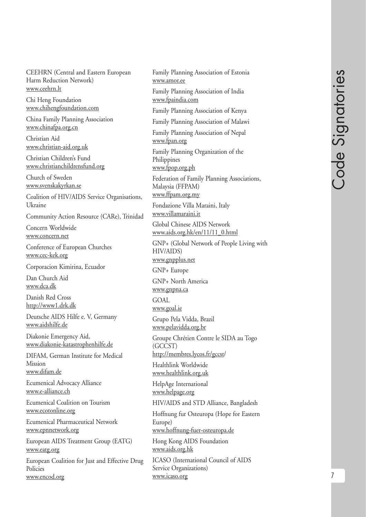CEEHRN (Central and Eastern European Harm Reduction Network) <www.ceehrn.lt>

Chi Heng Foundation <www.chihengfoundation.com>

China Family Planning Association <www.chinafpa.org.cn>

Christian Aid <www.christian-aid.org.uk>

Christian Children's Fund <www.christianchildrensfund.org>

Church of Sweden <www.svenskakyrkan.se>

Coalition of HIV/AIDS Service Organisations, Ukraine

Community Action Resource (CARe), Trinidad

Concern Worldwide <www.concern.net>

Conference of European Churches <www.cec-kek.org>

Corporacion Kimirina, Ecuador

Dan Church Aid <www.dca.dk>

Danish Red Cross <http://www1.drk.dk>

Deutsche AIDS Hilfe e. V, Germany <www.aidshilfe.de>

Diakonie Emergency Aid, <www.diakonie-katastrophenhilfe.de>

DIFAM, German Institute for Medical Mission <www.difam.de>

Ecumenical Advocacy Alliance <www.e-alliance.ch>

Ecumenical Coalition on Tourism <www.ecotonline.org>

Ecumenical Pharmaceutical Network <www.epnnetwork.org>

European AIDS Treatment Group (EATG) <www.eatg.org>

European Coalition for Just and Effective Drug Policies <www.encod.org>

Family Planning Association of Estonia <www.amor.ee> Family Planning Association of India <www.fpaindia.com> Family Planning Association of Kenya Family Planning Association of Malawi Family Planning Association of Nepal <www.fpan.org> Family Planning Organization of the Philippines <www.fpop.org.ph> Federation of Family Planning Associations, Malaysia (FFPAM) <www.ffpam.org.my> Fondazione Villa Maraini, Italy <www.villamaraini.it> Global Chinese AIDS Network [www.aids.org.hk/en/11/11\\_0.html](www.aids.org.hk/en/11/11_0.html) GNP+ (Global Network of People Living with HIV/AIDS) <www.gnpplus.net> GNP+ Europe GNP+ North America <www.gnpna.ca> GOAL <www.goal.ie> Grupo Pela Vidda, Brazil <www.pelavidda.org.br> Groupe Chrétien Contre le SIDA au Togo (GCCST) [http://membres.lycos.fr/gccst](http://membres.lycos.fr/gccst/) /

Healthlink Worldwide <www.healthlink.org.uk>

HelpAge International <www.helpage.org>

HIV/AIDS and STD Alliance, Bangladesh

Hoffnung fur Osteuropa (Hope for Eastern Europe) <www.hoffnung-fuer-osteuropa.de>

Hong Kong AIDS Foundation <www.aids.org.hk>

ICASO (International Council of AIDS Service Organizations) <www.icaso.org>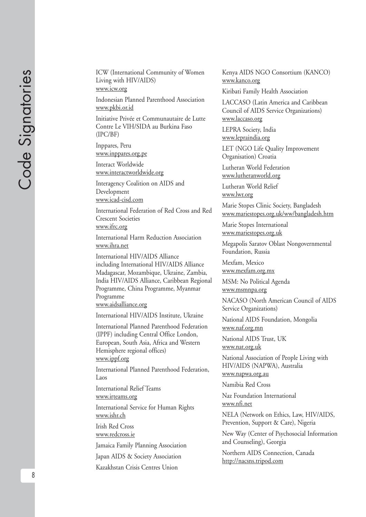ICW (International Community of Women Living with HIV/AIDS) <www.icw.org>

Indonesian Planned Parenthood Association <www.pkbi.or.id>

Initiative Privée et Communautaire de Lutte Contre Le VIH/SIDA au Burkina Faso (IPC/BF)

Inppares, Peru <www.inppares.org.pe>

Interact Worldwide <www.interactworldwide.org>

Interagency Coalition on AIDS and Development <www.icad-cisd.com>

International Federation of Red Cross and Red Crescent Societies <www.ifrc.org>

International Harm Reduction Association <www.ihra.net>

International HIV/AIDS Alliance including International HIV/AIDS Alliance Madagascar, Mozambique, Ukraine, Zambia, India HIV/AIDS Alliance, Caribbean Regional Programme, China Programme, Myanmar Programme <www.aidsalliance.org>

International HIV/AIDS Institute, Ukraine

International Planned Parenthood Federation (IPPF) including Central Office London, European, South Asia, Africa and Western Hemisphere regional offices) <www.ippf.org>

International Planned Parenthood Federation, Laos

International Relief Teams <www.irteams.org>

International Service for Human Rights <www.ishr.ch>

Irish Red Cross <www.redcross.ie>

Jamaica Family Planning Association

Japan AIDS & Society Association

Kazakhstan Crisis Centres Union

Kenya AIDS NGO Consortium (KANCO) <www.kanco.org>

Kiribati Family Health Association

LACCASO (Latin America and Caribbean Council of AIDS Service Organizations) <www.laccaso.org>

LEPRA Society, India <www.lepraindia.org>

LET (NGO Life Quality Improvement

Organisation) Croatia

Lutheran World Federation <www.lutheranworld.org>

Lutheran World Relief <www.lwr.org>

Marie Stopes Clinic Society, Bangladesh <www.mariestopes.org.uk/ww/bangladesh.htm>

Marie Stopes International <www.mariestopes.org.uk>

Megapolis Saratov Oblast Nongovernmental Foundation, Russia

Mexfam, Mexico <www.mexfam.org.mx>

MSM: No Political Agenda <www.msmnpa.org>

NACASO (North American Council of AIDS Service Organizations)

National AIDS Foundation, Mongolia <www.naf.org.mn>

National AIDS Trust, UK <www.nat.org.uk>

National Association of People Living with HIV/AIDS (NAPWA), Australia <www.napwa.org.au>

Namibia Red Cross

Naz Foundation International <www.nfi.net>

NELA (Network on Ethics, Law, HIV/AIDS, Prevention, Support & Care), Nigeria

New Way (Center of Psychosocial Information and Counseling), Georgia

Northern AIDS Connection, Canada <http://nacsns.tripod.com>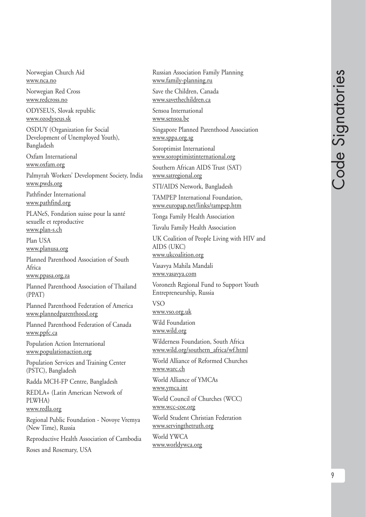<www.nca.no> Norwegian Red Cross <www.redcross.no> ODYSEUS, Slovak republic <www.ozodyseus.sk> OSDUY (Organization for Social Development of Unemployed Youth), Bangladesh Oxfam International <www.oxfam.org> Palmyrah Workers' Development Society, India www.p [wds.org](www.pwds.org) Pathfinder International <www.pathfind.org> PLANeS, Fondation suisse pour la santé sexuelle et reproductive <www.plan-s.ch> Plan USA <www.planusa.org> Planned Parenthood Association of South Africa <www.ppasa.org.za> Planned Parenthood Association of Thailand (PPAT) Planned Parenthood Federation of America <www.plannedparenthood.org> Planned Parenthood Federation of Canada <www.ppfc.ca> Population Action International <www.populationaction.org> Population Services and Training Center (PSTC), Bangladesh Radda MCH-FP Centre, Bangladesh REDLA+ (Latin American Network of PLWHA) <www.redla.org> Regional Public Foundation - Novoye Vremya (New Time), Russia Reproductive Health Association of Cambodia Roses and Rosemary, USA

Norwegian Church Aid

Russian Association Family Planning [www.family-planning.r](www.family-planning.ru) u Save the Children, Canada <www.savethechildren.ca> Sensoa International <www.sensoa.be> Singapore Planned Parenthood Association <www.sppa.org.sg> Soroptimist International <www.soroptimistinternational.org> Southern African AIDS Trust (SAT) [www.satregional.org](www.europap.net/links/tampep.htm) STI/AIDS Network, Bangladesh TAMPEP International Foundation, <www.europap.net/links/tampep.htm> Tonga Family Health Association Tuvalu Family Health Association UK Coalition of People Living with HIV and AIDS (UKC) <www.ukcoalition.org> Vasavya Mahila Mandali <www.vasavya.com> Voronezh Regional Fund to Support Youth Entrepreneurship, Russia VSO <www.vso.org.uk> Wild Foundation <www.wild.org> Wilderness Foundation, South Africa [www.wild.org/southern\\_africa/wf.html](www.wild.org/southern_africa/wf.html) World Alliance of Reformed Churches <www.warc.ch> World Alliance of YMCAs <www.ymca.int> World Council of Churches (WCC) <www.wcc-coe.org> World Student Christian Federation <www.servingthetruth.org> World YWCA <www.worldywca.org>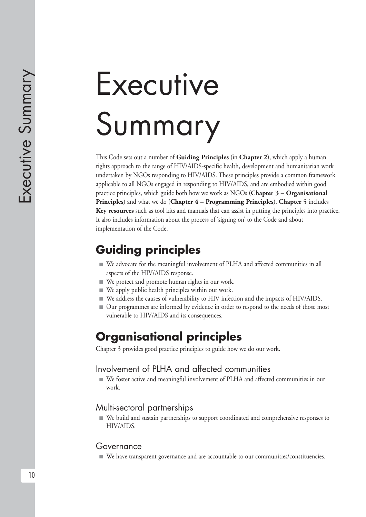# **Executive** Summary

This Code sets out a number of **Guiding Principles** (in **Chapter 2**), which apply a human rights approach to the range of HIV/AIDS-specific health, development and humanitarian work undertaken by NGOs responding to HIV/AIDS. These principles provide a common framework applicable to all NGOs engaged in responding to HIV/AIDS, and are embodied within good practice principles, which guide both how we work as NGOs (**Chapter 3 – Organisational Principles**) and what we do (**Chapter 4 – Programming Principles**). **Chapter 5** includes **Key resources** such as tool kits and manuals that can assist in putting the principles into practice. It also includes information about the process of 'signing on' to the Code and about implementation of the Code.

### **Guiding principles**

- We advocate for the meaningful involvement of PLHA and affected communities in all aspects of the HIV/AIDS response.
- We protect and promote human rights in our work.
- We apply public health principles within our work.
- We address the causes of vulnerability to HIV infection and the impacts of HIV/AIDS.
- Our programmes are informed by evidence in order to respond to the needs of those most vulnerable to HIV/AIDS and its consequences.

### **Organisational principles**

Chapter 3 provides good practice principles to guide how we do our work.

### Involvement of PLHA and affected communities

■ We foster active and meaningful involvement of PLHA and affected communities in our work.

#### Multi-sectoral partnerships

■ We build and sustain partnerships to support coordinated and comprehensive responses to HIV/AIDS.

#### **Governance**

■ We have transparent governance and are accountable to our communities/constituencies.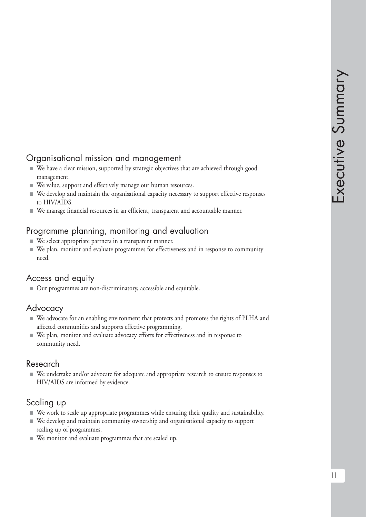### Organisational mission and management

- We have a clear mission, supported by strategic objectives that are achieved through good management.
- We value, support and effectively manage our human resources.
- We develop and maintain the organisational capacity necessary to support effective responses to HIV/AIDS.
- We manage financial resources in an efficient, transparent and accountable manner.

### Programme planning, monitoring and evaluation

- We select appropriate partners in a transparent manner.
- We plan, monitor and evaluate programmes for effectiveness and in response to community need.

### Access and equity

■ Our programmes are non-discriminatory, accessible and equitable.

### Advocacy

- We advocate for an enabling environment that protects and promotes the rights of PLHA and affected communities and supports effective programming.
- We plan, monitor and evaluate advocacy efforts for effectiveness and in response to community need.

### Research

■ We undertake and/or advocate for adequate and appropriate research to ensure responses to HIV/AIDS are informed by evidence.

### Scaling up

- We work to scale up appropriate programmes while ensuring their quality and sustainability.
- We develop and maintain community ownership and organisational capacity to support scaling up of programmes.
- We monitor and evaluate programmes that are scaled up.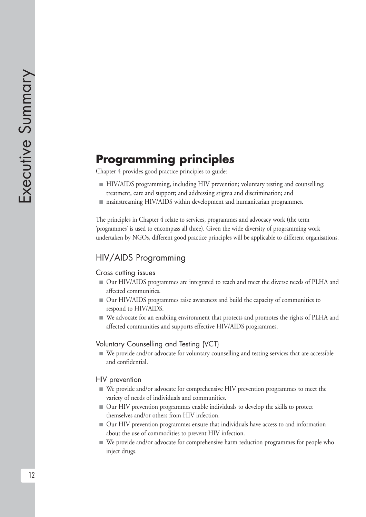### **Programming principles**

Chapter 4 provides good practice principles to guide:

- HIV/AIDS programming, including HIV prevention; voluntary testing and counselling; treatment, care and support; and addressing stigma and discrimination; and
- mainstreaming HIV/AIDS within development and humanitarian programmes.

The principles in Chapter 4 relate to services, programmes and advocacy work (the term 'programmes' is used to encompass all three). Given the wide diversity of programming work undertaken by NGOs, different good practice principles will be applicable to different organisations.

### HIV/AIDS Programming

#### Cross cutting issues

- Our HIV/AIDS programmes are integrated to reach and meet the diverse needs of PLHA and affected communities.
- Our HIV/AIDS programmes raise awareness and build the capacity of communities to respond to HIV/AIDS.
- We advocate for an enabling environment that protects and promotes the rights of PLHA and affected communities and supports effective HIV/AIDS programmes.

#### Voluntary Counselling and Testing (VCT)

■ We provide and/or advocate for voluntary counselling and testing services that are accessible and confidential.

#### HIV prevention

- We provide and/or advocate for comprehensive HIV prevention programmes to meet the variety of needs of individuals and communities.
- Our HIV prevention programmes enable individuals to develop the skills to protect themselves and/or others from HIV infection.
- Our HIV prevention programmes ensure that individuals have access to and information about the use of commodities to prevent HIV infection.
- We provide and/or advocate for comprehensive harm reduction programmes for people who inject drugs.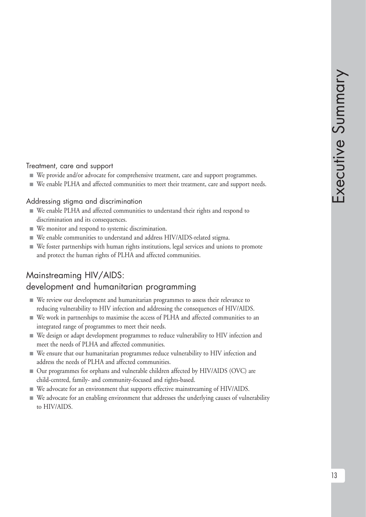#### Treatment, care and support

- We provide and/or advocate for comprehensive treatment, care and support programmes.
- We enable PLHA and affected communities to meet their treatment, care and support needs.

#### Addressing stigma and discrimination

- We enable PLHA and affected communities to understand their rights and respond to discrimination and its consequences.
- We monitor and respond to systemic discrimination.
- We enable communities to understand and address HIV/AIDS-related stigma.
- We foster partnerships with human rights institutions, legal services and unions to promote and protect the human rights of PLHA and affected communities.

### Mainstreaming HIV/AIDS: development and humanitarian programming

- We review our development and humanitarian programmes to assess their relevance to reducing vulnerability to HIV infection and addressing the consequences of HIV/AIDS.
- We work in partnerships to maximise the access of PLHA and affected communities to an integrated range of programmes to meet their needs.
- We design or adapt development programmes to reduce vulnerability to HIV infection and meet the needs of PLHA and affected communities.
- We ensure that our humanitarian programmes reduce vulnerability to HIV infection and address the needs of PLHA and affected communities.
- Our programmes for orphans and vulnerable children affected by HIV/AIDS (OVC) are child-centred, family- and community-focused and rights-based.
- We advocate for an environment that supports effective mainstreaming of HIV/AIDS.
- We advocate for an enabling environment that addresses the underlying causes of vulnerability to HIV/AIDS.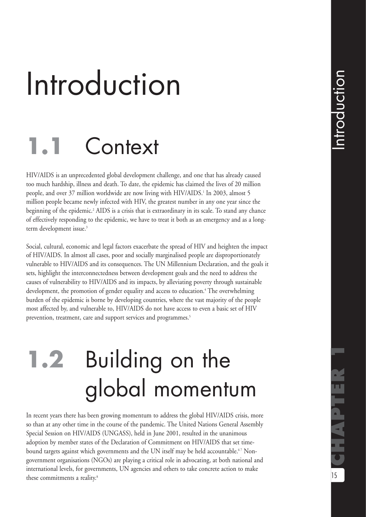## Introduction

### **1.1** Context

HIV/AIDS is an unprecedented global development challenge, and one that has already caused too much hardship, illness and death. To date, the epidemic has claimed the lives of 20 million people, and over 37 million worldwide are now living with HIV/AIDS.<sup>1</sup> In 2003, almost 5 million people became newly infected with HIV, the greatest number in any one year since the beginning of the epidemic.<sup>2</sup> AIDS is a crisis that is extraordinary in its scale. To stand any chance of effectively responding to the epidemic, we have to treat it both as an emergency and as a longterm development issue.<sup>3</sup>

Social, cultural, economic and legal factors exacerbate the spread of HIV and heighten the impact of HIV/AIDS. In almost all cases, poor and socially marginalised people are disproportionately vulnerable to HIV/AIDS and its consequences. The UN Millennium Declaration, and the goals it sets, highlight the interconnectedness between development goals and the need to address the causes of vulnerability to HIV/AIDS and its impacts, by alleviating poverty through sustainable development, the promotion of gender equality and access to education.<sup>4</sup> The overwhelming burden of the epidemic is borne by developing countries, where the vast majority of the people most affected by, and vulnerable to, HIV/AIDS do not have access to even a basic set of HIV prevention, treatment, care and support services and programmes.<sup>5</sup>

### **1.2** Building on the global momentum

In recent years there has been growing momentum to address the global HIV/AIDS crisis, more so than at any other time in the course of the pandemic. The United Nations General Assembly Special Session on HIV/AIDS (UNGASS), held in June 2001, resulted in the unanimous adoption by member states of the Declaration of Commitment on HIV/AIDS that set timebound targets against which governments and the UN itself may be held accountable.<sup>67</sup> Nongovernment organisations (NGOs) are playing a critical role in advocating, at both national and international levels, for governments, UN agencies and others to take concrete action to make **BUIICING ON THE**<br> **SUIICING ON THE**<br>
In recent years there has been growing momentum to address the global HIV/AIDS crisis, more<br>
so than at any other time in the course of the pandemic. The United Nations General Assembl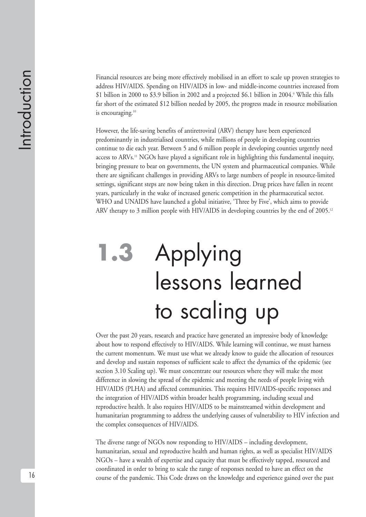Financial resources are being more effectively mobilised in an effort to scale up proven strategies to address HIV/AIDS. Spending on HIV/AIDS in low- and middle-income countries increased from  $$1$  billion in 2000 to  $$3.9$  billion in 2002 and a projected  $$6.1$  billion in 2004.<sup>9</sup> While this falls far short of the estimated \$12 billion needed by 2005, the progress made in resource mobilisation is encouraging.<sup>10</sup>

However, the life-saving benefits of antiretroviral (ARV) therapy have been experienced predominantly in industrialised countries, while millions of people in developing countries continue to die each year. Between 5 and 6 million people in developing counties urgently need access to ARVs.<sup>11</sup> NGOs have played a significant role in highlighting this fundamental inequity, bringing pressure to bear on governments, the UN system and pharmaceutical companies. While there are significant challenges in providing ARVs to large numbers of people in resource-limited settings, significant steps are now being taken in this direction. Drug prices have fallen in recent years, particularly in the wake of increased generic competition in the pharmaceutical sector. WHO and UNAIDS have launched a global initiative, 'Three by Five', which aims to provide ARV therapy to 3 million people with HIV/AIDS in developing countries by the end of 2005.<sup>12</sup>

### **1.3** Applying lessons learned to scaling up

Over the past 20 years, research and practice have generated an impressive body of knowledge about how to respond effectively to HIV/AIDS. While learning will continue, we must harness the current momentum. We must use what we already know to guide the allocation of resources and develop and sustain responses of sufficient scale to affect the dynamics of the epidemic (see section 3.10 Scaling up). We must concentrate our resources where they will make the most difference in slowing the spread of the epidemic and meeting the needs of people living with HIV/AIDS (PLHA) and affected communities. This requires HIV/AIDS-specific responses and the integration of HIV/AIDS within broader health programming, including sexual and reproductive health. It also requires HIV/AIDS to be mainstreamed within development and humanitarian programming to address the underlying causes of vulnerability to HIV infection and the complex consequences of HIV/AIDS. Course the bits controlled and controlled and the bits colet of the past 200 and 200 and 200 and 200 and 200 and 200 and 200 and 200 and 200 and 200 and 200 and 200 and 200 and 200 and 200 and 200 and 200 and 200 and 200

The diverse range of NGOs now responding to HIV/AIDS – including development, humanitarian, sexual and reproductive health and human rights, as well as specialist HIV/AIDS NGOs – have a wealth of expertise and capacity that must be effectively tapped, resourced and coordinated in order to bring to scale the range of responses needed to have an effect on the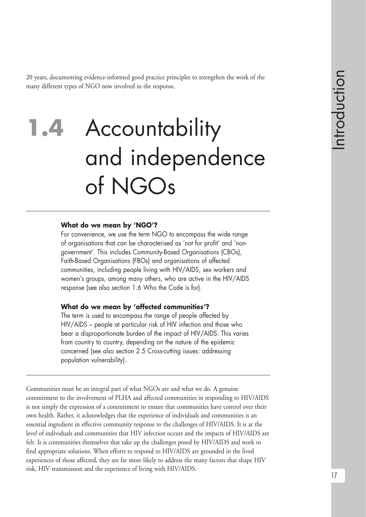20 years, documenting evidence-informed good practice principles to strengthen the work of the many different types of NGO now involved in the response.

### **1.4** Accountability and independence of NGOs

#### **What do we mean by 'NGO'?**

For convenience, we use the term NGO to encompass the wide range of organisations that can be characterised as 'not for profit' and 'nongovernment'. This includes Community-Based Organisations (CBOs), Faith-Based Organisations (FBOs) and organisations of affected communities, including people living with HIV/AIDS, sex workers and women's groups, among many others, who are active in the HIV/AIDS response (see also section 1.6 Who the Code is for).

#### **What do we mean by 'affected communities'?**

The term is used to encompass the range of people affected by HIV/AIDS – people at particular risk of HIV infection and those who bear a disproportionate burden of the impact of HIV/AIDS. This varies from country to country, depending on the nature of the epidemic concerned (see also section 2.5 Cross-cutting issues: addressing population vulnerability).

Communities must be an integral part of what NGOs are and what we do. A genuine commitment to the involvement of PLHA and affected communities in responding to HIV/AIDS is not simply the expression of a commitment to ensure that communities have control over their own health. Rather, it acknowledges that the experience of individuals and communities is an essential ingredient in effective community response to the challenges of HIV/AIDS. It is at the level of individuals and communities that HIV infection occurs and the impacts of HIV/AIDS are felt. It is communities themselves that take up the challenges posed by HIV/AIDS and work to find appropriate solutions. When efforts to respond to HIV/AIDS are grounded in the lived experiences of those affected, they are far more likely to address the many factors that shape HIV 20 years, documenting evidence infinitely and punctic protection are experience of the experiment of the experiment of the experiment of the experiment of the experiment of the experiment of the experiment HIV at the expe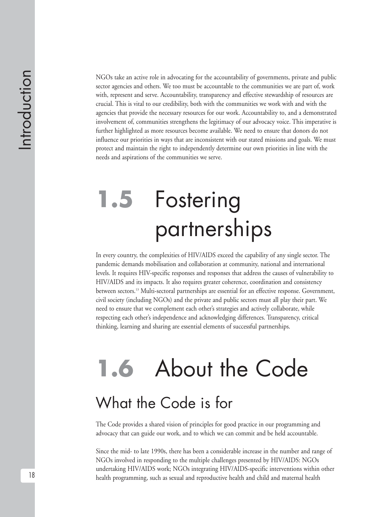NGOs take an active role in advocating for the accountability of governments, private and public sector agencies and others. We too must be accountable to the communities we are part of, work with, represent and serve. Accountability, transparency and effective stewardship of resources are crucial. This is vital to our credibility, both with the communities we work with and with the agencies that provide the necessary resources for our work. Accountability to, and a demonstrated involvement of, communities strengthens the legitimacy of our advocacy voice. This imperative is further highlighted as more resources become available. We need to ensure that donors do not influence our priorities in ways that are inconsistent with our stated missions and goals. We must protect and maintain the right to independently determine our own priorities in line with the needs and aspirations of the communities we serve. **FORD COLUST AND COLUST AND COLUST AND COLUST AND COLUST ANOTHING A SEXUAL SURFAME ARE SEXUAL AND THE COLUST AND COLUST AND COLUST AND COLUST AND COLUST AND COLUST AND COLUST AND COLUST AND COLUST AND COLUST AND COLUST AN** 

### **1.5** Fostering partnerships

In every country, the complexities of HIV/AIDS exceed the capability of any single sector. The pandemic demands mobilisation and collaboration at community, national and international levels. It requires HIV-specific responses and responses that address the causes of vulnerability to HIV/AIDS and its impacts. It also requires greater coherence, coordination and consistency between sectors.13 Multi-sectoral partnerships are essential for an effective response. Government, civil society (including NGOs) and the private and public sectors must all play their part. We need to ensure that we complement each other's strategies and actively collaborate, while respecting each other's independence and acknowledging differences. Transparency, critical thinking, learning and sharing are essential elements of successful partnerships.

### **1.6** About the Code

### What the Code is for

The Code provides a shared vision of principles for good practice in our programming and advocacy that can guide our work, and to which we can commit and be held accountable.

Since the mid- to late 1990s, there has been a considerable increase in the number and range of NGOs involved in responding to the multiple challenges presented by HIV/AIDS: NGOs undertaking HIV/AIDS work; NGOs integrating HIV/AIDS-specific interventions within other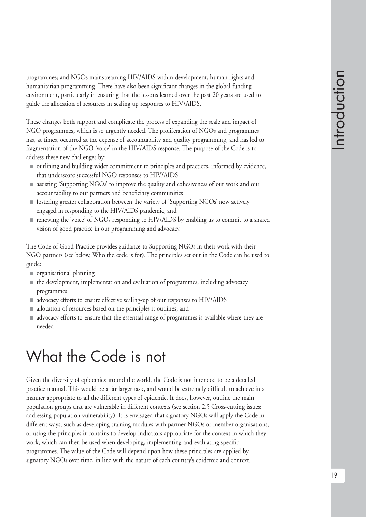programmes; and NGOs mainstreaming HIV/AIDS within development, human rights and humanitarian programming. There have also been significant changes in the global funding environment, particularly in ensuring that the lessons learned over the past 20 years are used to guide the allocation of resources in scaling up responses to HIV/AIDS.

These changes both support and complicate the process of expanding the scale and impact of NGO programmes, which is so urgently needed. The proliferation of NGOs and programmes has, at times, occurred at the expense of accountability and quality programming, and has led to fragmentation of the NGO 'voice' in the HIV/AIDS response. The purpose of the Code is to address these new challenges by:

- outlining and building wider commitment to principles and practices, informed by evidence, that underscore successful NGO responses to HIV/AIDS
- assisting 'Supporting NGOs' to improve the quality and cohesiveness of our work and our accountability to our partners and beneficiary communities
- fostering greater collaboration between the variety of 'Supporting NGOs' now actively engaged in responding to the HIV/AIDS pandemic, and
- renewing the 'voice' of NGOs responding to HIV/AIDS by enabling us to commit to a shared vision of good practice in our programming and advocacy.

The Code of Good Practice provides guidance to Supporting NGOs in their work with their NGO partners (see below, Who the code is for). The principles set out in the Code can be used to guide:

- organisational planning
- the development, implementation and evaluation of programmes, including advocacy programmes
- advocacy efforts to ensure effective scaling-up of our responses to HIV/AIDS
- allocation of resources based on the principles it outlines, and
- advocacy efforts to ensure that the essential range of programmes is available where they are needed.

### What the Code is not

Given the diversity of epidemics around the world, the Code is not intended to be a detailed practice manual. This would be a far larger task, and would be extremely difficult to achieve in a manner appropriate to all the different types of epidemic. It does, however, outline the main population groups that are vulnerable in different contexts (see section 2.5 Cross-cutting issues: addressing population vulnerability). It is envisaged that signatory NGOs will apply the Code in different ways, such as developing training modules with partner NGOs or member organisations, or using the principles it contains to develop indicators appropriate for the context in which they work, which can then be used when developing, implementing and evaluating specific programmes. The value of the Code will depend upon how these principles are applied by signatory NGOs over time, in line with the nature of each country's epidemic and context.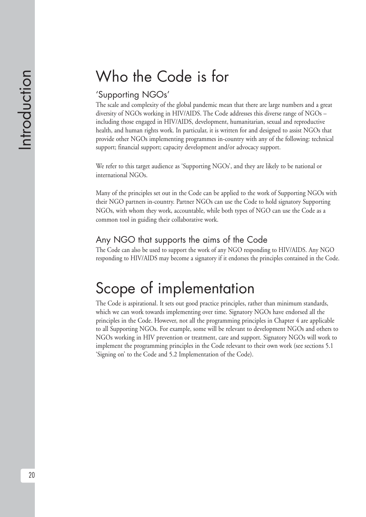### Who the Code is for

### 'Supporting NGOs'

The scale and complexity of the global pandemic mean that there are large numbers and a great diversity of NGOs working in HIV/AIDS. The Code addresses this diverse range of NGOs – including those engaged in HIV/AIDS, development, humanitarian, sexual and reproductive health, and human rights work. In particular, it is written for and designed to assist NGOs that provide other NGOs implementing programmes in-country with any of the following: technical support; financial support; capacity development and/or advocacy support.

We refer to this target audience as 'Supporting NGOs', and they are likely to be national or international NGOs.

Many of the principles set out in the Code can be applied to the work of Supporting NGOs with their NGO partners in-country. Partner NGOs can use the Code to hold signatory Supporting NGOs, with whom they work, accountable, while both types of NGO can use the Code as a common tool in guiding their collaborative work.

### Any NGO that supports the aims of the Code

The Code can also be used to support the work of any NGO responding to HIV/AIDS. Any NGO responding to HIV/AIDS may become a signatory if it endorses the principles contained in the Code.

### Scope of implementation

The Code is aspirational. It sets out good practice principles, rather than minimum standards, which we can work towards implementing over time. Signatory NGOs have endorsed all the principles in the Code. However, not all the programming principles in Chapter 4 are applicable to all Supporting NGOs. For example, some will be relevant to development NGOs and others to NGOs working in HIV prevention or treatment, care and support. Signatory NGOs will work to implement the programming principles in the Code relevant to their own work (see sections 5.1 'Signing on' to the Code and 5.2 Implementation of the Code).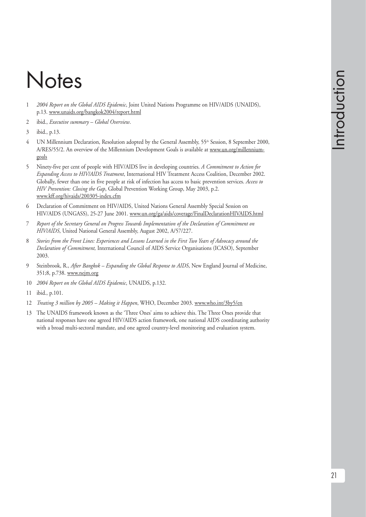### **Notes**

- 1 *2004 Report on the Global AIDS Epidemic*, Joint United Nations Programme on HIV/AIDS (UNAIDS), p.13. <www.unaids.org/bangkok2004/report.html>
- 2 ibid., *Executive summary Global Overview*.
- 3 ibid., p.13.
- 4 UN Millennium Declaration, Resolution adopted by the General Assembly, 55<sup>th</sup> Session, 8 September 2000, [A/RES/55/2. An overview of the Millennium Development Goals is available at www.un.org/millennium](www.un.org/millenniumgoals)goals
- 5 Ninety-five per cent of people with HIV/AIDS live in developing countries. *A Commitment to Action for Expanding Access to HIV/AIDS Treatment*, International HIV Treatment Access Coalition, December 2002. Globally, fewer than one in five people at risk of infection has access to basic prevention services. *Access to HIV Prevention: Closing the Gap*, Global Prevention Working Group, May 2003, p.2. <www.kff.org/hivaids/200305-index.cfm>
- 6 Declaration of Commitment on HIV/AIDS, United Nations General Assembly Special Session on HIV/AIDS (UNGASS), 25-27 June 2001. <www.un.org/ga/aids/coverage/FinalDeclarationHIVAIDS.html>
- 7 *Report of the Secretary General on Progress Towards Implementation of the Declaration of Commitment on HIV/AIDS*, United National General Assembly, August 2002, A/57/227.
- 8 *Stories from the Front Lines: Experiences and Lessons Learned in the First Two Years of Advocacy around the Declaration of Commitment,* International Council of AIDS Service Organisations (ICASO), September 2003.
- 9 Steinbrook, R., *After Bangkok Expanding the Global Response to AIDS*, New England Journal of Medicine, 351;8, p.738.<www.nejm.org>
- 10 *2004 Report on the Global AIDS Epidemic*, UNAIDS, p.132.
- 11 ibid., p.101.
- 12 *Treating 3 million by 2005 Making it Happen*, WHO, December 2003. <www.who.int/3by5/en>
- 13 The UNAIDS framework known as the 'Three Ones' aims to achieve this. The Three Ones provide that national responses have one agreed HIV/AIDS action framework, one national AIDS coordinating authority with a broad multi-sectoral mandate, and one agreed country-level monitoring and evaluation system.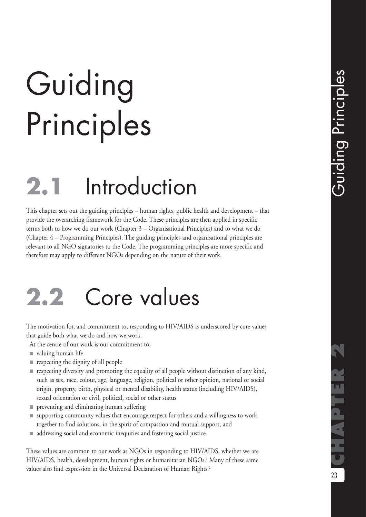# Guiding Principles

### **2.1** Introduction

This chapter sets out the guiding principles – human rights, public health and development – that provide the overarching framework for the Code. These principles are then applied in specific terms both to how we do our work (Chapter 3 – Organisational Principles) and to what we do (Chapter 4 – Programming Principles). The guiding principles and organisational principles are relevant to all NGO signatories to the Code. The programming principles are more specific and therefore may apply to different NGOs depending on the nature of their work.

### **2.2** Core values

The motivation for, and commitment to, responding to HIV/AIDS is underscored by core values that guide both what we do and how we work.

At the centre of our work is our commitment to:

- valuing human life
- respecting the dignity of all people
- respecting diversity and promoting the equality of all people without distinction of any kind, such as sex, race, colour, age, language, religion, political or other opinion, national or social origin, property, birth, physical or mental disability, health status (including HIV/AIDS), sexual orientation or civil, political, social or other status
- preventing and eliminating human suffering
- supporting community values that encourage respect for others and a willingness to work together to find solutions, in the spirit of compassion and mutual support, and
- addressing social and economic inequities and fostering social justice.

These values are common to our work as NGOs in responding to HIV/AIDS, whether we are HIV/AIDS, health, development, human rights or humanitarian NGOs.<sup>1</sup> Many of these same values also find expression in the Universal Declaration of Human Rights.<sup>2</sup>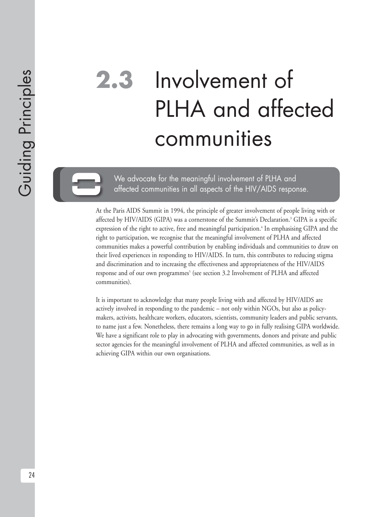### **2.3** Involvement of PLHA and affected communities

We advocate for the meaningful involvement of PLHA and affected communities in all aspects of the HIV/AIDS response.

At the Paris AIDS Summit in 1994, the principle of greater involvement of people living with or affected by HIV/AIDS (GIPA) was a cornerstone of the Summit's Declaration.3 GIPA is a specific expression of the right to active, free and meaningful participation.<sup>4</sup> In emphasising GIPA and the right to participation, we recognise that the meaningful involvement of PLHA and affected communities makes a powerful contribution by enabling individuals and communities to draw on their lived experiences in responding to HIV/AIDS. In turn, this contributes to reducing stigma and discrimination and to increasing the effectiveness and appropriateness of the HIV/AIDS response and of our own programmes<sup>5</sup> (see section 3.2 Involvement of PLHA and affected communities).

It is important to acknowledge that many people living with and affected by HIV/AIDS are actively involved in responding to the pandemic – not only within NGOs, but also as policymakers, activists, healthcare workers, educators, scientists, community leaders and public servants, to name just a few. Nonetheless, there remains a long way to go in fully realising GIPA worldwide. We have a significant role to play in advocating with governments, donors and private and public sector agencies for the meaningful involvement of PLHA and affected communities, as well as in achieving GIPA within our own organisations.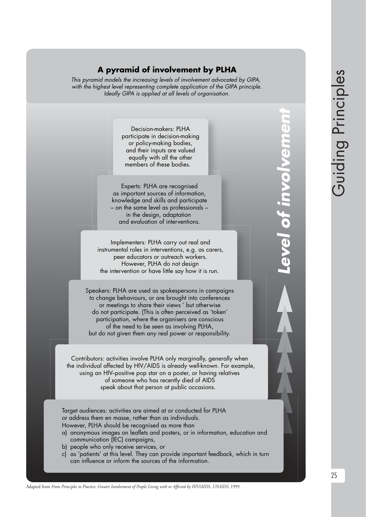*Level of involvement*

Level of involvo

### **A pyramid of involvement by PLHA**

This pyramid models the increasing levels of involvement advocated by GIPA, with the highest level representing complete application of the GIPA principle. Ideally GIPA is applied at all levels of organisation.

> Decision-makers: PLHA participate in decision-making or policy-making bodies, and their inputs are valued equally with all the other members of these bodies.

Experts: PLHA are recognised as important sources of information, knowledge and skills and participate – on the same level as professionals – in the design, adaptation and evaluation of interventions.

Implementers: PLHA carry out real and instrumental roles in interventions, e.g. as carers, peer educators or outreach workers. However, PLHA do not design the intervention or have little say how it is run.

Speakers: PLHA are used as spokespersons in campaigns to change behaviours, or are brought into conferences or meetings to share their views ' but otherwise do not participate. (This is often perceived as 'token' participation, where the organisers are conscious of the need to be seen as involving PLHA, but do not given them any real power or responsibility.

Contributors: activities involve PLHA only marginally, generally when the individual affected by HIV/AIDS is already well-known. For example, using an HIV-positive pop star on a poster, or having relatives of someone who has recently died of AIDS speak about that person at public occasions.

Target audiences: activities are aimed at or conducted for PLHA or address them en masse, rather than as individuals. However, PLHA should be recognised as more than

- a) anonymous images on leaflets and posters, or in information, education and communication (IEC) campaigns,
- b) people who only receive services, or
- c) as 'patients' at this level. They can provide important feedback, which in turn can influence or inform the sources of the information.

Adapted from *From Principles to Practice: Greater Involvement of People Living with or Affected by HIV/AIDS, UNAIDS*, 1999.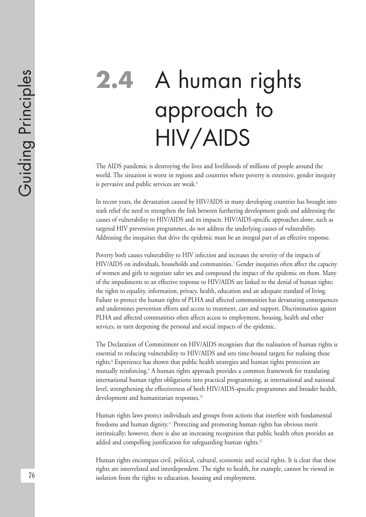# **2.4** A human rights approach to HIV/AIDS **Example 18 and the rights to education** from the rights to education, housing and employment and employment in the rights to education from the rights to education from the rights of employment and the rights to energy a

The AIDS pandemic is destroying the lives and livelihoods of millions of people around the world. The situation is worst in regions and countries where poverty is extensive, gender inequity is pervasive and public services are weak.<sup>6</sup>

In recent years, the devastation caused by HIV/AIDS in many developing countries has brought into stark relief the need to strengthen the link between furthering development goals and addressing the causes of vulnerability to HIV/AIDS and its impacts. HIV/AIDS-specific approaches alone, such as targeted HIV prevention programmes, do not address the underlying causes of vulnerability. Addressing the inequities that drive the epidemic must be an integral part of an effective response.

Poverty both causes vulnerability to HIV infection and increases the severity of the impacts of HIV/AIDS on individuals, households and communities.<sup>7</sup> Gender inequities often affect the capacity of women and girls to negotiate safer sex and compound the impact of the epidemic on them. Many of the impediments to an effective response to HIV/AIDS are linked to the denial of human rights: the rights to equality, information, privacy, health, education and an adequate standard of living. Failure to protect the human rights of PLHA and affected communities has devastating consequences and undermines prevention efforts and access to treatment, care and support. Discrimination against PLHA and affected communities often affects access to employment, housing, health and other services, in turn deepening the personal and social impacts of the epidemic.

The Declaration of Commitment on HIV/AIDS recognises that the realisation of human rights is essential to reducing vulnerability to HIV/AIDS and sets time-bound targets for realising these rights.<sup>8</sup> Experience has shown that public health strategies and human rights protection are mutually reinforcing.<sup>9</sup> A human rights approach provides a common framework for translating international human rights obligations into practical programming, at international and national level, strengthening the effectiveness of both HIV/AIDS-specific programmes and broader health, development and humanitarian responses.<sup>10</sup>

Human rights laws protect individuals and groups from actions that interfere with fundamental freedoms and human dignity.<sup>11</sup> Protecting and promoting human rights has obvious merit intrinsically; however, there is also an increasing recognition that public health often provides an added and compelling justification for safeguarding human rights.<sup>12</sup>

Human rights encompass civil, political, cultural, economic and social rights. It is clear that these rights are interrelated and interdependent. The right to health, for example, cannot be viewed in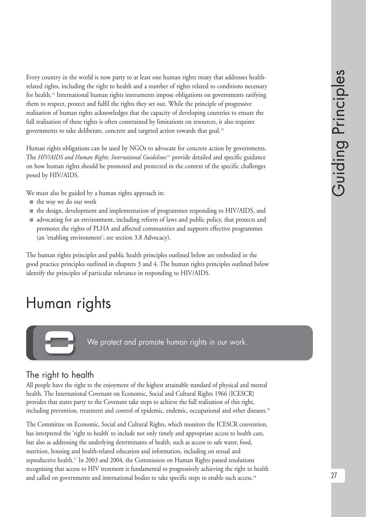Every country in the world is now party to at least one human rights treaty that addresses healthrelated rights, including the right to health and a number of rights related to conditions necessary for health.<sup>13</sup> International human rights instruments impose obligations on governments ratifying them to respect, protect and fulfil the rights they set out. While the principle of progressive realisation of human rights acknowledges that the capacity of developing countries to ensure the full realisation of these rights is often constrained by limitations on resources, it also requires governments to take deliberate, concrete and targeted action towards that goal.14

Human rights obligations can be used by NGOs to advocate for concrete action by governments. The *HIV/AIDS and Human Rights: International Guidelines* <sup>15</sup> provide detailed and specific guidance on how human rights should be promoted and protected in the context of the specific challenges posed by HIV/AIDS.

We must also be guided by a human rights approach in:

- the way we do our work
- the design, development and implementation of programmes responding to HIV/AIDS, and
- advocating for an environment, including reform of laws and public policy, that protects and promotes the rights of PLHA and affected communities and supports effective programmes (an 'enabling environment'; see section 3.8 Advocacy).

The human rights principles and public health principles outlined below are embodied in the good practice principles outlined in chapters 3 and 4. The human rights principles outlined below identify the principles of particular relevance in responding to HIV/AIDS.

### Human rights

We protect and promote human rights in our work.

### The right to health

All people have the right to the enjoyment of the highest attainable standard of physical and mental health. The International Covenant on Economic, Social and Cultural Rights 1966 (ICESCR) provides that states party to the Covenant take steps to achieve the full realisation of this right, including prevention, treatment and control of epidemic, endemic, occupational and other diseases.<sup>16</sup>

The Committee on Economic, Social and Cultural Rights, which monitors the ICESCR convention, has interpreted the 'right to health' to include not only timely and appropriate access to health care, but also as addressing the underlying determinants of health, such as access to safe water, food, nutrition, housing and health-related education and information, including on sexual and reproductive health.17 In 2003 and 2004, the Commission on Human Rights passed resolutions recognising that access to HIV treatment is fundamental to progressively achieving the right to health For country in the solution to meet the main function is the called on governments and the specific steps to the specific steps to the specific steps to the specific steps to the specific steps to the specific steps to the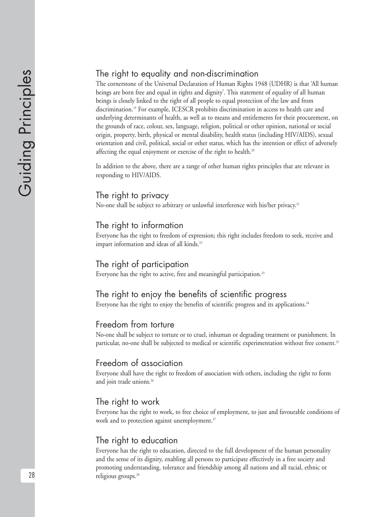### The right to equality and non-discrimination

The cornerstone of the Universal Declaration of Human Rights 1948 (UDHR) is that 'All human beings are born free and equal in rights and dignity'. This statement of equality of all human beings is closely linked to the right of all people to equal protection of the law and from discrimination.<sup>19</sup> For example, ICESCR prohibits discrimination in access to health care and underlying determinants of health, as well as to means and entitlements for their procurement, on the grounds of race, colour, sex, language, religion, political or other opinion, national or social origin, property, birth, physical or mental disability, health status (including HIV/AIDS), sexual orientation and civil, political, social or other status, which has the intention or effect of adversely affecting the equal enjoyment or exercise of the right to health.<sup>20</sup> The right to<br>
The contestore beings are bon fit<br>
beings are bon fit<br>
beings are bon fit<br>
discrimination and<br>
the grounds of tax<br>
origin, property, b<br>
orientation and conder<br>
affecting the equal<br>
In addition to the<br>
respond

In addition to the above, there are a range of other human rights principles that are relevant in responding to HIV/AIDS.

### The right to privacy

No-one shall be subject to arbitrary or unlawful interference with his/her privacy.<sup>21</sup>

#### The right to information

Everyone has the right to freedom of expression; this right includes freedom to seek, receive and impart information and ideas of all kinds.<sup>22</sup>

#### The right of participation

Everyone has the right to active, free and meaningful participation.<sup>23</sup>

### The right to enjoy the benefits of scientific progress

Everyone has the right to enjoy the benefits of scientific progress and its applications.<sup>24</sup>

#### Freedom from torture

No-one shall be subject to torture or to cruel, inhuman or degrading treatment or punishment. In particular, no-one shall be subjected to medical or scientific experimentation without free consent.25

### Freedom of association

Everyone shall have the right to freedom of association with others, including the right to form and join trade unions.<sup>26</sup>

### The right to work

Everyone has the right to work, to free choice of employment, to just and favourable conditions of work and to protection against unemployment.<sup>27</sup>

#### The right to education

Everyone has the right to education, directed to the full development of the human personality and the sense of its dignity, enabling all persons to participate effectively in a free society and promoting understanding, tolerance and friendship among all nations and all racial, ethnic or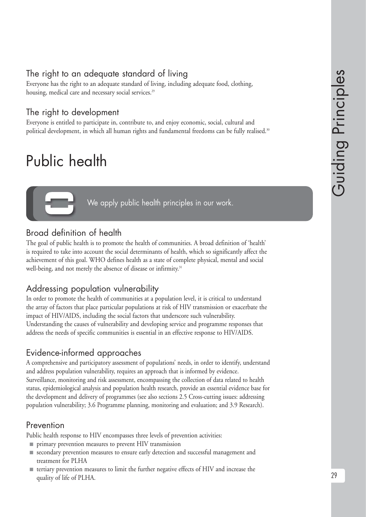### The right to an adequate standard of living

Everyone has the right to an adequate standard of living, including adequate food, clothing, housing, medical care and necessary social services.<sup>29</sup>

### The right to development

Everyone is entitled to participate in, contribute to, and enjoy economic, social, cultural and political development, in which all human rights and fundamental freedoms can be fully realised.30

### Public health



We apply public health principles in our work.

### Broad definition of health

The goal of public health is to promote the health of communities. A broad definition of 'health' is required to take into account the social determinants of health, which so significantly affect the achievement of this goal. WHO defines health as a state of complete physical, mental and social well-being, and not merely the absence of disease or infirmity.<sup>31</sup>

### Addressing population vulnerability

In order to promote the health of communities at a population level, it is critical to understand the array of factors that place particular populations at risk of HIV transmission or exacerbate the impact of HIV/AIDS, including the social factors that underscore such vulnerability. Understanding the causes of vulnerability and developing service and programme responses that address the needs of specific communities is essential in an effective response to HIV/AIDS.

### Evidence-informed approaches

A comprehensive and participatory assessment of populations' needs, in order to identify, understand and address population vulnerability, requires an approach that is informed by evidence. Surveillance, monitoring and risk assessment, encompassing the collection of data related to health status, epidemiological analysis and population health research, provide an essential evidence base for the development and delivery of programmes (see also sections 2.5 Cross-cutting issues: addressing population vulnerability; 3.6 Programme planning, monitoring and evaluation; and 3.9 Research). aright to on code-quote stronger in the fiving sales and of living sales and solution, and in the sales and the sales and the sales and the sales and the sales and the sales and the sales and the sales and the sales and th

### Prevention

Public health response to HIV encompasses three levels of prevention activities:

- primary prevention measures to prevent HIV transmission
- secondary prevention measures to ensure early detection and successful management and treatment for PLHA
- tertiary prevention measures to limit the further negative effects of HIV and increase the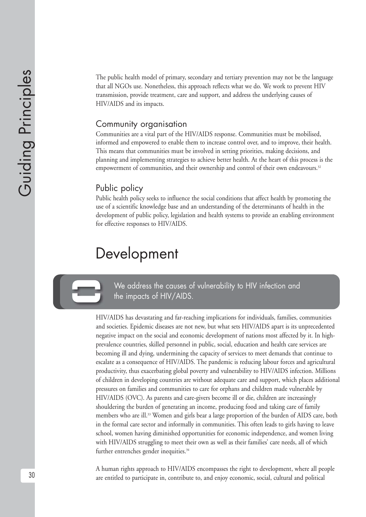The public health model of primary, secondary and tertiary prevention may not be the language that all NGOs use. Nonetheless, this approach reflects what we do. We work to prevent HIV transmission, provide treatment, care and support, and address the underlying causes of HIV/AIDS and its impacts.

#### Community organisation

Communities are a vital part of the HIV/AIDS response. Communities must be mobilised, informed and empowered to enable them to increase control over, and to improve, their health. This means that communities must be involved in setting priorities, making decisions, and planning and implementing strategies to achieve better health. At the heart of this process is the empowerment of communities, and their ownership and control of their own endeavours.<sup>32</sup>

### Public policy

Public health policy seeks to influence the social conditions that affect health by promoting the use of a scientific knowledge base and an understanding of the determinants of health in the development of public policy, legislation and health systems to provide an enabling environment for effective responses to HIV/AIDS.

### Development

We address the causes of vulnerability to HIV infection and the impacts of HIV/AIDS.

HIV/AIDS has devastating and far-reaching implications for individuals, families, communities and societies. Epidemic diseases are not new, but what sets HIV/AIDS apart is its unprecedented negative impact on the social and economic development of nations most affected by it. In highprevalence countries, skilled personnel in public, social, education and health care services are becoming ill and dying, undermining the capacity of services to meet demands that continue to escalate as a consequence of HIV/AIDS. The pandemic is reducing labour forces and agricultural productivity, thus exacerbating global poverty and vulnerability to HIV/AIDS infection. Millions of children in developing countries are without adequate care and support, which places additional pressures on families and communities to care for orphans and children made vulnerable by HIV/AIDS (OVC). As parents and care-givers become ill or die, children are increasingly shouldering the burden of generating an income, producing food and taking care of family members who are ill.<sup>33</sup> Women and girls bear a large proportion of the burden of AIDS care, both in the formal care sector and informally in communities. This often leads to girls having to leave school, women having diminished opportunities for economic independence, and women living with HIV/AIDS struggling to meet their own as well as their families' care needs, all of which further entrenches gender inequities.<sup>34</sup> The particle based of primary are entired to primary and the help and entired to particle to particle to particle to particle to particle to particle to particle to particle to particle to particle to particle to particle

A human rights approach to HIV/AIDS encompasses the right to development, where all people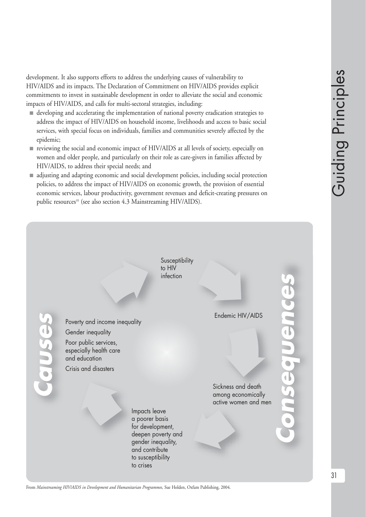development. It also supports efforts to address the underlying causes of vulnerability to HIV/AIDS and its impacts. The Declaration of Commitment on HIV/AIDS provides explicit commitments to invest in sustainable development in order to alleviate the social and economic impacts of HIV/AIDS, and calls for multi-sectoral strategies, including:

- developing and accelerating the implementation of national poverty eradication strategies to address the impact of HIV/AIDS on household income, livelihoods and access to basic social services, with special focus on individuals, families and communities severely affected by the epidemic;
- reviewing the social and economic impact of HIV/AIDS at all levels of society, especially on women and older people, and particularly on their role as care-givers in families affected by HIV/AIDS, to address their special needs; and
- adjusting and adapting economic and social development policies, including social protection policies, to address the impact of HIV/AIDS on economic growth, the provision of essential economic services, labour productivity, government revenues and deficit-creating pressures on public resources<sup>35</sup> (see also section 4.3 Mainstreaming HIV/AIDS).



From *Mainstreaming HIV/AIDS in Development and Humanitarian Programmes,* Sue Holden, Oxfam Publishing, 2004.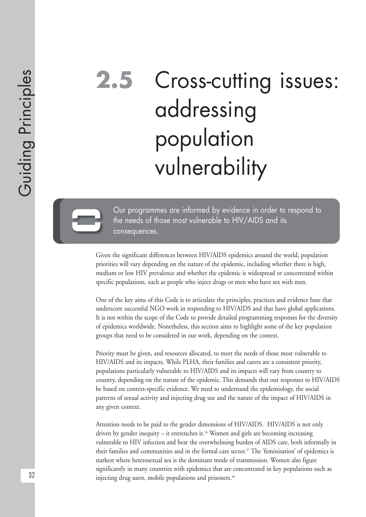# 2.5 Cross-cutting issues: addressing population vulnerability **Example 18 Guiding Scheme Scheme Scheme Scheme Scheme Scheme Scheme Scheme Scheme Scheme Scheme Scheme Scheme Scheme Scheme Scheme Scheme Scheme Scheme Scheme Scheme Scheme Scheme Scheme Scheme Scheme Scheme Scheme Schem**



Our programmes are informed by evidence in order to respond to the needs of those most vulnerable to HIV/AIDS and its consequences.

Given the significant differences between HIV/AIDS epidemics around the world, population priorities will vary depending on the nature of the epidemic, including whether there is high, medium or low HIV prevalence and whether the epidemic is widespread or concentrated within specific populations, such as people who inject drugs or men who have sex with men.

One of the key aims of this Code is to articulate the principles, practices and evidence base that underscore successful NGO work in responding to HIV/AIDS and that have global applications. It is not within the scope of the Code to provide detailed programming responses for the diversity of epidemics worldwide. Nonetheless, this section aims to highlight some of the key population groups that need to be considered in our work, depending on the context.

Priority must be given, and resources allocated, to meet the needs of those most vulnerable to HIV/AIDS and its impacts. While PLHA, their families and carers are a consistent priority, populations particularly vulnerable to HIV/AIDS and its impacts will vary from country to country, depending on the nature of the epidemic. This demands that our responses to HIV/AIDS be based on context-specific evidence. We need to understand the epidemiology, the social patterns of sexual activity and injecting drug use and the nature of the impact of HIV/AIDS in any given context.

Attention needs to be paid to the gender dimensions of HIV/AIDS. HIV/AIDS is not only driven by gender inequity – it entrenches it.<sup>36</sup> Women and girls are becoming increasing vulnerable to HIV infection and bear the overwhelming burden of AIDS care, both informally in their families and communities and in the formal care sector.37 The 'feminisation' of epidemics is starkest where heterosexual sex is the dominant mode of transmission. Women also figure significantly in many countries with epidemics that are concentrated in key populations such as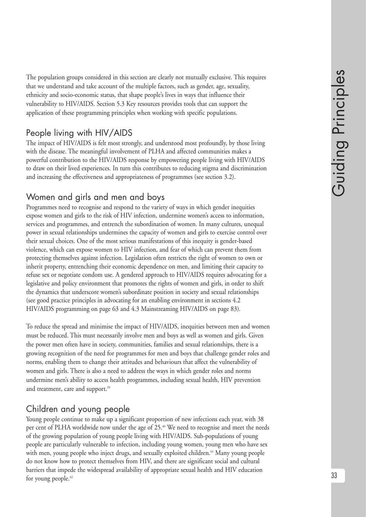The population groups considered in this section are clearly not mutually exclusive. This requires that we understand and take account of the multiple factors, such as gender, age, sexuality, ethnicity and socio-economic status, that shape people's lives in ways that influence their vulnerability to HIV/AIDS. Section 5.3 Key resources provides tools that can support the application of these programming principles when working with specific populations.

### People living with HIV/AIDS

The impact of HIV/AIDS is felt most strongly, and understood most profoundly, by those living with the disease. The meaningful involvement of PLHA and affected communities makes a powerful contribution to the HIV/AIDS response by empowering people living with HIV/AIDS to draw on their lived experiences. In turn this contributes to reducing stigma and discrimination and increasing the effectiveness and appropriateness of programmes (see section 3.2).

### Women and girls and men and boys

Programmes need to recognise and respond to the variety of ways in which gender inequities expose women and girls to the risk of HIV infection, undermine women's access to information, services and programmes, and entrench the subordination of women. In many cultures, unequal power in sexual relationships undermines the capacity of women and girls to exercise control over their sexual choices. One of the most serious manifestations of this inequity is gender-based violence, which can expose women to HIV infection, and fear of which can prevent them from protecting themselves against infection. Legislation often restricts the right of women to own or inherit property, entrenching their economic dependence on men, and limiting their capacity to refuse sex or negotiate condom use. A gendered approach to HIV/AIDS requires advocating for a legislative and policy environment that promotes the rights of women and girls, in order to shift the dynamics that underscore women's subordinate position in society and sexual relationships (see good practice principles in advocating for an enabling environment in sections 4.2 HIV/AIDS programming on page 63 and 4.3 Mainstreaming HIV/AIDS on page 83). The proplation geometric and this section at this section at the section of the methods and the section of the section of the section of the section of the section of the section of the section of the section of the secti

To reduce the spread and minimise the impact of HIV/AIDS, inequities between men and women must be reduced. This must necessarily involve men and boys as well as women and girls. Given the power men often have in society, communities, families and sexual relationships, there is a growing recognition of the need for programmes for men and boys that challenge gender roles and norms, enabling them to change their attitudes and behaviours that affect the vulnerability of women and girls. There is also a need to address the ways in which gender roles and norms undermine men's ability to access health programmes, including sexual health, HIV prevention and treatment, care and support.<sup>39</sup>

### Children and young people

Young people continue to make up a significant proportion of new infections each year, with 38 per cent of PLHA worldwide now under the age of 25.<sup>40</sup> We need to recognise and meet the needs of the growing population of young people living with HIV/AIDS. Sub-populations of young people are particularly vulnerable to infection, including young women, young men who have sex with men, young people who inject drugs, and sexually exploited children.<sup>41</sup> Many young people do not know how to protect themselves from HIV, and there are significant social and cultural barriers that impede the widespread availability of appropriate sexual health and HIV education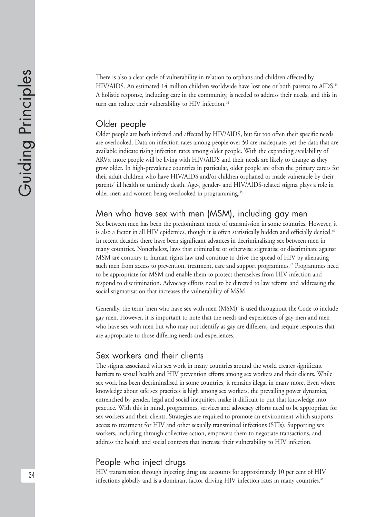There is also a clear cycle of vulnerability in relation to orphans and children affected by HIV/AIDS. An estimated 14 million children worldwide have lost one or both parents to AIDS.<sup>43</sup> A holistic response, including care in the community, is needed to address their needs, and this in turn can reduce their vulnerability to HIV infection.<sup>44</sup>

### Older people

Older people are both infected and affected by HIV/AIDS, but far too often their specific needs are overlooked. Data on infection rates among people over 50 are inadequate, yet the data that are available indicate rising infection rates among older people. With the expanding availability of ARVs, more people will be living with HIV/AIDS and their needs are likely to change as they grow older. In high-prevalence countries in particular, older people are often the primary carers for their adult children who have HIV/AIDS and/or children orphaned or made vulnerable by their parents' ill health or untimely death. Age-, gender- and HIV/AIDS-related stigma plays a role in older men and women being overlooked in programming.45

### Men who have sex with men (MSM), including gay men

Sex between men has been the predominant mode of transmission in some countries. However, it is also a factor in all HIV epidemics, though it is often statistically hidden and officially denied.<sup>46</sup> In recent decades there have been significant advances in decriminalising sex between men in many countries. Nonetheless, laws that criminalise or otherwise stigmatise or discriminate against MSM are contrary to human rights law and continue to drive the spread of HIV by alienating such men from access to prevention, treatment, care and support programmes.<sup>47</sup> Programmes need to be appropriate for MSM and enable them to protect themselves from HIV infection and respond to discrimination. Advocacy efforts need to be directed to law reform and addressing the social stigmatisation that increases the vulnerability of MSM.

Generally, the term 'men who have sex with men (MSM)' is used throughout the Code to include gay men. However, it is important to note that the needs and experiences of gay men and men who have sex with men but who may not identify as gay are different, and require responses that are appropriate to those differing needs and experiences.

### Sex workers and their clients

The stigma associated with sex work in many countries around the world creates significant barriers to sexual health and HIV prevention efforts among sex workers and their clients. While sex work has been decriminalised in some countries, it remains illegal in many more. Even where knowledge about safe sex practices is high among sex workers, the prevailing power dynamics, entrenched by gender, legal and social inequities, make it difficult to put that knowledge into practice. With this in mind, programmes, services and advocacy efforts need to be appropriate for sex workers and their clients. Strategies are required to promote an environment which supports access to treatment for HIV and other sexually transmitted infections (STIs). Supporting sex workers, including through collective action, empowers them to negotiate transactions, and address the health and social contexts that increase their vulnerability to HIV infection. The visito of the relationship in the fit of the state of the state of the state of the state of the state of the state of the state of the state of the state of the state of the state of the state of the state of the stat

### People who inject drugs

HIV transmission through injecting drug use accounts for approximately 10 per cent of HIV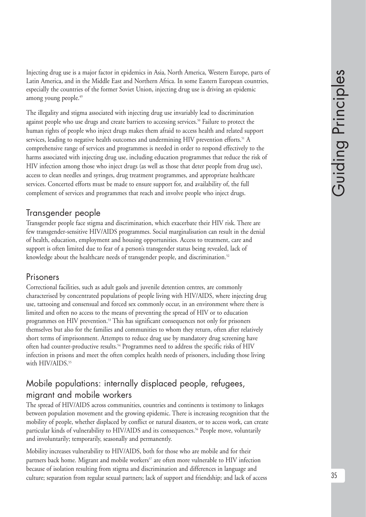Injecting drug use is a major factor in epidemics in Asia, North America, Western Europe, parts of Latin America, and in the Middle East and Northern Africa. In some Eastern European countries, especially the countries of the former Soviet Union, injecting drug use is driving an epidemic among young people.<sup>49</sup>

The illegality and stigma associated with injecting drug use invariably lead to discrimination against people who use drugs and create barriers to accessing services.<sup>50</sup> Failure to protect the human rights of people who inject drugs makes them afraid to access health and related support services, leading to negative health outcomes and undermining HIV prevention efforts.<sup>51</sup> A comprehensive range of services and programmes is needed in order to respond effectively to the harms associated with injecting drug use, including education programmes that reduce the risk of HIV infection among those who inject drugs (as well as those that deter people from drug use), access to clean needles and syringes, drug treatment programmes, and appropriate healthcare services. Concerted efforts must be made to ensure support for, and availability of, the full complement of services and programmes that reach and involve people who inject drugs. decision and the set of such a state of the substitute in the significant of the substitute of such a state of substitute of such a state of such a state of such a state of such a state of such a state of such as the subst

### Transgender people

Transgender people face stigma and discrimination, which exacerbate their HIV risk. There are few transgender-sensitive HIV/AIDS programmes. Social marginalisation can result in the denial of health, education, employment and housing opportunities. Access to treatment, care and support is often limited due to fear of a person's transgender status being revealed, lack of knowledge about the healthcare needs of transgender people, and discrimination.<sup>52</sup>

#### Prisoners

Correctional facilities, such as adult gaols and juvenile detention centres, are commonly characterised by concentrated populations of people living with HIV/AIDS, where injecting drug use, tattooing and consensual and forced sex commonly occur, in an environment where there is limited and often no access to the means of preventing the spread of HIV or to education programmes on HIV prevention.<sup>53</sup> This has significant consequences not only for prisoners themselves but also for the families and communities to whom they return, often after relatively short terms of imprisonment. Attempts to reduce drug use by mandatory drug screening have often had counter-productive results.<sup>54</sup> Programmes need to address the specific risks of HIV infection in prisons and meet the often complex health needs of prisoners, including those living with HIV/AIDS.<sup>55</sup>

### Mobile populations: internally displaced people, refugees, migrant and mobile workers

The spread of HIV/AIDS across communities, countries and continents is testimony to linkages between population movement and the growing epidemic. There is increasing recognition that the mobility of people, whether displaced by conflict or natural disasters, or to access work, can create particular kinds of vulnerability to HIV/AIDS and its consequences.56 People move, voluntarily and involuntarily; temporarily, seasonally and permanently.

Mobility increases vulnerability to HIV/AIDS, both for those who are mobile and for their partners back home. Migrant and mobile workers<sup>57</sup> are often more vulnerable to HIV infection because of isolation resulting from stigma and discrimination and differences in language and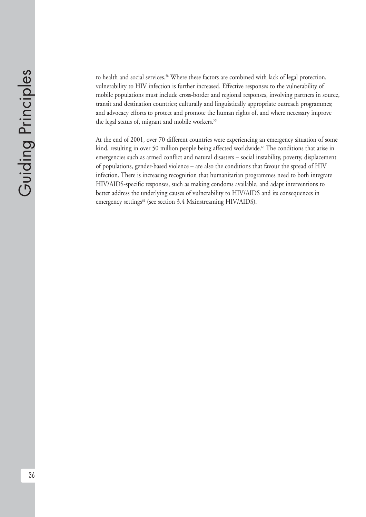to health and social services.<sup>58</sup> Where these factors are combined with lack of legal protection, vulnerability to HIV infection is further increased. Effective responses to the vulnerability of mobile populations must include cross-border and regional responses, involving partners in source, transit and destination countries; culturally and linguistically appropriate outreach programmes; and advocacy efforts to protect and promote the human rights of, and where necessary improve the legal status of, migrant and mobile workers.<sup>59</sup>

At the end of 2001, over 70 different countries were experiencing an emergency situation of some kind, resulting in over 50 million people being affected worldwide.<sup>60</sup> The conditions that arise in emergencies such as armed conflict and natural disasters – social instability, poverty, displacement of populations, gender-based violence – are also the conditions that favour the spread of HIV infection. There is increasing recognition that humanitarian programmes need to both integrate HIV/AIDS-specific responses, such as making condoms available, and adapt interventions to better address the underlying causes of vulnerability to HIV/AIDS and its consequences in emergency settings<sup>61</sup> (see section 3.4 Mainstreaming HIV/AIDS).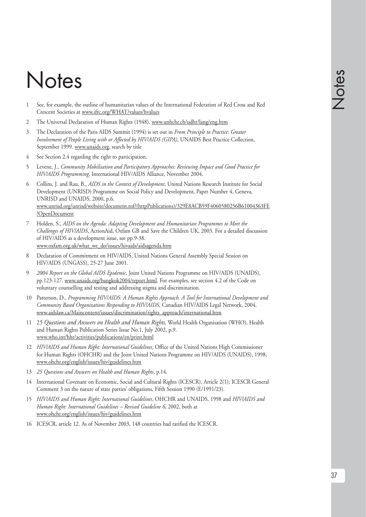## **Notes**

- 1 See, for example, the outline of humanitarian values of the International Federation of Red Cross and Red Crescent Societies at<www.ifrc.org/WHAT/values/hvalues>
- 2 The Universal Declaration of Human Rights (1948). <www.unhchr.ch/udhr/lang/eng.htm>
- 3 The Declaration of the Paris AIDS Summit (1994) is set out in *From Principle to Practice: Greater Involvement of People Living with or Affected by HIV/AIDS (GIPA)*, UNAIDS Best Practice Collection, September 1999. <www.unaids.org>, search by title
- 4 See Section 2.4 regarding the right to participation.
- 5 Levene, J., *Community Mobilisation and Participatory Approaches: Reviewing Impact and Good Practice for HIV/AIDS Programming*, International HIV/AIDS Alliance, November 2004.
- 6 Collins, J. and Rau, B., *AIDS in the Context of Development*, United Nations Research Institute for Social Development (UNRISD) Programme on Social Policy and Development, Paper Number 4, Geneva, UNRISD and UNAIDS, 2000, p.6. [www.unrisd.org/unrisd/website/document.nsf/\(httpPublications\)/329E8ACB59F4060580256B61004363FE](www.unrisd.org/unrisd/website/document.nsf/(httpPublications)/329E8ACB59F4060580256B61004363FE ?OpenDocument) ?OpenDocument
- 7 Holden, S., *AIDS on the Agenda: Adapting Development and Humanitarian Programmes to Meet the Challenges of HIV/AIDS*, ActionAid, Oxfam GB and Save the Children UK, 2003. For a detailed discussion of HIV/AIDS as a development issue, see pp.9-38. [www.oxfam.org.uk/what\\_we\\_do/issues/hivaids/aidsagenda.htm](www.oxfam.org.uk/what_we_do/issues/hivaids/aidsagenda.htm)
- 8 Declaration of Commitment on HIV/AIDS, United Nations General Assembly Special Session on HIV/AIDS (UNGASS), 25-27 June 2001.
- 9 *2004 Report on the Global AIDS Epidemic*, Joint United Nations Programme on HIV/AIDS (UNAIDS), pp.123-127.<www.unaids.org/bangkok2004/report.html>. For examples, see section 4.2 of the Code on voluntary counselling and testing and addressing stigma and discrimination.
- 10 Patterson, D., *Programming HIV/AIDS: A Human Rights Approach. A Tool for International Development and Community Based Organizations Responding to HIV/AIDS*, Canadian HIV/AIDS Legal Network, 2004. [www.aidslaw.ca/Maincontent/issues/discrimination/rights\\_approach/international.htm](www.aidslaw.ca/Maincontent/issues/discrimination/rights_approach/international.htm)
- 11 2*5 Questions and Answers on Health and Human Rights*, World Health Organisation (WHO), Health and Human Rights Publication Series Issue No.1, July 2002, p.9. <www.who.int/hhr/activities/publications/en/print.html>
- 12 *HIV/AIDS and Human Right: International Guidelines*, Office of the United Nations High Commissioner for Human Rights (OHCHR) and the Joint United Nations Programme on HIV/AIDS (UNAIDS), 1998, <www.ohchr.org/english/issues/hiv/guidelines.htm>
- 13 *25 Questions and Answers on Health and Human Rights*, p.14.
- 14 International Covenant on Economic, Social and Cultural Rights (ICESCR), Article 2(1); ICESCR General Comment 3 on the nature of state parties' obligations, Fifth Session 1990 (E/1991/23).
- 15 *HIV/AIDS and Human Right: International Guidelines*, OHCHR and UNAIDS, 1998 and *HIV/AIDS and Human Right: International Guidelines – Revised Guideline 6*, 2002, both at <www.ohchr.org/english/issues/hiv/guidelines.htm>
- 16 ICESCR, article 12. As of November 2003, 148 countries had ratified the ICESCR.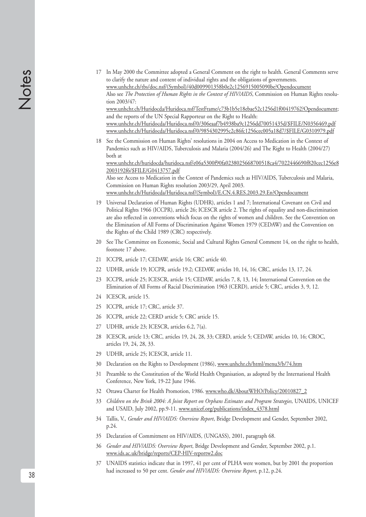17 In May 2000 the Committee adopted a General Comment on the right to health. General Comments serve to clarify the nature and content of individual rights and the obligations of governments.

[www.unhchr.ch/tbs/doc.nsf/\(Symbol\)/40d009901358b0e2c1256915005090be?Opendocument](www.unhchr.ch/tbs/doc.nsf/(Symbol)/40d009901358b0e2c1256915005090be?Opendocument) Also see *The Protection of Human Rights in the Context of HIV/AIDS*, Commission on Human Rights resolution 2003/47:

[www.unhchr.ch/Huridocda/Huridoca.nsf/TestFrame/c73b1b5e18ebae52c1256d1f00419762?Opendocument;](www.unhchr.ch/tbs/doc.nsf/(Symbol)/40d009901358b0e2c1256915005090be?Opendocument) and the reports of the UN Special Rapporteur on the Right to Health:

[www.unhchr.ch/Huridocda/Huridoca.nsf/0/306eaaf7b4938ba9c1256dd70051435d/\\$FILE/N0356469.pdf](www.unhchr.ch/Huridocda/Huridoca.nsf/0/306eaaf7b4938ba9c1256dd70051435d/$FILE/N0356469.pdf) [www.unhchr.ch/Huridocda/Huridoca.nsf/0/9854302995c2c86fc1256cec005a18d7/\\$FILE/G0310979.pdf](www.unhchr.ch/Huridocda/Huridoca.nsf/0/9854302995c2c86fc1256cec005a18d7/$FILE/G0310979.pdf)

18 See the Commission on Human Rights' resolutions in 2004 on Access to Medication in the Context of Pandemics such as HIV/AIDS, Tuberculosis and Malaria (2004/26) and The Right to Health (2004/27) both at

[www.unhchr.ch/huridocda/huridoca.nsf/e06a5300f90fa0238025668700518ca4/7022446690f820cec1256e8](www.unhchr.ch/huridocda/huridoca.nsf/e06a5300f90fa0238025668700518ca4/7022446690f820cec1256e8 2003192f6/$FILE/G0413757.pdf) 2003192f6/\$FILE/G0413757.pdf

Also see Access to Medication in the Context of Pandemics such as HIV/AIDS, Tuberculosis and Malaria, Commission on Human Rights resolution 2003/29, April 2003.

[www.unhchr.ch/Huridocda/Huridoca.nsf/\(Symbol\)/E.CN.4.RES.2003.29.En?Opendocument](www.unhchr.ch/Huridocda/Huridoca.nsf/(Symbol)/E.CN.4.RES.2003.29.En?Opendocument)

- 19 Universal Declaration of Human Rights (UDHR), articles 1 and 7; International Covenant on Civil and Political Rights 1966 (ICCPR), article 26; ICESCR article 2. The rights of equality and non-discrimination are also reflected in conventions which focus on the rights of women and children. See the Convention on the Elimination of All Forms of Discrimination Against Women 1979 (CEDAW) and the Convention on the Rights of the Child 1989 (CRC) respectively. Hereas is equivalent to form of equivalent to form of equivalent increased to the Content of the SMO per cent. *General Content and HIV/AIDS*, Content and HIV/AIDS. Content and HIV/AIDS (Superior content and HIV/AIDS) a
	- 20 See The Committee on Economic, Social and Cultural Rights General Comment 14, on the right to health, footnote 17 above.
	- 21 ICCPR, article 17; CEDAW, article 16; CRC article 40.
	- 22 UDHR, article 19; ICCPR, article 19.2; CEDAW, articles 10, 14, 16; CRC, articles 13, 17, 24.
	- 23 ICCPR, article 25; ICESCR, article 15; CEDAW, articles 7, 8, 13, 14; International Convention on the Elimination of All Forms of Racial Discrimination 1963 (CERD), article 5; CRC, articles 3, 9, 12.
	- 24 ICESCR, article 15.
	- 25 ICCPR, article 17; CRC, article 37.
	- 26 ICCPR, article 22; CERD article 5; CRC article 15.
	- 27 UDHR, article 23; ICESCR, articles 6.2, 7(a).
	- 28 ICESCR, article 13; CRC, articles 19, 24, 28, 33; CERD, article 5; CEDAW, articles 10, 16; CROC, articles 19, 24, 28, 33.
	- 29 UDHR, article 25; ICESCR, article 11.
	- 30 Declaration on the Rights to Development (1986), <www.unhchr.ch/html/menu3/b/74.htm>
	- 31 Preamble to the Constitution of the World Health Organisation, as adopted by the International Health Conference, New York, 19-22 June 1946.
	- 32 Ottawa Charter for Health Promotion, 1986. [www.who.dk/AboutWHO/Policy/20010827\\_2](www.who.dk/AboutWHO/Policy/20010827_2)
	- 33 *Children on the Brink 2004: A Joint Report on Orphans Estimates and Program Strategies,* UNAIDS, UNICEF and USAID, July 2002, pp.9-11. [www.unicef.org/publications/index\\_4378.html](www.unicef.org/publications/index_4378.html)
	- 34 Tallis, V., *Gender and HIV/AIDS: Overview Report*, Bridge Development and Gender, September 2002, p.24.
	- 35 Declaration of Commitment on HIV/AIDS, (UNGASS), 2001, paragraph 68.
	- 36 *Gender and HIV/AIDS: Overview Report*, Bridge Development and Gender, September 2002, p.1. <www.ids.ac.uk/bridge/reports/CEP-HIV-reportw2.doc>
	- 37 UNAIDS statistics indicate that in 1997, 41 per cent of PLHA were women, but by 2001 the proportion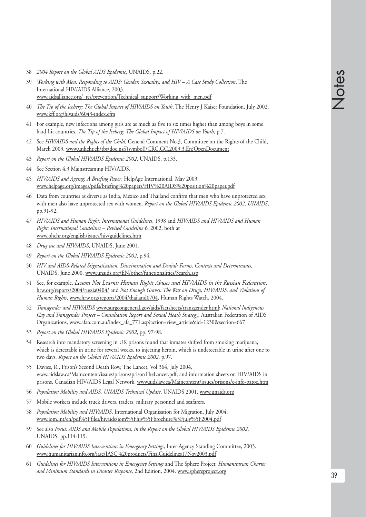- 38 *2004 Report on the Global AIDS Epidemic*, UNAIDS, p.22.
- 39 *Working with Men, Responding to AIDS: Gender, Sexuality, and HIV A Case Study Collection*, The International HIV/AIDS Alliance, 2003. [www.aidsalliance.org/\\_res/prevention/Technical\\_support/Working\\_with\\_men.pdf](www.aidsalliance.org/_res/prevention/Technical_support/Working_with_men.pdf)
- 40 *The Tip of the Iceberg: The Global Impact of HIV/AIDS on Youth*, The Henry J Kaiser Foundation, July 2002. <www.kff.org/hivaids/6043-index.cfm>
- 41 For example, new infections among girls are as much as five to six times higher than among boys in some hard-hit countries. *The Tip of the Iceberg: The Global Impact of HIV/AIDS on Youth*, p.7.
- 42 See *HIV/AIDS and the Rights of the Child*, General Comment No.3, Committee on the Rights of the Child, March 2003. [www.unhchr.ch/tbs/doc.nsf/\(symbol\)/CRC.GC.2003.3.En?OpenDocument](www.unhchr.ch/tbs/doc.nsf/(symbol)/CRC.GC.2003.3.En?OpenDocument)
- 43 *Report on the Global HIV/AIDS Epidemic 2002*, UNAIDS, p.133.
- 44 See Section 4.3 Mainstreaming HIV/AIDS.
- 45 *HIV/AIDS and Ageing: A Briefing Paper*, HelpAge International, May 2003. <www.helpage.org/images/pdfs/briefing%20papers/HIV%20AIDS%20position%20paper.pdf>
- 46 Data from countries as diverse as India, Mexico and Thailand confirm that men who have unprotected sex with men also have unprotected sex with women. *Report on the Global HIV/AIDS Epidemic 2002, UNAIDS*, pp.91-92.
- 47 *HIV/AIDS and Human Right: International Guidelines*, 1998 and *HIV/AIDS and HIV/AIDS and Human Right: International Guidelines – Revised Guideline 6*, 2002, both at <www.ohchr.org/english/issues/hiv/guidelines.htm>
- 48 *Drug use and HIV/AIDS*, UNAIDS, June 2001.
- 49 *Report on the Global HIV/AIDS Epidemic 2002*, p.94.
- 50 *HIV and AIDS-Related Stigmatization, Discrimination and Denial: Forms, Contexts and Determinants,* UNAIDS, June 2000. <www.unaids.org/EN/other/functionalities/Search.asp>
- 51 See, for example, *Lessons Not Learnt: Human Rights Abuses and HIV/AIDS in the Russian Federation*, [hrw.org/reports/2004/russia0404/](www.hrw.org/reports/2004/russia0404/) and *Not Enough Graves: The War on Drugs, HIV/AIDS, and Violations of Human Rights*, [www.hrw.org/reports/2004/thailand0704,](www.hrw.org/reports/2004/thailand0704) Human Rights Watch, 2004.
- 52 *Transgender and HIV/AIDS* <www.surgeongeneral.gov/aids/factsheets/transgender.html>; *National Indigenous Gay and Transgender Project – Consultation Report and Sexual Heath Strategy*, Australian Federation of AIDS Organizations, [www.afao.com.au/index\\_afa\\_771.asp?action=view\\_article&id=1230&section=667](www.afao.com.au/index_afa_771.asp?action=view_article&id=1230§ion=667)
- 53 *Report on the Global HIV/AIDS Epidemic 2002*, pp. 97-98.
- 54 Research into mandatory screening in UK prisons found that inmates shifted from smoking marijuana, which is detectable in urine for several weeks, to injecting heroin, which is undetectable in urine after one to two days. *Report on the Global HIV/AIDS Epidemic 2002*, p.97.
- 55 Davies, R., Prison's Second Death Row, The Lancet, Vol 364, July 2004, <www.aidslaw.ca/Maincontent/issues/prisons/prisonTheLancet.pdf>; and information sheets on HIV/AIDS in prisons, Canadian HIV/AIDS Legal Network, [www.aidslaw.ca/Maincontent/issues/prisons/e-info-patoc.htm](www.aidslaw.ca/Maincontent/issues/prisons/prisonTheLancet.pdf) **BOY Altert in Collecting in Minimum Standards in The Collection Collection, 2nd Edition Collection Standards in The Collection Standards in The Collection Standards in The Collection Standards in The Collection Standard**
- 56 *Population Mobility and AIDS, UNAIDS Technical Update*, UNAIDS 2001. <www.unaids.org>
- 57 Mobile workers include truck drivers, traders, military personnel and seafarers.
- 58 *Population Mobility and HIV/AIDS*, International Organisation for Migration, July 2004. <www.iom.int/en/pdf%5Ffiles/hivaids/iom%5Fhiv%5Fbrochure%5Fjuly%5F2004.pdf>
- 59 See also *Focus: AIDS and Mobile Populations, in the Report on the Global HIV/AIDS Epidemic 2002*, UNAIDS, pp.114-119.
- 60 *Guidelines for HIV/AIDS Interventions in Emergency Settings*, Inter-Agency Standing Committee, 2003. <www.humanitarianinfo.org/iasc/IASC%20products/FinalGuidelines17Nov2003.pdf>
- 61 *Guidelines for HIV/AIDS Interventions in Emergency Settings* and The Sphere Project: *Humanitarian Charter*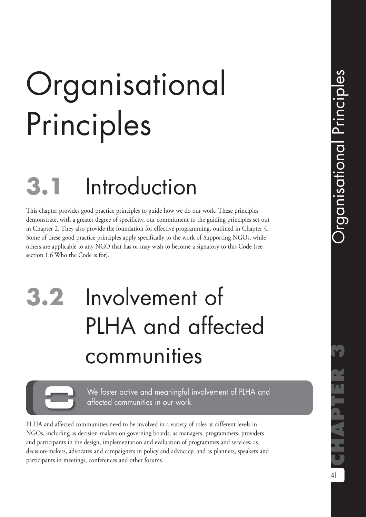# Organisational Principles

## **3.1** Introduction

This chapter provides good practice principles to guide how we do our work. These principles demonstrate, with a greater degree of specificity, our commitment to the guiding principles set out in Chapter 2. They also provide the foundation for effective programming, outlined in Chapter 4. Some of these good practice principles apply specifically to the work of Supporting NGOs, while others are applicable to any NGO that has or may wish to become a signatory to this Code (see section 1.6 Who the Code is for).

# **3.2** Involvement of PLHA and affected communities

We foster active and meaningful involvement of PLHA and affected communities in our work.

PLHA and affected communities need to be involved in a variety of roles at different levels in NGOs, including as decision-makers on governing boards; as managers, programmers, providers and participants in the design, implementation and evaluation of programmes and services; as decision-makers, advocates and campaigners in policy and advocacy; and as planners, speakers and participants in meetings, conferences and other forums.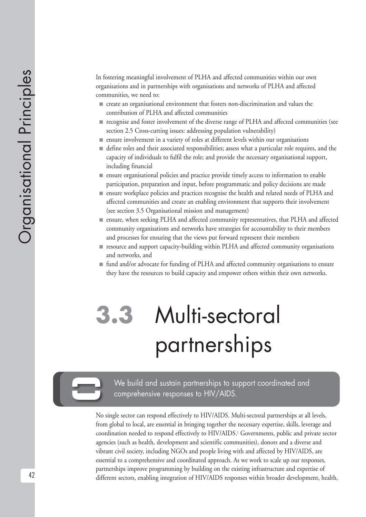In fostering meaningful involvement of PLHA and affected communities within our own organisations and in partnerships with organisations and networks of PLHA and affected communities, we need to:

- create an organisational environment that fosters non-discrimination and values the contribution of PLHA and affected communities
- recognise and foster involvement of the diverse range of PLHA and affected communities (see section 2.5 Cross-cutting issues: addressing population vulnerability)
- ensure involvement in a variety of roles at different levels within our organisations
- define roles and their associated responsibilities; assess what a particular role requires, and the capacity of individuals to fulfil the role; and provide the necessary organisational support, including financial
- ensure organisational policies and practice provide timely access to information to enable participation, preparation and input, before programmatic and policy decisions are made
- ensure workplace policies and practices recognise the health and related needs of PLHA and affected communities and create an enabling environment that supports their involvement (see section 3.5 Organisational mission and management)
- ensure, when seeking PLHA and affected community representatives, that PLHA and affected community organisations and networks have strategies for accountability to their members and processes for ensuring that the views put forward represent their members
- resource and support capacity-building within PLHA and affected community organisations and networks, and
- fund and/or advocate for funding of PLHA and affected community organisations to ensure they have the resources to build capacity and empower others within their own networks.

## **3.3** Multi-sectoral partnerships

We build and sustain partnerships to support coordinated and comprehensive responses to HIV/AIDS.

No single sector can respond effectively to HIV/AIDS. Multi-sectoral partnerships at all levels, from global to local, are essential in bringing together the necessary expertise, skills, leverage and coordination needed to respond effectively to HIV/AIDS.1 Governments, public and private sector agencies (such as health, development and scientific communities), donors and a diverse and vibrant civil society, including NGOs and people living with and affected by HIV/AIDS, are essential to a comprehensive and coordinated approach. As we work to scale up our responses, partnerships improve programming by building on the existing infrastructure and expertise of different sectors, enable the method of the sectors, enable and the sectors, enable to the sectors, enable to the sectors, enable to the sectors, enable to the sectors, enable to the sectors, and the sectors, enable to the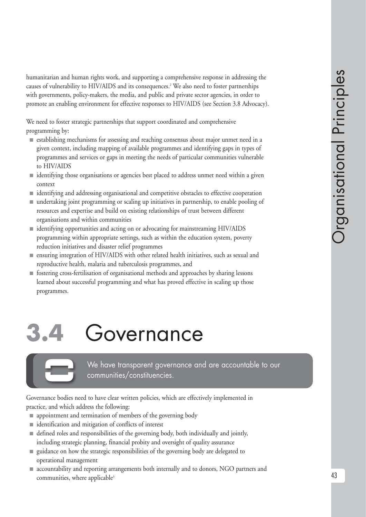humanitarian and human rights work, and supporting a comprehensive response in addressing the causes of vulnerability to HIV/AIDS and its consequences.2 We also need to foster partnerships with governments, policy-makers, the media, and public and private sector agencies, in order to promote an enabling environment for effective responses to HIV/AIDS (see Section 3.8 Advocacy). convention and weakers and a consequence is encomplete the relations of a solicity in the communities of the strength of the strength of the strength of the strength of the strength of the strength of the strength of the s

We need to foster strategic partnerships that support coordinated and comprehensive programming by:

- establishing mechanisms for assessing and reaching consensus about major unmet need in a given context, including mapping of available programmes and identifying gaps in types of programmes and services or gaps in meeting the needs of particular communities vulnerable to HIV/AIDS
- identifying those organisations or agencies best placed to address unmet need within a given context
- identifying and addressing organisational and competitive obstacles to effective cooperation
- undertaking joint programming or scaling up initiatives in partnership, to enable pooling of resources and expertise and build on existing relationships of trust between different organisations and within communities
- identifying opportunities and acting on or advocating for mainstreaming HIV/AIDS programming within appropriate settings, such as within the education system, poverty reduction initiatives and disaster relief programmes
- ensuring integration of HIV/AIDS with other related health initiatives, such as sexual and reproductive health, malaria and tuberculosis programmes, and
- fostering cross-fertilisation of organisational methods and approaches by sharing lessons learned about successful programming and what has proved effective in scaling up those programmes.

## **3.4** Governance



We have transparent governance and are accountable to our communities/constituencies.

Governance bodies need to have clear written policies, which are effectively implemented in practice, and which address the following:

- appointment and termination of members of the governing body
- identification and mitigation of conflicts of interest
- defined roles and responsibilities of the governing body, both individually and jointly, including strategic planning, financial probity and oversight of quality assurance
- guidance on how the strategic responsibilities of the governing body are delegated to operational management
- accountability and reporting arrangements both internally and to donors, NGO partners and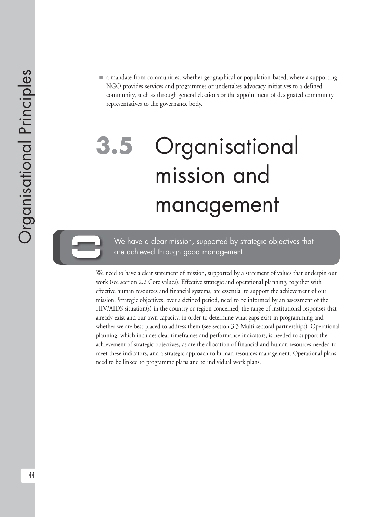■ a mandate from communities, whether geographical or population-based, where a supporting NGO provides services and programmes or undertakes advocacy initiatives to a defined community, such as through general elections or the appointment of designated community representatives to the governance body.

# **3.5** Organisational mission and management

We have a clear mission, supported by strategic objectives that are achieved through good management.

We need to have a clear statement of mission, supported by a statement of values that underpin our work (see section 2.2 Core values). Effective strategic and operational planning, together with effective human resources and financial systems, are essential to support the achievement of our mission. Strategic objectives, over a defined period, need to be informed by an assessment of the HIV/AIDS situation(s) in the country or region concerned, the range of institutional responses that already exist and our own capacity, in order to determine what gaps exist in programming and whether we are best placed to address them (see section 3.3 Multi-sectoral partnerships). Operational planning, which includes clear timeframes and performance indicators, is needed to support the achievement of strategic objectives, as are the allocation of financial and human resources needed to meet these indicators, and a strategic approach to human resources management. Operational plans need to be linked to programme plans and to individual work plans.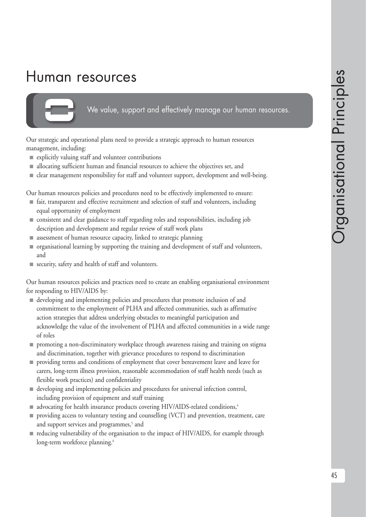## Human resources

We value, support and effectively manage our human resources.

Our strategic and operational plans need to provide a strategic approach to human resources management, including:

- explicitly valuing staff and volunteer contributions
- allocating sufficient human and financial resources to achieve the objectives set, and
- clear management responsibility for staff and volunteer support, development and well-being.

Our human resources policies and procedures need to be effectively implemented to ensure:

- fair, transparent and effective recruitment and selection of staff and volunteers, including equal opportunity of employment
- consistent and clear guidance to staff regarding roles and responsibilities, including job description and development and regular review of staff work plans
- assessment of human resource capacity, linked to strategic planning
- organisational learning by supporting the training and development of staff and volunteers, and
- security, safety and health of staff and volunteers.

Our human resources policies and practices need to create an enabling organisational environment for responding to HIV/AIDS by:

- developing and implementing policies and procedures that promote inclusion of and commitment to the employment of PLHA and affected communities, such as affirmative action strategies that address underlying obstacles to meaningful participation and acknowledge the value of the involvement of PLHA and affected communities in a wide range of roles
- promoting a non-discriminatory workplace through awareness raising and training on stigma and discrimination, together with grievance procedures to respond to discrimination
- providing terms and conditions of employment that cover bereavement leave and leave for carers, long-term illness provision, reasonable accommodation of staff health needs (such as flexible work practices) and confidentiality
- developing and implementing policies and procedures for universal infection control, including provision of equipment and staff training
- advocating for health insurance products covering HIV/AIDS-related conditions,<sup>4</sup>
- providing access to voluntary testing and counselling (VCT) and prevention, treatment, care and support services and programmes,<sup>5</sup> and
- reducing vulnerability of the organisation to the impact of HIV/AIDS, for example through long-term workforce planning.<sup>6</sup>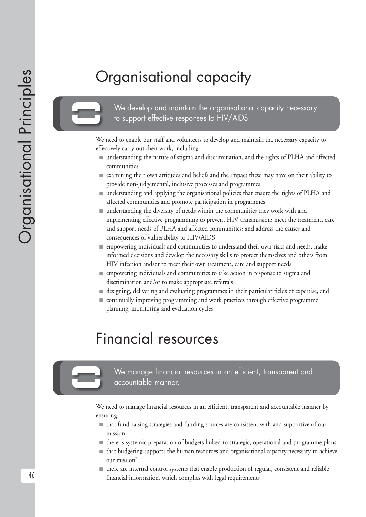## Organisational capacity

We develop and maintain the organisational capacity necessary to support effective responses to HIV/AIDS.

We need to enable our staff and volunteers to develop and maintain the necessary capacity to effectively carry out their work, including:

- understanding the nature of stigma and discrimination, and the rights of PLHA and affected communities
- examining their own attitudes and beliefs and the impact these may have on their ability to provide non-judgemental, inclusive processes and programmes
- understanding and applying the organisational policies that ensure the rights of PLHA and affected communities and promote participation in programmes
- understanding the diversity of needs within the communities they work with and implementing effective programming to prevent HIV transmission; meet the treatment, care and support needs of PLHA and affected communities; and address the causes and consequences of vulnerability to HIV/AIDS **Example 160**<br> **Example 160**<br>
We develop and maintain the organisation of the support effective responses to HIV/AIDS.<br>
We note that we can be a substant that the complete state of signal and discrimination, and the compl
	- empowering individuals and communities to understand their own risks and needs, make informed decisions and develop the necessary skills to protect themselves and others from HIV infection and/or to meet their own treatment, care and support needs
	- empowering individuals and communities to take action in response to stigma and discrimination and/or to make appropriate referrals
	- designing, delivering and evaluating programmes in their particular fields of expertise, and
	- continually improving programming and work practices through effective programme planning, monitoring and evaluation cycles.

## Financial resources

We manage financial resources in an efficient, transparent and accountable manner.

We need to manage financial resources in an efficient, transparent and accountable manner by ensuring:

- that fund-raising strategies and funding sources are consistent with and supportive of our mission
- there is systemic preparation of budgets linked to strategic, operational and programme plans
- that budgeting supports the human resources and organisational capacity necessary to achieve our mission<sup>7</sup>
- there are internal control systems that enable production of regular, consistent and reliable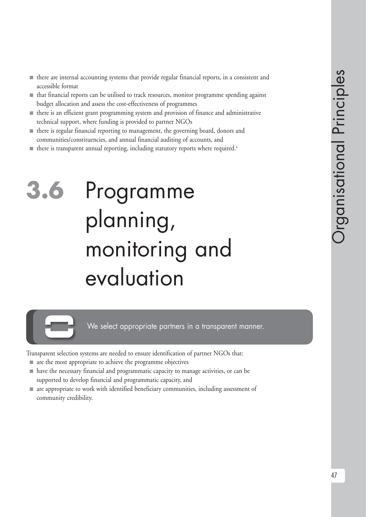- there are internal accounting systems that provide regular financial reports, in a consistent and accessible format
- that financial reports can be utilised to track resources, monitor programme spending against budget allocation and assess the cost-effectiveness of programmes
- there is an efficient grant programming system and provision of finance and administrative technical support, where funding is provided to partner NGOs
- there is regular financial reporting to management, the governing board, donors and communities/constituencies, and annual financial auditing of accounts, and
- there is transparent annual reporting, including statutory reports where required.<sup>8</sup>

# **3.6** Programme planning, monitoring and evaluation



We select appropriate partners in a transparent manner.

Transparent selection systems are needed to ensure identification of partner NGOs that:

- $\blacksquare$  are the most appropriate to achieve the programme objectives
- have the necessary financial and programmatic capacity to manage activities, or can be supported to develop financial and programmatic capacity, and
- are appropriate to work with identified beneficiary communities, including assessment of community credibility.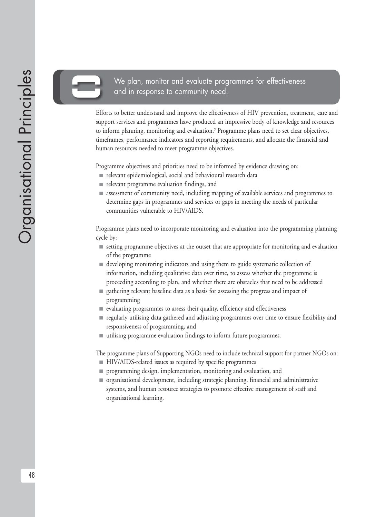

#### We plan, monitor and evaluate programmes for effectiveness and in response to community need.

Efforts to better understand and improve the effectiveness of HIV prevention, treatment, care and support services and programmes have produced an impressive body of knowledge and resources to inform planning, monitoring and evaluation.<sup>9</sup> Programme plans need to set clear objectives, timeframes, performance indicators and reporting requirements, and allocate the financial and human resources needed to meet programme objectives.

Programme objectives and priorities need to be informed by evidence drawing on:

- relevant epidemiological, social and behavioural research data
- relevant programme evaluation findings, and
- assessment of community need, including mapping of available services and programmes to determine gaps in programmes and services or gaps in meeting the needs of particular communities vulnerable to HIV/AIDS.

Programme plans need to incorporate monitoring and evaluation into the programming planning cycle by:

- setting programme objectives at the outset that are appropriate for monitoring and evaluation of the programme
- developing monitoring indicators and using them to guide systematic collection of information, including qualitative data over time, to assess whether the programme is proceeding according to plan, and whether there are obstacles that need to be addressed
- gathering relevant baseline data as a basis for assessing the progress and impact of programming
- evaluating programmes to assess their quality, efficiency and effectiveness
- regularly utilising data gathered and adjusting programmes over time to ensure flexibility and responsiveness of programming, and
- utilising programme evaluation findings to inform future programmes.

The programme plans of Supporting NGOs need to include technical support for partner NGOs on:

- HIV/AIDS-related issues as required by specific programmes
- programming design, implementation, monitoring and evaluation, and
- organisational development, including strategic planning, financial and administrative systems, and human resource strategies to promote effective management of staff and organisational learning.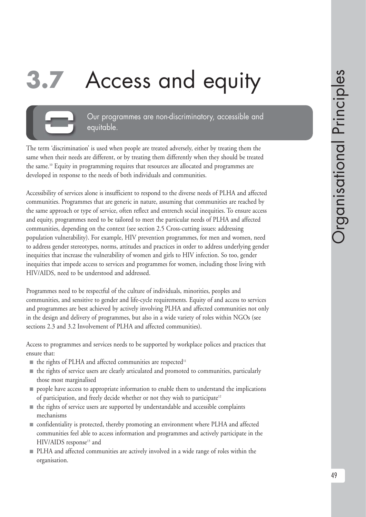# **3.7** Access and equity



Our programmes are non-discriminatory, accessible and equitable.

The term 'discrimination' is used when people are treated adversely, either by treating them the same when their needs are different, or by treating them differently when they should be treated the same.10 Equity in programming requires that resources are allocated and programmes are developed in response to the needs of both individuals and communities.

Accessibility of services alone is insufficient to respond to the diverse needs of PLHA and affected communities. Programmes that are generic in nature, assuming that communities are reached by the same approach or type of service, often reflect and entrench social inequities. To ensure access and equity, programmes need to be tailored to meet the particular needs of PLHA and affected communities, depending on the context (see section 2.5 Cross-cutting issues: addressing population vulnerability). For example, HIV prevention programmes, for men and women, need to address gender stereotypes, norms, attitudes and practices in order to address underlying gender inequities that increase the vulnerability of women and girls to HIV infection. So too, gender inequities that impede access to services and programmes for women, including those living with HIV/AIDS, need to be understood and addressed.

Programmes need to be respectful of the culture of individuals, minorities, peoples and communities, and sensitive to gender and life-cycle requirements. Equity of and access to services and programmes are best achieved by actively involving PLHA and affected communities not only in the design and delivery of programmes, but also in a wide variety of roles within NGOs (see sections 2.3 and 3.2 Involvement of PLHA and affected communities).

Access to programmes and services needs to be supported by workplace polices and practices that ensure that:

- $\blacksquare$  the rights of PLHA and affected communities are respected<sup>11</sup>
- the rights of service users are clearly articulated and promoted to communities, particularly those most marginalised
- people have access to appropriate information to enable them to understand the implications of participation, and freely decide whether or not they wish to participate<sup>12</sup>
- the rights of service users are supported by understandable and accessible complaints mechanisms
- confidentiality is protected, thereby promoting an environment where PLHA and affected communities feel able to access information and programmes and actively participate in the HIV/AIDS response<sup>13</sup> and
- PLHA and affected communities are actively involved in a wide range of roles within the organisation.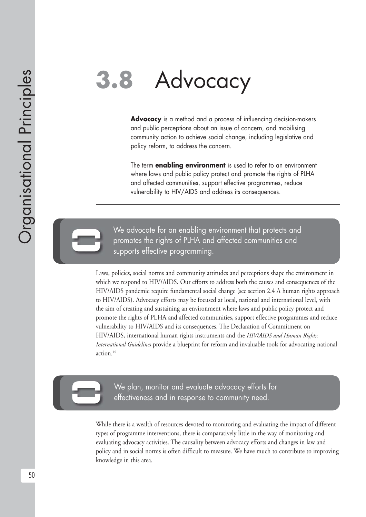# **3.8** Advocacy

**Advocacy** is a method and a process of influencing decision-makers and public perceptions about an issue of concern, and mobilising community action to achieve social change, including legislative and policy reform, to address the concern.

The term **enabling environment** is used to refer to an environment where laws and public policy protect and promote the rights of PLHA and affected communities, support effective programmes, reduce vulnerability to HIV/AIDS and address its consequences.



We advocate for an enabling environment that protects and promotes the rights of PLHA and affected communities and supports effective programming.

Laws, policies, social norms and community attitudes and perceptions shape the environment in which we respond to HIV/AIDS. Our efforts to address both the causes and consequences of the HIV/AIDS pandemic require fundamental social change (see section 2.4 A human rights approach to HIV/AIDS). Advocacy efforts may be focused at local, national and international level, with the aim of creating and sustaining an environment where laws and public policy protect and promote the rights of PLHA and affected communities, support effective programmes and reduce vulnerability to HIV/AIDS and its consequences. The Declaration of Commitment on HIV/AIDS, international human rights instruments and the *HIV/AIDS and Human Rights: International Guidelines* provide a blueprint for reform and invaluable tools for advocating national action.<sup>14</sup>

We plan, monitor and evaluate advocacy efforts for effectiveness and in response to community need.

While there is a wealth of resources devoted to monitoring and evaluating the impact of different types of programme interventions, there is comparatively little in the way of monitoring and evaluating advocacy activities. The causality between advocacy efforts and changes in law and policy and in social norms is often difficult to measure. We have much to contribute to improving knowledge in this area.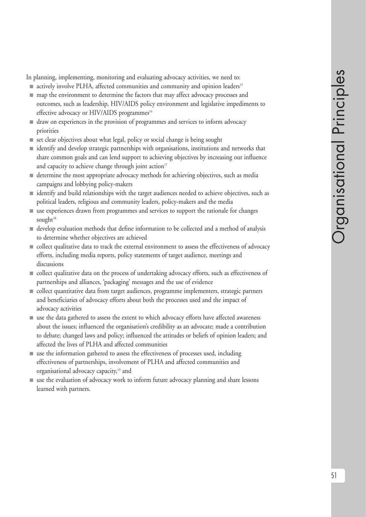In planning, implementing, monitoring and evaluating advocacy activities, we need to:

- actively involve PLHA, affected communities and community and opinion leaders<sup>15</sup>
- map the environment to determine the factors that may affect advocacy processes and outcomes, such as leadership, HIV/AIDS policy environment and legislative impediments to effective advocacy or HIV/AIDS programmes<sup>16</sup>
- draw on experiences in the provision of programmes and services to inform advocacy priorities
- set clear objectives about what legal, policy or social change is being sought
- identify and develop strategic partnerships with organisations, institutions and networks that share common goals and can lend support to achieving objectives by increasing our influence and capacity to achieve change through joint action<sup>17</sup>
- determine the most appropriate advocacy methods for achieving objectives, such as media campaigns and lobbying policy-makers
- identify and build relationships with the target audiences needed to achieve objectives, such as political leaders, religious and community leaders, policy-makers and the media
- use experiences drawn from programmes and services to support the rationale for changes sought<sup>18</sup>
- develop evaluation methods that define information to be collected and a method of analysis to determine whether objectives are achieved
- collect qualitative data to track the external environment to assess the effectiveness of advocacy efforts, including media reports, policy statements of target audience, meetings and discussions
- collect qualitative data on the process of undertaking advocacy efforts, such as effectiveness of partnerships and alliances, 'packaging' messages and the use of evidence
- collect quantitative data from target audiences, programme implementers, strategic partners and beneficiaries of advocacy efforts about both the processes used and the impact of advocacy activities
- use the data gathered to assess the extent to which advocacy efforts have affected awareness about the issues; influenced the organisation's credibility as an advocate; made a contribution to debate; changed laws and policy; influenced the attitudes or beliefs of opinion leaders; and affected the lives of PLHA and affected communities
- use the information gathered to assess the effectiveness of processes used, including effectiveness of partnerships, involvement of PLHA and affected communities and organisational advocacy capacity,<sup>19</sup> and
- use the evaluation of advocacy work to inform future advocacy planning and share lessons learned with partners.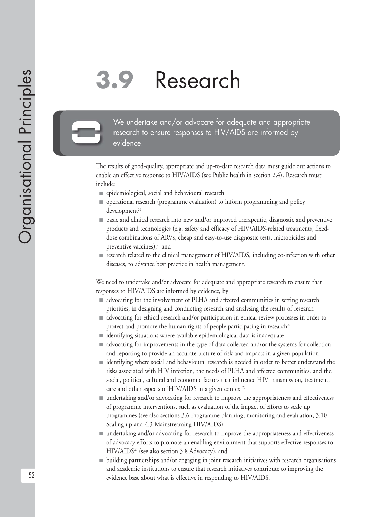## **3.9** Research



We undertake and/or advocate for adequate and appropriate research to ensure responses to HIV/AIDS are informed by evidence.

The results of good-quality, appropriate and up-to-date research data must guide our actions to enable an effective response to HIV/AIDS (see Public health in section 2.4). Research must include:

- epidemiological, social and behavioural research
- operational research (programme evaluation) to inform programming and policy development<sup>20</sup>
- basic and clinical research into new and/or improved therapeutic, diagnostic and preventive products and technologies (e.g. safety and efficacy of HIV/AIDS-related treatments, fixeddose combinations of ARVs, cheap and easy-to-use diagnostic tests, microbicides and preventive vaccines), $21$  and
- research related to the clinical management of HIV/AIDS, including co-infection with other diseases, to advance best practice in health management.

We need to undertake and/or advocate for adequate and appropriate research to ensure that responses to HIV/AIDS are informed by evidence, by:

- advocating for the involvement of PLHA and affected communities in setting research priorities, in designing and conducting research and analysing the results of research
- advocating for ethical research and/or participation in ethical review processes in order to protect and promote the human rights of people participating in research<sup>22</sup>
- identifying situations where available epidemiological data is inadequate
- advocating for improvements in the type of data collected and/or the systems for collection and reporting to provide an accurate picture of risk and impacts in a given population
- identifying where social and behavioural research is needed in order to better understand the risks associated with HIV infection, the needs of PLHA and affected communities, and the social, political, cultural and economic factors that influence HIV transmission, treatment, care and other aspects of HIV/AIDS in a given context<sup>23</sup>
- undertaking and/or advocating for research to improve the appropriateness and effectiveness of programme interventions, such as evaluation of the impact of efforts to scale up programmes (see also sections 3.6 Programme planning, monitoring and evaluation, 3.10 Scaling up and 4.3 Mainstreaming HIV/AIDS) **EVALUATION**<br>
We undertake and/or advocate for adequate ancheored entreated in the search to ensure responses to HIV/AIDS are informational properties and up-to-date research due in relation equivalent in response to HIV/
	- undertaking and/or advocating for research to improve the appropriateness and effectiveness of advocacy efforts to promote an enabling environment that supports effective responses to HIV/AIDS<sup>24</sup> (see also section 3.8 Advocacy), and
	- building partnerships and/or engaging in joint research initiatives with research organisations and academic institutions to ensure that research initiatives contribute to improving the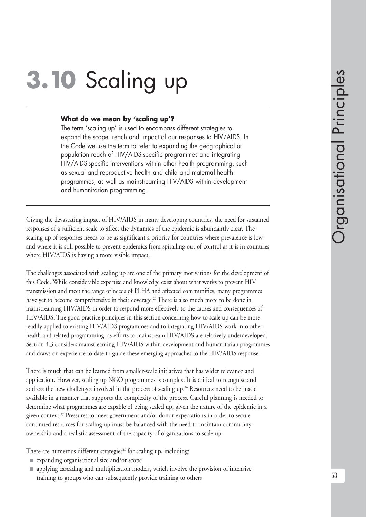## **3.10** Scaling up

#### **What do we mean by 'scaling up'?**

The term 'scaling up' is used to encompass different strategies to expand the scope, reach and impact of our responses to HIV/AIDS. In the Code we use the term to refer to expanding the geographical or population reach of HIV/AIDS-specific programmes and integrating HIV/AIDS-specific interventions within other health programming, such as sexual and reproductive health and child and maternal health programmes, as well as mainstreaming HIV/AIDS within development and humanitarian programming.

Giving the devastating impact of HIV/AIDS in many developing countries, the need for sustained responses of a sufficient scale to affect the dynamics of the epidemic is abundantly clear. The scaling up of responses needs to be as significant a priority for countries where prevalence is low and where it is still possible to prevent epidemics from spiralling out of control as it is in countries where HIV/AIDS is having a more visible impact.

The challenges associated with scaling up are one of the primary motivations for the development of this Code. While considerable expertise and knowledge exist about what works to prevent HIV transmission and meet the range of needs of PLHA and affected communities, many programmes have yet to become comprehensive in their coverage.<sup>25</sup> There is also much more to be done in mainstreaming HIV/AIDS in order to respond more effectively to the causes and consequences of HIV/AIDS. The good practice principles in this section concerning how to scale up can be more readily applied to existing HIV/AIDS programmes and to integrating HIV/AIDS work into other health and related programming, as efforts to mainstream HIV/AIDS are relatively underdeveloped. Section 4.3 considers mainstreaming HIV/AIDS within development and humanitarian programmes and draws on experience to date to guide these emerging approaches to the HIV/AIDS response. **THE CONDUCTS INTERFERS We all the subsequently at the subsequently provide training to**  $\frac{1}{2}$  **Organisation C and the subsequently provide training to**  $\frac{1}{2}$  **Organisation C and the subsequently provide training to** 

There is much that can be learned from smaller-scale initiatives that has wider relevance and application. However, scaling up NGO programmes is complex. It is critical to recognise and address the new challenges involved in the process of scaling up.<sup>26</sup> Resources need to be made available in a manner that supports the complexity of the process. Careful planning is needed to determine what programmes are capable of being scaled up, given the nature of the epidemic in a given context.27 Pressures to meet government and/or donor expectations in order to secure continued resources for scaling up must be balanced with the need to maintain community ownership and a realistic assessment of the capacity of organisations to scale up.

There are numerous different strategies<sup>28</sup> for scaling up, including:

- expanding organisational size and/or scope
- applying cascading and multiplication models, which involve the provision of intensive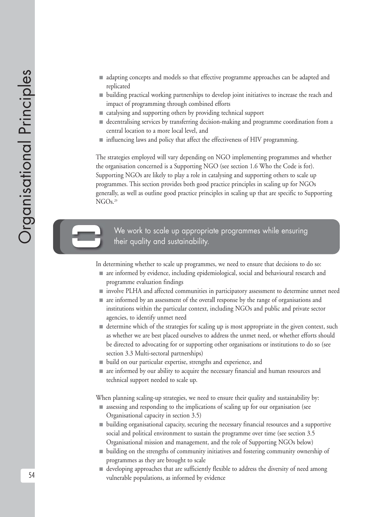- adapting concepts and models so that effective programme approaches can be adapted and replicated
- building practical working partnerships to develop joint initiatives to increase the reach and impact of programming through combined efforts
- catalysing and supporting others by providing technical support
- decentralising services by transferring decision-making and programme coordination from a central location to a more local level, and
- influencing laws and policy that affect the effectiveness of HIV programming.

The strategies employed will vary depending on NGO implementing programmes and whether the organisation concerned is a Supporting NGO (see section 1.6 Who the Code is for). Supporting NGOs are likely to play a role in catalysing and supporting others to scale up programmes. This section provides both good practice principles in scaling up for NGOs generally, as well as outline good practice principles in scaling up that are specific to Supporting  $NGOs.<sup>29</sup>$ **value of the startest and models so that effective proplicated worst proplementary accomparison in the control of populations, as in control of the startest principle window and policy busine and control of the startest** 



We work to scale up appropriate programmes while ensuring their quality and sustainability.

In determining whether to scale up programmes, we need to ensure that decisions to do so:

- are informed by evidence, including epidemiological, social and behavioural research and programme evaluation findings
- involve PLHA and affected communities in participatory assessment to determine unmet need
- are informed by an assessment of the overall response by the range of organisations and institutions within the particular context, including NGOs and public and private sector agencies, to identify unmet need
- determine which of the strategies for scaling up is most appropriate in the given context, such as whether we are best placed ourselves to address the unmet need, or whether efforts should be directed to advocating for or supporting other organisations or institutions to do so (see section 3.3 Multi-sectoral partnerships)
- build on our particular expertise, strengths and experience, and
- are informed by our ability to acquire the necessary financial and human resources and technical support needed to scale up.

When planning scaling-up strategies, we need to ensure their quality and sustainability by:

- assessing and responding to the implications of scaling up for our organisation (see Organisational capacity in section 3.5)
- building organisational capacity, securing the necessary financial resources and a supportive social and political environment to sustain the programme over time (see section 3.5 Organisational mission and management, and the role of Supporting NGOs below)
- building on the strengths of community initiatives and fostering community ownership of programmes as they are brought to scale
- developing approaches that are sufficiently flexible to address the diversity of need among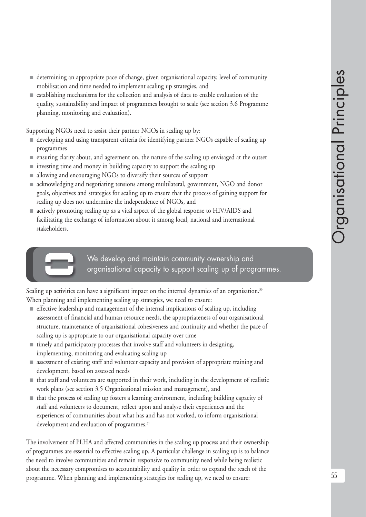- determining an appropriate pace of change, given organisational capacity, level of community mobilisation and time needed to implement scaling up strategies, and
- establishing mechanisms for the collection and analysis of data to enable evaluation of the quality, sustainability and impact of programmes brought to scale (see section 3.6 Programme planning, monitoring and evaluation).

Supporting NGOs need to assist their partner NGOs in scaling up by:

- developing and using transparent criteria for identifying partner NGOs capable of scaling up programmes
- ensuring clarity about, and agreement on, the nature of the scaling up envisaged at the outset
- investing time and money in building capacity to support the scaling up
- allowing and encouraging NGOs to diversify their sources of support
- acknowledging and negotiating tensions among multilateral, government, NGO and donor goals, objectives and strategies for scaling up to ensure that the process of gaining support for scaling up does not undermine the independence of NGOs, and
- actively promoting scaling up as a vital aspect of the global response to HIV/AIDS and facilitating the exchange of information about it among local, national and international stakeholders.



We develop and maintain community ownership and organisational capacity to support scaling up of programmes.

Scaling up activities can have a significant impact on the internal dynamics of an organisation.<sup>30</sup> When planning and implementing scaling up strategies, we need to ensure:

- effective leadership and management of the internal implications of scaling up, including assessment of financial and human resource needs, the appropriateness of our organisational structure, maintenance of organisational cohesiveness and continuity and whether the pace of scaling up is appropriate to our organisational capacity over time
- timely and participatory processes that involve staff and volunteers in designing, implementing, monitoring and evaluating scaling up
- assessment of existing staff and volunteer capacity and provision of appropriate training and development, based on assessed needs
- that staff and volunteers are supported in their work, including in the development of realistic work plans (see section 3.5 Organisational mission and management), and
- that the process of scaling up fosters a learning environment, including building capacity of staff and volunteers to document, reflect upon and analyse their experiences and the experiences of communities about what has and has not worked, to inform organisational development and evaluation of programmes.<sup>31</sup>

The involvement of PLHA and affected communities in the scaling up process and their ownership of programmes are essential to effective scaling up. A particular challenge in scaling up is to balance the need to involve communities and remain responsive to community need while being realistic about the necessary compromises to accountability and quality in order to expand the reach of the **Example the scaling of classroom of the scaling of the scaling strategies for scaling up, we need to ensure the scaling matrix of the scaling matrix of the scaling strategies for scaling up, and the scaling strategies fo**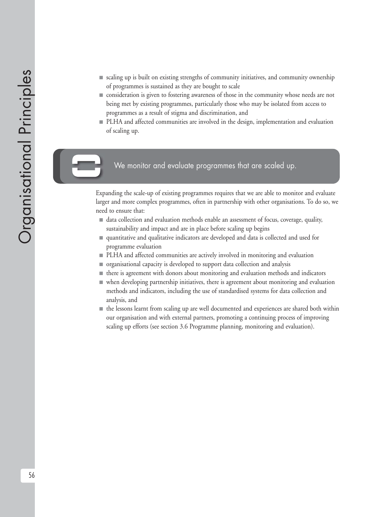- scaling up is built on existing strengths of community initiatives, and community ownership of programmes is sustained as they are bought to scale
- consideration is given to fostering awareness of those in the community whose needs are not being met by existing programmes, particularly those who may be isolated from access to programmes as a result of stigma and discrimination, and
- PLHA and affected communities are involved in the design, implementation and evaluation of scaling up.

#### We monitor and evaluate programmes that are scaled up.

Expanding the scale-up of existing programmes requires that we are able to monitor and evaluate larger and more complex programmes, often in partnership with other organisations. To do so, we need to ensure that:

- data collection and evaluation methods enable an assessment of focus, coverage, quality, sustainability and impact and are in place before scaling up begins
- quantitative and qualitative indicators are developed and data is collected and used for programme evaluation
- PLHA and affected communities are actively involved in monitoring and evaluation
- organisational capacity is developed to support data collection and analysis
- there is agreement with donors about monitoring and evaluation methods and indicators
- when developing partnership initiatives, there is agreement about monitoring and evaluation methods and indicators, including the use of standardised systems for data collection and analysis, and
- the lessons learnt from scaling up are well documented and experiences are shared both within our organisation and with external partners, promoting a continuing process of improving scaling up efforts (see section 3.6 Programme planning, monitoring and evaluation).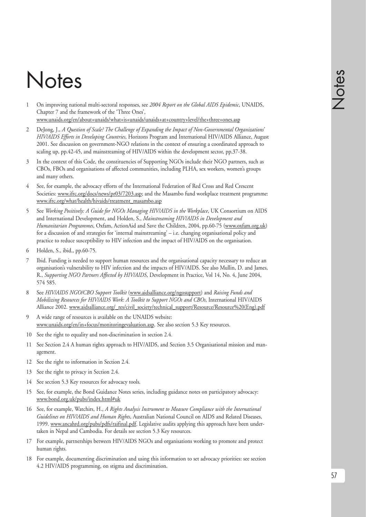## **Notes**

- 1 On improving national multi-sectoral responses, see *2004 Report on the Global AIDS Epidemic*, UNAIDS, Chapter 7 and the framework of the 'Three Ones', <www.unaids.org/en/about+unaids/what+is+unaids/unaids+at+country+level/the+three+ones.asp>
- 2 DeJong, J., *A Question of Scale? The Challenge of Expanding the Impact of Non-Governmental Organizations' HIV/AIDS Efforts in Developing Countries*, Horizons Program and International HIV/AIDS Alliance, August 2001. See discussion on government-NGO relations in the context of ensuring a coordinated approach to scaling up, pp.42-45, and mainstreaming of HIV/AIDS within the development sector, pp.37-38.
- 3 In the context of this Code, the constituencies of Supporting NGOs include their NGO partners, such as CBOs, FBOs and organisations of affected communities, including PLHA, sex workers, women's groups and many others.
- 4 See, for example, the advocacy efforts of the International Federation of Red Cross and Red Crescent Societies: [www.ifrc.org/docs/news/pr03/7203.asp;](www.ifrc.org/docs/news/pr03/7203.asp) and the Masambo fund workplace treatment programme: [www.ifrc.org/what/health/hivaids/treatment\\_masambo.asp](www.ifrc.org/what/health/hivaids/treatment_masambo.asp)
- 5 See *Working Positively: A Guide for NGOs Managing HIV/AIDS in the Workplace*, UK Consortium on AIDS and International Development, and Holden, S., *Mainstreaming HIV/AIDS in Development and Humanitarian Programmes*, Oxfam, ActionAid and Save the Children, 2004, pp.60-75 [\(www.oxfam.org.uk](www.oxfam.org.uk)) for a discussion of and strategies for 'internal mainstreaming' – i.e. changing organisational policy and practice to reduce susceptibility to HIV infection and the impact of HIV/AIDS on the organisation.
- 6 Holden, S., ibid., pp.60-75.
- 7 Ibid. Funding is needed to support human resources and the organisational capacity necessary to reduce an organisation's vulnerability to HIV infection and the impacts of HIV/AIDS. See also Mullin, D. and James, R., *Supporting NGO Partners Affected by HIV/AIDS*, Development in Practice, Vol 14, No. 4, June 2004, 574 585.
- 8 See *HIV/AIDS NGO/CBO Support Toolkit* [\(www.aidsalliance.org/ngosupport\)](www.aidsalliance.org/ngosupport) and *Raising Funds and Mobilizing Resources for HIV/AIDS Work: A Toolkit to Support NGOs and CBOs*, International HIV/AIDS Alliance 2002. [www.aidsalliance.org/\\_res/civil\\_society/technical\\_support/Resource/Resource%20\(Eng\).pdf](www.aidsalliance.org/_res/civil_society/technical_support/Resource/Resource%20(Eng).pdf)
- 9 A wide range of resources is available on the UNAIDS website: [www.unaids.org/en/in+focus/monitoringevaluation.asp.](www.unaids.org/en/in+focus/monitoringevaluation.asp) See also section 5.3 Key resources.
- 10 See the right to equality and non-discrimination in section 2.4.
- 11 See Section 2.4 A human rights approach to HIV/AIDS, and Section 3.5 Organisational mission and management.
- 12 See the right to information in Section 2.4.
- 13 See the right to privacy in Section 2.4.
- 14 See section 5.3 Key resources for advocacy tools.
- 15 See, for example, the Bond Guidance Notes series, including guidance notes on participatory advocacy: <www.bond.org.uk/pubs/index.html#uk>
- 16 See, for example, Watchirs, H., *A Rights Analysis Instrument to Measure Compliance with the International Guidelines on HIV/AIDS and Human Rights*, Australian National Council on AIDS and Related Diseases, 1999.<www.ancahrd.org/pubs/pdfs/raifinal.pdf>. Legislative audits applying this approach have been undertaken in Nepal and Cambodia. For details see section 5.3 Key resources.
- 17 For example, partnerships between HIV/AIDS NGOs and organisations working to promote and protect human rights.
- 18 For example, documenting discrimination and using this information to set advocacy priorities: see section 4.2 HIV/AIDS programming, on stigma and discrimination.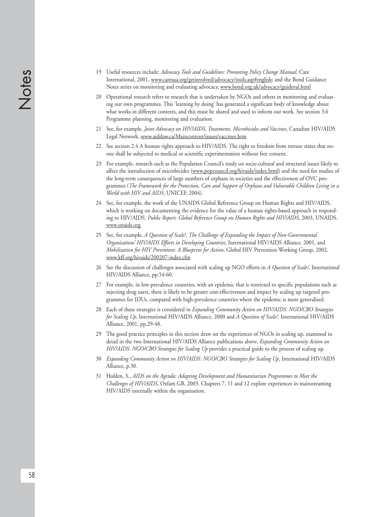- 19 Useful resources include: *Advocacy Tools and Guidelines: Promoting Policy Change Manual*, Care International, 2001, <www.careusa.org/getinvolved/advocacy/tools.asp#english>; and the Bond Guidance Notes series on monitoring and evaluating advocacy, <www.bond.org.uk/advocacy/guideval.html>
- 20 Operational research refers to research that is undertaken by NGOs and others in monitoring and evaluating our own programmes. This 'learning by doing' has generated a significant body of knowledge about what works in different contexts, and this must be shared and used to inform our work. See section 3.6 Programme planning, monitoring and evaluation.
- 21 See, for example, *Joint Advocacy on HIV/AIDS, Treatments, Microbicides and Vaccines*, Canadian HIV/AIDS Legal Network, <www.aidslaw.ca/Maincontent/issues/vaccines.htm>
- 22 See section 2.4 A human rights approach to HIV/AIDS. The right to freedom from torture states that noone shall be subjected to medical or scientific experimentation without free consent.
- 23 For example, research such as the Population Council's study on socio-cultural and structural issues likely to affect the introduction of microbicides [\(www.popcouncil.org/hivaids/index.html](www.popcouncil.org/hivaids/index.html)) and the need for studies of the long-term consequences of large numbers of orphans in societies and the effectiveness of OVC programmes (*The Framework for the Protection, Care and Support of Orphans and Vulnerable Children Living in a World with HIV and AIDS*, UNICEF, 2004).
- 24 See, for example, the work of the UNAIDS Global Reference Group on Human Rights and HIV/AIDS, which is working on documenting the evidence for the value of a human rights-based approach in responding to HIV/AIDS. *Public Report: Global Reference Group on Human Rights and HIV/AIDS*, 2003, UNAIDS. <www.unaids.org>
- 25 See, for example, *A Question of Scale?, The Challenge of Expanding the Impact of Non-Governmental Organisations' HIV/AIDS Efforts in Developing Countries*, International HIV/AIDS Alliance, 2001, and *Mobilization for HIV Prevention: A Blueprint for Action*, Global HIV Prevention Working Group, 2002. <www.kff.org/hivaids/200207-index.cfm>
- 26 See the discussion of challenges associated with scaling up NGO efforts in *A Question of Scale?*, International HIV/AIDS Alliance, pp.54-60.
- 27 For example, in low-prevalence countries, with an epidemic that is restricted to specific populations such as injecting drug users, there is likely to be greater cost-effectiveness and impact by scaling up targeted programmes for IDUs, compared with high-prevalence countries where the epidemic is more generalised.
- 28 Each of these strategies is considered in *Expanding Community Action on HIV/AIDS: NGO/CBO Strategies for Scaling Up*, International HIV/AIDS Alliance, 2000 and *A Question of Scale?*, International HIV/AIDS Alliance, 2001, pp.29-48.
- 29 The good practice principles in this section draw on the experiences of NGOs in scaling up, examined in detail in the two International HIV/AIDS Alliance publications above. *Expanding Community Action on HIV/AIDS: NGO/CBO Strategies for Scaling Up* provides a practical guide to the process of scaling up.
- 30 *Expanding Community Action on HIV/AIDS: NGO/CBO Strategies for Scaling Up*, International HIV/AIDS Alliance, p.30.
- 31 Holden, S., *AIDS on the Agenda: Adapting Development and Humanitarian Programmes to Meet the Challenges of HIV/AIDS*, Oxfam GB, 2003. Chapters 7, 11 and 12 explore experiences in mainstreaming HIV/AIDS internally within the organisation.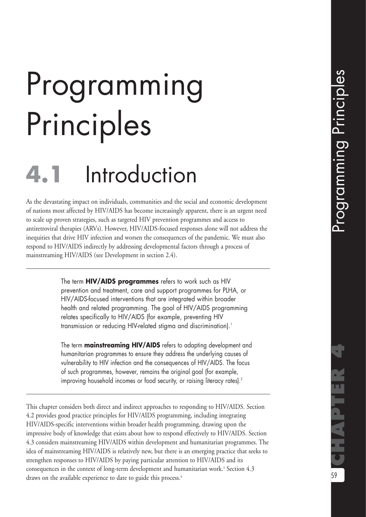# Programming Principles

## **4.1** Introduction

As the devastating impact on individuals, communities and the social and economic development of nations most affected by HIV/AIDS has become increasingly apparent, there is an urgent need to scale up proven strategies, such as targeted HIV prevention programmes and access to antiretroviral therapies (ARVs). However, HIV/AIDS-focused responses alone will not address the inequities that drive HIV infection and worsen the consequences of the pandemic. We must also respond to HIV/AIDS indirectly by addressing developmental factors through a process of mainstreaming HIV/AIDS (see Development in section 2.4).

> The term **HIV/AIDS programmes** refers to work such as HIV prevention and treatment, care and support programmes for PLHA, or HIV/AIDS-focused interventions that are integrated within broader health and related programming. The goal of HIV/AIDS programming relates specifically to HIV/AIDS (for example, preventing HIV transmission or reducing HIV-related stigma and discrimination).<sup>1</sup>

The term **mainstreaming HIV/AIDS** refers to adapting development and humanitarian programmes to ensure they address the underlying causes of vulnerability to HIV infection and the consequences of HIV/AIDS. The focus of such programmes, however, remains the original goal (for example, improving household incomes or food security, or raising literacy rates).<sup>2</sup>

This chapter considers both direct and indirect approaches to responding to HIV/AIDS. Section 4.2 provides good practice principles for HIV/AIDS programming, including integrating HIV/AIDS-specific interventions within broader health programming, drawing upon the impressive body of knowledge that exists about how to respond effectively to HIV/AIDS. Section 4.3 considers mainstreaming HIV/AIDS within development and humanitarian programmes. The idea of mainstreaming HIV/AIDS is relatively new, but there is an emerging practice that seeks to strengthen responses to HIV/AIDS by paying particular attention to HIV/AIDS and its consequences in the context of long-term development and humanitarian work.<sup>3</sup> Section 4.3 humanitarian programmes to ensure they address the underlying causes of<br>vulnerability to HIV infection and the consequences of HIV/AIDS. The focus<br>of such programmes, however, remains the original goal (for example,<br>improv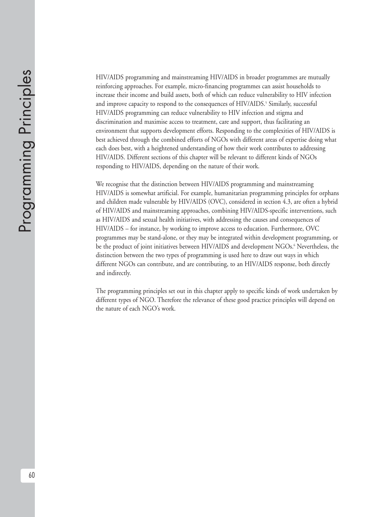HIV/AIDS programming and mainstreaming HIV/AIDS in broader programmes are mutually reinforcing approaches. For example, micro-financing programmes can assist households to increase their income and build assets, both of which can reduce vulnerability to HIV infection and improve capacity to respond to the consequences of HIV/AIDS.<sup>5</sup> Similarly, successful HIV/AIDS programming can reduce vulnerability to HIV infection and stigma and discrimination and maximise access to treatment, care and support, thus facilitating an environment that supports development efforts. Responding to the complexities of HIV/AIDS is best achieved through the combined efforts of NGOs with different areas of expertise doing what each does best, with a heightened understanding of how their work contributes to addressing HIV/AIDS. Different sections of this chapter will be relevant to different kinds of NGOs responding to HIV/AIDS, depending on the nature of their work.

We recognise that the distinction between HIV/AIDS programming and mainstreaming HIV/AIDS is somewhat artificial. For example, humanitarian programming principles for orphans and children made vulnerable by HIV/AIDS (OVC), considered in section 4.3, are often a hybrid of HIV/AIDS and mainstreaming approaches, combining HIV/AIDS-specific interventions, such as HIV/AIDS and sexual health initiatives, with addressing the causes and consequences of HIV/AIDS – for instance, by working to improve access to education. Furthermore, OVC programmes may be stand-alone, or they may be integrated within development programming, or be the product of joint initiatives between HIV/AIDS and development NGOs.<sup>6</sup> Nevertheless, the distinction between the two types of programming is used here to draw out ways in which different NGOs can contribute, and are contributing, to an HIV/AIDS response, both directly and indirectly.

The programming principles set out in this chapter apply to specific kinds of work undertaken by different types of NGO. Therefore the relevance of these good practice principles will depend on the nature of each NGO's work.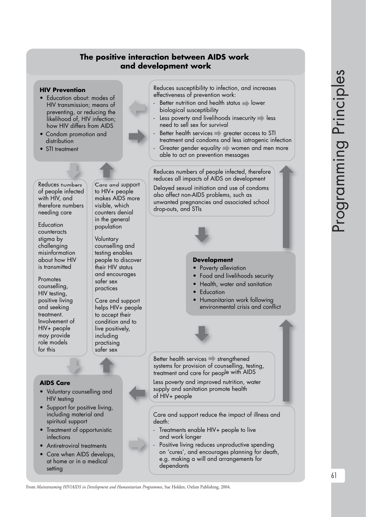# Programming Principles 61 Programming Principles

#### **The positive interaction between AIDS work and development work**

#### **HIV Prevention**

- Education about: modes of HIV transmission; means of preventing, or reducing the likelihood of, HIV infection; how HIV differs from AIDS
- Condom promotion and distribution
- STI treatment

Reduces numbers of people infected with HIV, and therefore numbers needing care

**Education** counteracts stigma by challenging misinformation about how HIV is transmitted

Promotes counselling, HIV testing, positive living and seeking treatment. Involvement of HIV+ people may provide role models for this

Care and support to HIV+ people makes AIDS more visible, which counters denial in the general population

**Voluntary** counselling and testing enables people to discover their HIV status and encourages safer sex practices

Care and support helps HIV+ people to accept their condition and to live positively, including practising safer sex

#### **AIDS Care**

- Voluntary counselling and HIV testing
- Support for positive living, including material and spiritual support
- Treatment of opportunistic infections
- Antiretroviral treatments
- Care when AIDS develops, at home or in a medical setting



- Better nutrition and health status **b** lower biological susceptibility
- Less poverty and livelihoods insecurity  $\Rightarrow$  less need to sell sex for survival
- Better health services areater access to STI treatment and condoms and less iatrogenic infection
- Greater gender equality women and men more able to act on prevention messages

Reduces numbers of people infected, therefore reduces all impacts of AIDS on development Delayed sexual initiation and use of condoms also affect non-AIDS problems, such as unwanted pregnancies and associated school drop-outs, and STIs

#### **Development**

- Poverty alleviation
- Food and livelihoods security
- Health, water and sanitation
- **Education**
- Humanitarian work following environmental crisis and conflict

Better health services **strengthened** systems for provision of counselling, testing, treatment and care for people with AIDS

Less poverty and improved nutrition, water supply and sanitation promote health of HIV+ people

Care and support reduce the impact of illness and death:

- Treatments enable HIV+ people to live and work longer
- Positive living reduces unproductive spending on 'cures', and encourages planning for death, e.g. making a will and arrangements for dependants

From *Mainstreaming HIV/AIDS in Development and Humanitarian Programmes,* Sue Holden, Oxfam Publishing, 2004.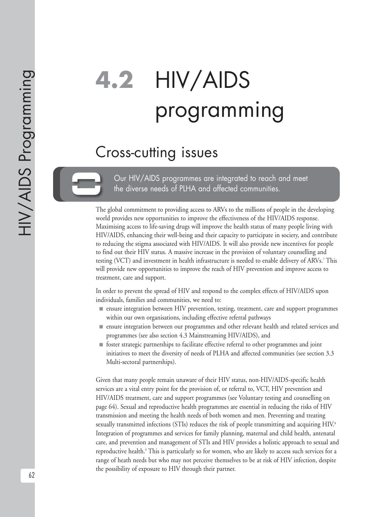# **4.2** HIV/AIDS programming

### Cross-cutting issues

Our HIV/AIDS programmes are integrated to reach and meet the diverse needs of PLHA and affected communities.

The global commitment to providing access to ARVs to the millions of people in the developing world provides new opportunities to improve the effectiveness of the HIV/AIDS response. Maximising access to life-saving drugs will improve the health status of many people living with HIV/AIDS, enhancing their well-being and their capacity to participate in society, and contribute to reducing the stigma associated with HIV/AIDS. It will also provide new incentives for people to find out their HIV status. A massive increase in the provision of voluntary counselling and testing (VCT) and investment in health infrastructure is needed to enable delivery of ARVs.7 This will provide new opportunities to improve the reach of HIV prevention and improve access to treatment, care and support.

In order to prevent the spread of HIV and respond to the complex effects of HIV/AIDS upon individuals, families and communities, we need to:

- ensure integration between HIV prevention, testing, treatment, care and support programmes within our own organisations, including effective referral pathways
- ensure integration between our programmes and other relevant health and related services and programmes (see also section 4.3 Mainstreaming HIV/AIDS), and
- foster strategic partnerships to facilitate effective referral to other programmes and joint initiatives to meet the diversity of needs of PLHA and affected communities (see section 3.3 Multi-sectoral partnerships).

Given that many people remain unaware of their HIV status, non-HIV/AIDS-specific health services are a vital entry point for the provision of, or referral to, VCT, HIV prevention and HIV/AIDS treatment, care and support programmes (see Voluntary testing and counselling on page 64). Sexual and reproductive health programmes are essential in reducing the risks of HIV transmission and meeting the health needs of both women and men. Preventing and treating sexually transmitted infections (STIs) reduces the risk of people transmitting and acquiring HIV.<sup>8</sup> Integration of programmes and services for family planning, maternal and child health, antenatal care, and prevention and management of STIs and HIV provides a holistic approach to sexual and reproductive health.9 This is particularly so for women, who are likely to access such services for a range of heath needs but who may not perceive themselves to be at risk of HIV infection, despite **EXPRESS CONTITURE IS A CONTINUE CONTINUE CONTINUES (CONTINUES)**<br>
CONTINUES programmes are integreted the diverse needs of PIHA and offected<br>
The diverse needs of PIHA and offected<br>
The plotal commitment to providing acce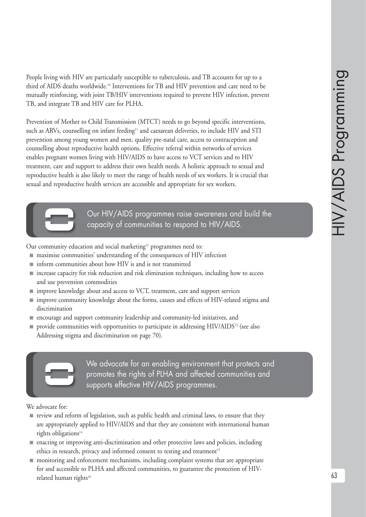People living with HIV are particularly susceptible to tuberculosis, and TB accounts for up to a third of AIDS deaths worldwide.10 Interventions for TB and HIV prevention and care need to be mutually reinforcing, with joint TB/HIV interventions required to prevent HIV infection, prevent TB, and integrate TB and HIV care for PLHA.

Prevention of Mother to Child Transmission (MTCT) needs to go beyond specific interventions, such as ARVs, counselling on infant feeding<sup>11</sup> and caesarean deliveries, to include HIV and STI prevention among young women and men, quality pre-natal care, access to contraception and counselling about reproductive health options. Effective referral within networks of services enables pregnant women living with HIV/AIDS to have access to VCT services and to HIV treatment, care and support to address their own health needs. A holistic approach to sexual and reproductive health is also likely to meet the range of health needs of sex workers. It is crucial that sexual and reproductive health services are accessible and appropriate for sex workers. de loing with HIV are particularly succeptible to talcocation. and To accounts for equilibrial with the state of the state of the state of the state of the state of the state of the state of the state of the state of the



Our HIV/AIDS programmes raise awareness and build the capacity of communities to respond to HIV/AIDS.

Our community education and social marketing<sup>12</sup> programmes need to:

- maximise communities' understanding of the consequences of HIV infection
- inform communities about how HIV is and is not transmitted
- increase capacity for risk reduction and risk elimination techniques, including how to access and use prevention commodities
- improve knowledge about and access to VCT, treatment, care and support services
- improve community knowledge about the forms, causes and effects of HIV-related stigma and discrimination
- encourage and support community leadership and community-led initiatives, and
- provide communities with opportunities to participate in addressing HIV/AIDS<sup>13</sup> (see also Addressing stigma and discrimination on page 70).



We advocate for an enabling environment that protects and promotes the rights of PLHA and affected communities and supports effective HIV/AIDS programmes.

We advocate for:

- review and reform of legislation, such as public health and criminal laws, to ensure that they are appropriately applied to HIV/AIDS and that they are consistent with international human rights obligations<sup>14</sup>
- enacting or improving anti-discrimination and other protective laws and policies, including ethics in research, privacy and informed consent to testing and treatment<sup>15</sup>
- monitoring and enforcement mechanisms, including complaint systems that are appropriate for and accessible to PLHA and affected communities, to guarantee the protection of HIV-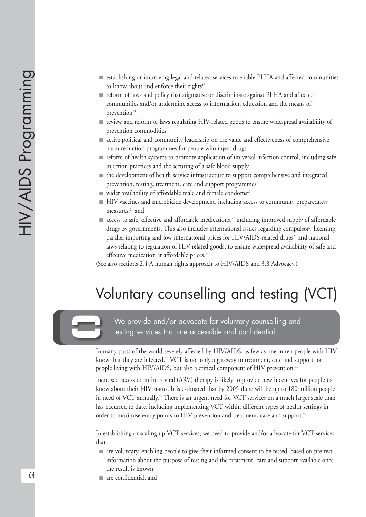- exabishing or improvided and a memorialist and removements and removements and removements and removements are according to the set of the set of the set of the set of the set of the set of the set of the set of the set
	- establishing or improving legal and related services to enable PLHA and affected communities to know about and enforce their rights<sup>17</sup>
	- reform of laws and policy that stigmatise or discriminate against PLHA and affected communities and/or undermine access to information, education and the means of prevention<sup>18</sup>
	- review and reform of laws regulating HIV-related goods to ensure widespread availability of prevention commodities<sup>19</sup>
	- active political and community leadership on the value and effectiveness of comprehensive harm reduction programmes for people who inject drugs
	- reform of health systems to promote application of universal infection control, including safe injection practices and the securing of a safe blood supply
	- the development of health service infrastructure to support comprehensive and integrated prevention, testing, treatment, care and support programmes
	- $\blacksquare$  wider availability of affordable male and female condoms<sup>20</sup>
	- HIV vaccines and microbicide development, including access to community preparedness measures,<sup>21</sup> and
	- $\blacksquare$  access to safe, effective and affordable medications,<sup>22</sup> including improved supply of affordable drugs by governments. This also includes international issues regarding compulsory licensing, parallel importing and low international prices for HIV/AIDS-related drugs<sup>23</sup> and national laws relating to regulation of HIV-related goods, to ensure widespread availability of safe and effective medication at affordable prices.<sup>24</sup>

(See also sections 2.4 A human rights approach to HIV/AIDS and 3.8 Advocacy.)

## Voluntary counselling and testing (VCT)



We provide and/or advocate for voluntary counselling and testing services that are accessible and confidential.

In many parts of the world severely affected by HIV/AIDS, as few as one in ten people with HIV know that they are infected.<sup>25</sup> VCT is not only a gateway to treatment, care and support for people living with HIV/AIDS, but also a critical component of HIV prevention.26

Increased access to antiretroviral (ARV) therapy is likely to provide new incentives for people to know about their HIV status. It is estimated that by 2005 there will be up to 180 million people in need of VCT annually.<sup>27</sup> There is an urgent need for VCT services on a much larger scale than has occurred to date, including implementing VCT within different types of health settings in order to maximise entry points to HIV prevention and treatment, care and support.<sup>28</sup>

In establishing or scaling up VCT services, we need to provide and/or advocate for VCT services that:

- are voluntary, enabling people to give their informed consent to be tested, based on pre-test information about the purpose of testing and the treatment, care and support available once the result is known
-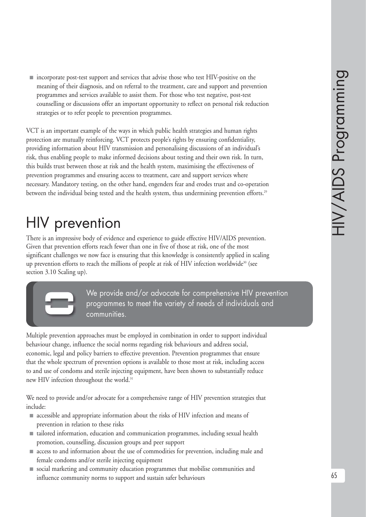■ incorporate post-test support and services that advise those who test HIV-positive on the meaning of their diagnosis, and on referral to the treatment, care and support and prevention programmes and services available to assist them. For those who test negative, post-test counselling or discussions offer an important opportunity to reflect on personal risk reduction strategies or to refer people to prevention programmes.

VCT is an important example of the ways in which public health strategies and human rights protection are mutually reinforcing. VCT protects people's rights by ensuring confidentiality, providing information about HIV transmission and personalising discussions of an individual's risk, thus enabling people to make informed decisions about testing and their own risk. In turn, this builds trust between those at risk and the health system, maximising the effectiveness of prevention programmes and ensuring access to treatment, care and support services where necessary. Mandatory testing, on the other hand, engenders fear and erodes trust and co-operation between the individual being tested and the health system, thus undermining prevention efforts.<sup>29</sup> incorporate post-test stappers, and survivas that above done who such approach and presenters or any computer properties of the disponential survivale properties of the disponential of the sustainable to such that the mat

## HIV prevention

There is an impressive body of evidence and experience to guide effective HIV/AIDS prevention. Given that prevention efforts reach fewer than one in five of those at risk, one of the most significant challenges we now face is ensuring that this knowledge is consistently applied in scaling up prevention efforts to reach the millions of people at risk of HIV infection worldwide<sup>30</sup> (see section 3.10 Scaling up).



We provide and/or advocate for comprehensive HIV prevention programmes to meet the variety of needs of individuals and communities.

Multiple prevention approaches must be employed in combination in order to support individual behaviour change, influence the social norms regarding risk behaviours and address social, economic, legal and policy barriers to effective prevention. Prevention programmes that ensure that the whole spectrum of prevention options is available to those most at risk, including access to and use of condoms and sterile injecting equipment, have been shown to substantially reduce new HIV infection throughout the world.<sup>31</sup>

We need to provide and/or advocate for a comprehensive range of HIV prevention strategies that include:

- accessible and appropriate information about the risks of HIV infection and means of prevention in relation to these risks
- tailored information, education and communication programmes, including sexual health promotion, counselling, discussion groups and peer support
- access to and information about the use of commodities for prevention, including male and female condoms and/or sterile injecting equipment
- social marketing and community education programmes that mobilise communities and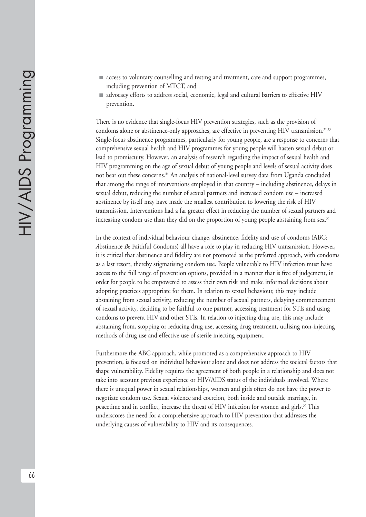- access to voluntary counselling and testing and treatment, care and support programmes, including prevention of MTCT, and
- advocacy efforts to address social, economic, legal and cultural barriers to effective HIV prevention.

There is no evidence that single-focus HIV prevention strategies, such as the provision of condoms alone or abstinence-only approaches, are effective in preventing HIV transmission.<sup>32,33</sup> Single-focus abstinence programmes, particularly for young people, are a response to concerns that comprehensive sexual health and HIV programmes for young people will hasten sexual debut or lead to promiscuity. However, an analysis of research regarding the impact of sexual health and HIV programming on the age of sexual debut of young people and levels of sexual activity does not bear out these concerns.34 An analysis of national-level survey data from Uganda concluded that among the range of interventions employed in that country – including abstinence, delays in sexual debut, reducing the number of sexual partners and increased condom use – increased abstinence by itself may have made the smallest contribution to lowering the risk of HIV transmission. Interventions had a far greater effect in reducing the number of sexual partners and increasing condom use than they did on the proportion of young people abstaining from sex.<sup>35</sup>

In the context of individual behaviour change, abstinence, fidelity and use of condoms (ABC: *A*bstinence *B*e Faithful *C*ondoms) all have a role to play in reducing HIV transmission. However, it is critical that abstinence and fidelity are not promoted as the preferred approach, with condoms as a last resort, thereby stigmatising condom use. People vulnerable to HIV infection must have access to the full range of prevention options, provided in a manner that is free of judgement, in order for people to be empowered to assess their own risk and make informed decisions about adopting practices appropriate for them. In relation to sexual behaviour, this may include abstaining from sexual activity, reducing the number of sexual partners, delaying commencement of sexual activity, deciding to be faithful to one partner, accessing treatment for STIs and using condoms to prevent HIV and other STIs. In relation to injecting drug use, this may include abstaining from, stopping or reducing drug use, accessing drug treatment, utilising non-injecting methods of drug use and effective use of sterile injecting equipment.

Furthermore the ABC approach, while promoted as a comprehensive approach to HIV prevention, is focused on individual behaviour alone and does not address the societal factors that shape vulnerability. Fidelity requires the agreement of both people in a relationship and does not take into account previous experience or HIV/AIDS status of the individuals involved. Where there is unequal power in sexual relationships, women and girls often do not have the power to negotiate condom use. Sexual violence and coercion, both inside and outside marriage, in peacetime and in conflict, increase the threat of HIV infection for women and girls.<sup>36</sup> This underscores the need for a comprehensive approach to HIV prevention that addresses the underlying causes of vulnerability to HIV and its consequences.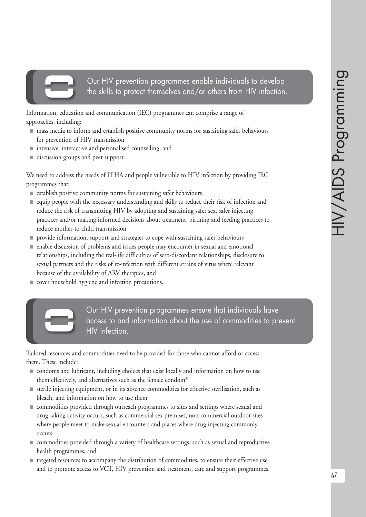

#### Our HIV prevention programmes enable individuals to develop the skills to protect themselves and/or others from HIV infection.

Information, education and communication (IEC) programmes can comprise a range of approaches, including:

- mass media to inform and establish positive community norms for sustaining safer behaviours for prevention of HIV transmission
- intensive, interactive and personalised counselling, and
- discussion groups and peer support.

We need to address the needs of PLHA and people vulnerable to HIV infection by providing IEC programmes that:

- establish positive community norms for sustaining safer behaviours
- equip people with the necessary understanding and skills to reduce their risk of infection and reduce the risk of transmitting HIV by adopting and sustaining safer sex, safer injecting practices and/or making informed decisions about treatment, birthing and feeding practices to reduce mother-to-child transmission
- provide information, support and strategies to cope with sustaining safer behaviours
- enable discussion of problems and issues people may encounter in sexual and emotional relationships, including the real-life difficulties of sero-discordant relationships, disclosure to sexual partners and the risks of re-infection with different strains of virus where relevant because of the availability of ARV therapies, and Curr HIV prevention programmes encolle individuals to develop the skills to protect themselves and/or others from HIV infection.<br>
The skills to protect themselves to CO programmes can comprise a range of<br>
which methods we
- cover household hygiene and infection precautions.



Our HIV prevention programmes ensure that individuals have access to and information about the use of commodities to prevent HIV infection.

Tailored resources and commodities need to be provided for those who cannot afford or access them. These include:

- condoms and lubricant, including choices that exist locally and information on how to use them effectively, and alternatives such as the female condom<sup>37</sup>
- sterile injecting equipment, or in its absence commodities for effective sterilisation, such as bleach, and information on how to use them
- commodities provided through outreach programmes to sites and settings where sexual and drug-taking activity occurs, such as commercial sex premises, non-commercial outdoor sites where people meet to make sexual encounters and places where drug injecting commonly occurs
- commodities provided through a variety of healthcare settings, such as sexual and reproductive health programmes, and
- targeted resources to accompany the distribution of commodities, to ensure their effective use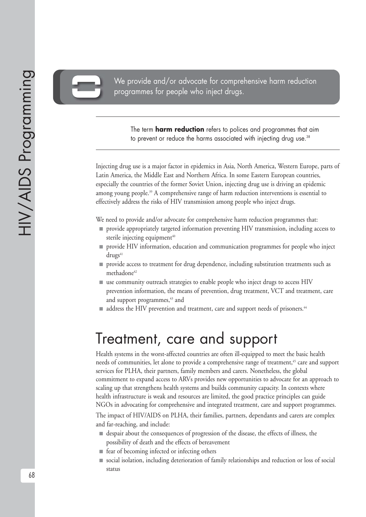

We provide and/or advocate for comprehensive harm reduction programmes for people who inject drugs.

The term **harm reduction** refers to polices and programmes that aim to prevent or reduce the harms associated with injecting drug use.<sup>38</sup>

Injecting drug use is a major factor in epidemics in Asia, North America, Western Europe, parts of Latin America, the Middle East and Northern Africa. In some Eastern European countries, especially the countries of the former Soviet Union, injecting drug use is driving an epidemic among young people.39 A comprehensive range of harm reduction interventions is essential to effectively address the risks of HIV transmission among people who inject drugs.

We need to provide and/or advocate for comprehensive harm reduction programmes that:

- provide appropriately targeted information preventing HIV transmission, including access to sterile injecting equipment $40$
- provide HIV information, education and communication programmes for people who inject drugs<sup>41</sup>
- provide access to treatment for drug dependence, including substitution treatments such as methadone<sup>42</sup>
- use community outreach strategies to enable people who inject drugs to access HIV prevention information, the means of prevention, drug treatment, VCT and treatment, care and support programmes,<sup>43</sup> and
- address the HIV prevention and treatment, care and support needs of prisoners.<sup>44</sup>

## Treatment, care and support

Health systems in the worst-affected countries are often ill-equipped to meet the basic health needs of communities, let alone to provide a comprehensive range of treatment,<sup>45</sup> care and support services for PLHA, their partners, family members and carers. Nonetheless, the global commitment to expand access to ARVs provides new opportunities to advocate for an approach to scaling up that strengthens health systems and builds community capacity. In contexts where health infrastructure is weak and resources are limited, the good practice principles can guide NGOs in advocating for comprehensive and integrated treatment, care and support programmes.

The impact of HIV/AIDS on PLHA, their families, partners, dependants and carers are complex and far-reaching, and include:

- despair about the consequences of progression of the disease, the effects of illness, the possibility of death and the effects of bereavement
- fear of becoming infected or infecting others
- social isolation, including deterioration of family relationships and reduction or loss of social status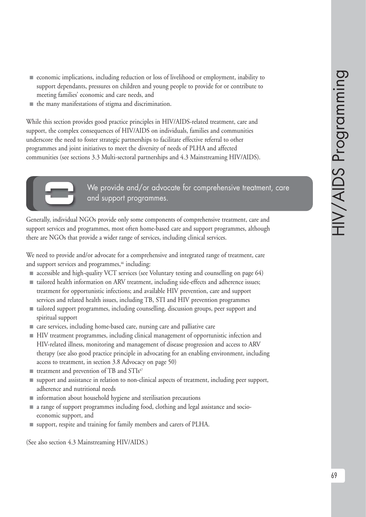- economic implications, including reduction or loss of livelihood or employment, inability to support dependants, pressures on children and young people to provide for or contribute to meeting families' economic and care needs, and
- the many manifestations of stigma and discrimination.

While this section provides good practice principles in HIV/AIDS-related treatment, care and support, the complex consequences of HIV/AIDS on individuals, families and communities underscore the need to foster strategic partnerships to facilitate effective referral to other programmes and joint initiatives to meet the diversity of needs of PLHA and affected communities (see sections 3.3 Multi-sectoral partnerships and 4.3 Mainstreaming HIV/AIDS).



We provide and/or advocate for comprehensive treatment, care and support programmes.

Generally, individual NGOs provide only some components of comprehensive treatment, care and support services and programmes, most often home-based care and support programmes, although there are NGOs that provide a wider range of services, including clinical services.

We need to provide and/or advocate for a comprehensive and integrated range of treatment, care and support services and programmes,<sup>46</sup> including:

- accessible and high-quality VCT services (see Voluntary testing and counselling on page 64)
- tailored health information on ARV treatment, including side-effects and adherence issues; treatment for opportunistic infections; and available HIV prevention, care and support services and related health issues, including TB, STI and HIV prevention programmes
- tailored support programmes, including counselling, discussion groups, peer support and spiritual support
- care services, including home-based care, nursing care and palliative care
- HIV treatment programmes, including clinical management of opportunistic infection and HIV-related illness, monitoring and management of disease progression and access to ARV therapy (see also good practice principle in advocating for an enabling environment, including access to treatment, in section 3.8 Advocacy on page 50)
- $\blacksquare$  treatment and prevention of TB and STIs<sup>47</sup>
- support and assistance in relation to non-clinical aspects of treatment, including peer support, adherence and nutritional needs
- information about household hygiene and sterilisation precautions
- a range of support programmes including food, clothing and legal assistance and socioeconomic support, and
- support, respite and training for family members and carers of PLHA.

(See also section 4.3 Mainstreaming HIV/AIDS.)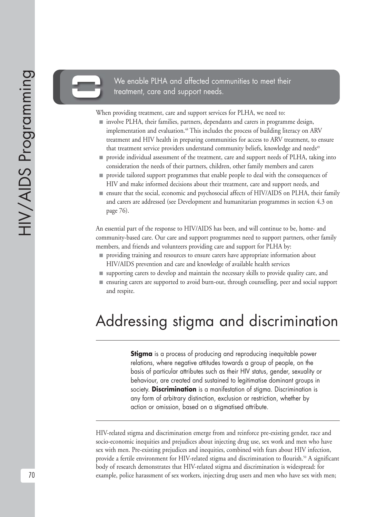

We enable PLHA and affected communities to meet their treatment, care and support needs.

When providing treatment, care and support services for PLHA, we need to:

- involve PLHA, their families, partners, dependants and carers in programme design, implementation and evaluation.<sup>48</sup> This includes the process of building literacy on ARV treatment and HIV health in preparing communities for access to ARV treatment, to ensure that treatment service providers understand community beliefs, knowledge and needs<sup>49</sup>
- provide individual assessment of the treatment, care and support needs of PLHA, taking into consideration the needs of their partners, children, other family members and carers
- provide tailored support programmes that enable people to deal with the consequences of HIV and make informed decisions about their treatment, care and support needs, and
- ensure that the social, economic and psychosocial affects of HIV/AIDS on PLHA, their family and carers are addressed (see Development and humanitarian programmes in section 4.3 on page 76).

An essential part of the response to HIV/AIDS has been, and will continue to be, home- and community-based care. Our care and support programmes need to support partners, other family members, and friends and volunteers providing care and support for PLHA by:

- providing training and resources to ensure carers have appropriate information about HIV/AIDS prevention and care and knowledge of available health services
- supporting carers to develop and maintain the necessary skills to provide quality care, and
- ensuring carers are supported to avoid burn-out, through counselling, peer and social support and respite.

## Addressing stigma and discrimination

**Stigma** is a process of producing and reproducing inequitable power relations, where negative attitudes towards a group of people, on the basis of particular attributes such as their HIV status, gender, sexuality or behaviour, are created and sustained to legitimatise dominant groups in society. **Discrimination** is a manifestation of stigma. Discrimination is any form of arbitrary distinction, exclusion or restriction, whether by action or omission, based on a stigmatised attribute.

HIV-related stigma and discrimination emerge from and reinforce pre-existing gender, race and socio-economic inequities and prejudices about injecting drug use, sex work and men who have sex with men. Pre-existing prejudices and inequities, combined with fears about HIV infection, provide a fertile environment for HIV-related stigma and discrimination to flourish.50 A significant body of research demonstrates that HIV-related stigma and discrimination is widespread: for The model of the second of sex workers and second and sex with mension of sex with the sex with the sex with the sex with the sex with the sex with the sex with the sex with the sex with the sex with the sex with the sex w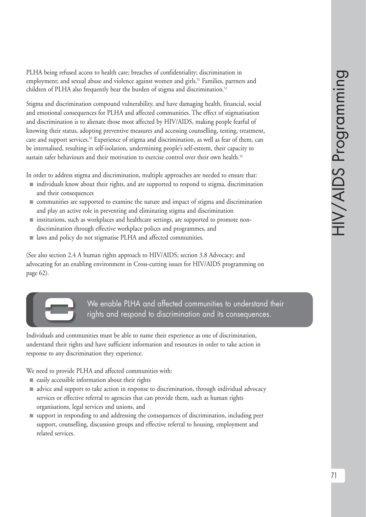PLHA being refused access to health care; breaches of confidentiality; discrimination in employment; and sexual abuse and violence against women and girls.<sup>51</sup> Families, partners and children of PLHA also frequently bear the burden of stigma and discrimination.<sup>52</sup>

Stigma and discrimination compound vulnerability, and have damaging health, financial, social and emotional consequences for PLHA and affected communities. The effect of stigmatisation and discrimination is to alienate those most affected by HIV/AIDS, making people fearful of knowing their status, adopting preventive measures and accessing counselling, testing, treatment, care and support services.<sup>53</sup> Experience of stigma and discrimination, as well as fear of them, can be internalised, resulting in self-isolation, undermining people's self-esteem, their capacity to sustain safer behaviours and their motivation to exercise control over their own health.<sup>54</sup>

In order to address stigma and discrimination, multiple approaches are needed to ensure that:

- individuals know about their rights, and are supported to respond to stigma, discrimination and their consequences
- communities are supported to examine the nature and impact of stigma and discrimination and play an active role in preventing and eliminating stigma and discrimination
- institutions, such as workplaces and healthcare settings, are supported to promote nondiscrimination through effective workplace polices and programmes, and
- laws and policy do not stigmatise PLHA and affected communities.

(See also section 2.4 A human rights approach to HIV/AIDS; section 3.8 Advocacy; and advocating for an enabling environment in Cross-cutting issues for HIV/AIDS programming on page 62).



We enable PLHA and affected communities to understand their rights and respond to discrimination and its consequences.

Individuals and communities must be able to name their experience as one of discrimination, understand their rights and have sufficient information and resources in order to take action in response to any discrimination they experience.

We need to provide PLHA and affected communities with:

- easily accessible information about their rights
- advice and support to take action in response to discrimination, through individual advocacy services or effective referral to agencies that can provide them, such as human rights organisations, legal services and unions, and
- support in responding to and addressing the consequences of discrimination, including peer support, counselling, discussion groups and effective referral to housing, employment and related services.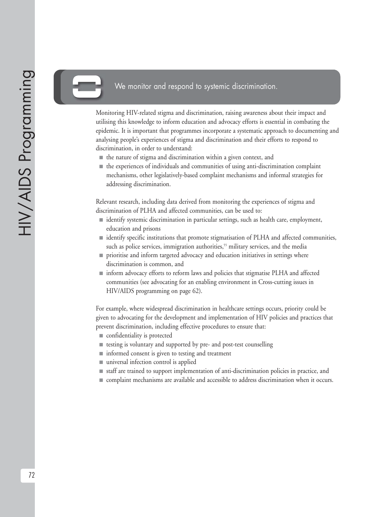#### We monitor and respond to systemic discrimination.

Monitoring HIV-related stigma and discrimination, raising awareness about their impact and utilising this knowledge to inform education and advocacy efforts is essential in combating the epidemic. It is important that programmes incorporate a systematic approach to documenting and analysing people's experiences of stigma and discrimination and their efforts to respond to discrimination, in order to understand:

- the nature of stigma and discrimination within a given context, and
- the experiences of individuals and communities of using anti-discrimination complaint mechanisms, other legislatively-based complaint mechanisms and informal strategies for addressing discrimination.

Relevant research, including data derived from monitoring the experiences of stigma and discrimination of PLHA and affected communities, can be used to:

- identify systemic discrimination in particular settings, such as health care, employment, education and prisons
- identify specific institutions that promote stigmatisation of PLHA and affected communities, such as police services, immigration authorities,<sup>55</sup> military services, and the media
- prioritise and inform targeted advocacy and education initiatives in settings where discrimination is common, and
- inform advocacy efforts to reform laws and policies that stigmatise PLHA and affected communities (see advocating for an enabling environment in Cross-cutting issues in HIV/AIDS programming on page 62).

For example, where widespread discrimination in healthcare settings occurs, priority could be given to advocating for the development and implementation of HIV policies and practices that prevent discrimination, including effective procedures to ensure that:

- confidentiality is protected
- testing is voluntary and supported by pre- and post-test counselling
- informed consent is given to testing and treatment
- universal infection control is applied
- staff are trained to support implementation of anti-discrimination policies in practice, and
- complaint mechanisms are available and accessible to address discrimination when it occurs.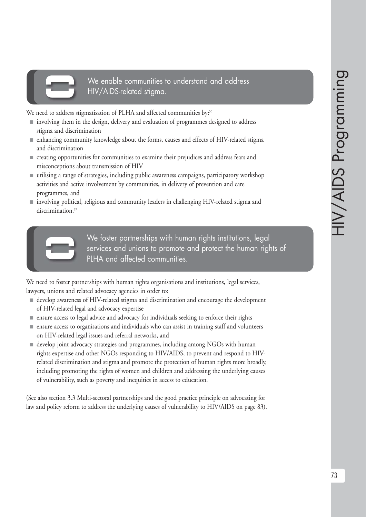

#### We enable communities to understand and address HIV/AIDS-related stigma.

We need to address stigmatisation of PLHA and affected communities by:<sup>56</sup>

- involving them in the design, delivery and evaluation of programmes designed to address stigma and discrimination
- enhancing community knowledge about the forms, causes and effects of HIV-related stigma and discrimination
- creating opportunities for communities to examine their prejudices and address fears and misconceptions about transmission of HIV
- utilising a range of strategies, including public awareness campaigns, participatory workshop activities and active involvement by communities, in delivery of prevention and care programmes, and
- involving political, religious and community leaders in challenging HIV-related stigma and discrimination.<sup>57</sup>



We foster partnerships with human rights institutions, legal services and unions to promote and protect the human rights of PLHA and affected communities.

We need to foster partnerships with human rights organisations and institutions, legal services, lawyers, unions and related advocacy agencies in order to:

- develop awareness of HIV-related stigma and discrimination and encourage the development of HIV-related legal and advocacy expertise
- ensure access to legal advice and advocacy for individuals seeking to enforce their rights
- ensure access to organisations and individuals who can assist in training staff and volunteers on HIV-related legal issues and referral networks, and
- develop joint advocacy strategies and programmes, including among NGOs with human rights expertise and other NGOs responding to HIV/AIDS, to prevent and respond to HIVrelated discrimination and stigma and promote the protection of human rights more broadly, including promoting the rights of women and children and addressing the underlying causes of vulnerability, such as poverty and inequities in access to education.

(See also section 3.3 Multi-sectoral partnerships and the good practice principle on advocating for law and policy reform to address the underlying causes of vulnerability to HIV/AIDS on page 83).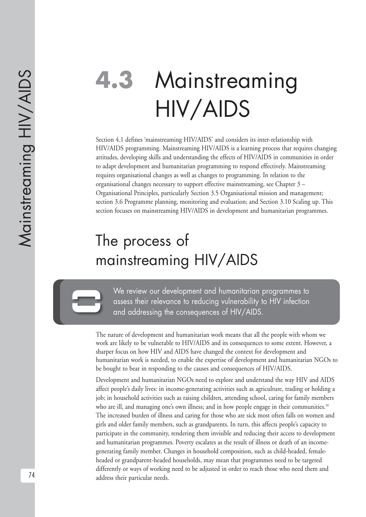# **4.3** Mainstreaming HIV/AIDS

Section 4.1 defines 'mainstreaming HIV/AIDS' and considers its inter-relationship with HIV/AIDS programming. Mainstreaming HIV/AIDS is a learning process that requires changing attitudes, developing skills and understanding the effects of HIV/AIDS in communities in order to adapt development and humanitarian programming to respond effectively. Mainstreaming requires organisational changes as well as changes to programming. In relation to the organisational changes necessary to support effective mainstreaming, see Chapter 3 – Organisational Principles, particularly Section 3.5 Organisational mission and management; section 3.6 Programme planning, monitoring and evaluation; and Section 3.10 Scaling up. This section focuses on mainstreaming HIV/AIDS in development and humanitarian programmes.

# The process of mainstreaming HIV/AIDS

We review our development and humanitarian programmes to assess their relevance to reducing vulnerability to HIV infection and addressing the consequences of HIV/AIDS.

The nature of development and humanitarian work means that all the people with whom we work are likely to be vulnerable to HIV/AIDS and its consequences to some extent. However, a sharper focus on how HIV and AIDS have changed the context for development and humanitarian work is needed, to enable the expertise of development and humanitarian NGOs to be bought to bear in responding to the causes and consequences of HIV/AIDS.

Development and humanitarian NGOs need to explore and understand the way HIV and AIDS affect people's daily lives: in income-generating activities such as agriculture, trading or holding a job; in household activities such as raising children, attending school, caring for family members who are ill, and managing one's own illness; and in how people engage in their communities.<sup>58</sup> The increased burden of illness and caring for those who are sick most often falls on women and girls and older family members, such as grandparents. In turn, this affects people's capacity to participate in the community, rendering them invisible and reducing their access to development and humanitarian programmes. Poverty escalates as the result of illness or death of an incomegenerating family member. Changes in household composition, such as child-headed, femaleheaded or grandparent-headed households, may mean that programmes need to be targeted differently or ways of working need to be adjusted in order to reach those who need them and Example 11<br>
a Section 4.1 defines 'mainstream'<br>
arrivales, developing skills and<br>
no adapt development and hum<br>
requires organisational changes necessa<br>
Organisational changes necessa<br>
con 3.6 Programme planni<br>
section foc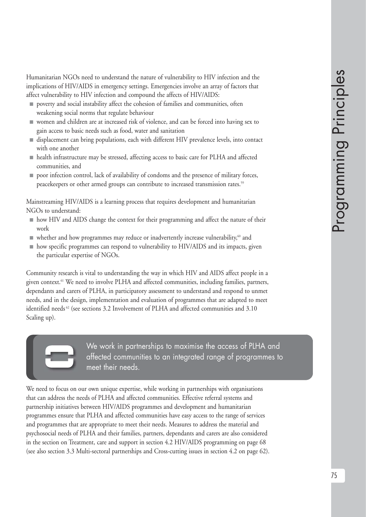Humanitarian NGOs need to understand the nature of vulnerability to HIV infection and the implications of HIV/AIDS in emergency settings. Emergencies involve an array of factors that affect vulnerability to HIV infection and compound the affects of HIV/AIDS:

- poverty and social instability affect the cohesion of families and communities, often weakening social norms that regulate behaviour
- women and children are at increased risk of violence, and can be forced into having sex to gain access to basic needs such as food, water and sanitation
- displacement can bring populations, each with different HIV prevalence levels, into contact with one another
- health infrastructure may be stressed, affecting access to basic care for PLHA and affected communities, and
- poor infection control, lack of availability of condoms and the presence of military forces, peacekeepers or other armed groups can contribute to increased transmission rates.<sup>59</sup>

Mainstreaming HIV/AIDS is a learning process that requires development and humanitarian NGOs to understand:

- how HIV and AIDS change the context for their programming and affect the nature of their work
- $\blacksquare$  whether and how programmes may reduce or inadvertently increase vulnerability, $60$  and
- how specific programmes can respond to vulnerability to HIV/AIDS and its impacts, given the particular expertise of NGOs.

Community research is vital to understanding the way in which HIV and AIDS affect people in a given context.61 We need to involve PLHA and affected communities, including families, partners, dependants and carers of PLHA, in participatory assessment to understand and respond to unmet needs, and in the design, implementation and evaluation of programmes that are adapted to meet identified needs  $\frac{62}{2}$  (see sections 3.2 Involvement of PLHA and affected communities and 3.10 Scaling up).



We work in partnerships to maximise the access of PLHA and affected communities to an integrated range of programmes to meet their needs.

We need to focus on our own unique expertise, while working in partnerships with organisations that can address the needs of PLHA and affected communities. Effective referral systems and partnership initiatives between HIV/AIDS programmes and development and humanitarian programmes ensure that PLHA and affected communities have easy access to the range of services and programmes that are appropriate to meet their needs. Measures to address the material and psychosocial needs of PLHA and their families, partners, dependants and carers are also considered in the section on Treatment, care and support in section 4.2 HIV/AIDS programming on page 68 (see also section 3.3 Multi-sectoral partnerships and Cross-cutting issues in section 4.2 on page 62).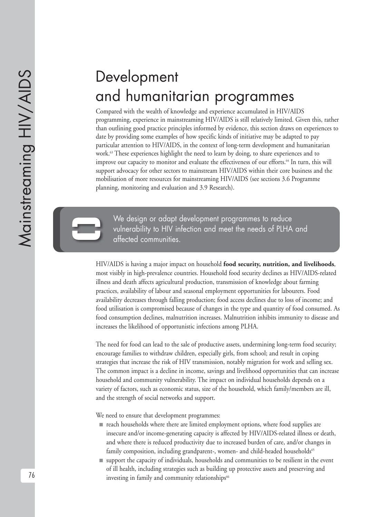# Development and humanitarian programmes

Compared with the wealth of knowledge and experience accumulated in HIV/AIDS programming, experience in mainstreaming HIV/AIDS is still relatively limited. Given this, rather than outlining good practice principles informed by evidence, this section draws on experiences to date by providing some examples of how specific kinds of initiative may be adapted to pay particular attention to HIV/AIDS, in the context of long-term development and humanitarian work.<sup>63</sup> These experiences highlight the need to learn by doing, to share experiences and to improve our capacity to monitor and evaluate the effectiveness of our efforts.64 In turn, this will support advocacy for other sectors to mainstream HIV/AIDS within their core business and the mobilisation of more resources for mainstreaming HIV/AIDS (see sections 3.6 Programme planning, monitoring and evaluation and 3.9 Research). **IDENTIFY CONTROLL COMMUNITY CONTROLL CONTROLL CONTROLL CONTROLL CONTROLL CONTROLL CONTROLL CONTROLL CONTROLL CONTROLL CONTROLL CONTROLL CONTROLL CONTROLL CONTROLL CONTROLL CONTROLL CONTROLL CONTROLL CONTROLL CONTROLL CONT** 



We design or adapt development programmes to reduce vulnerability to HIV infection and meet the needs of PLHA and affected communities.

HIV/AIDS is having a major impact on household **food security, nutrition, and livelihoods**, most visibly in high-prevalence countries. Household food security declines as HIV/AIDS-related illness and death affects agricultural production, transmission of knowledge about farming practices, availability of labour and seasonal employment opportunities for labourers. Food availability decreases through falling production; food access declines due to loss of income; and food utilisation is compromised because of changes in the type and quantity of food consumed. As food consumption declines, malnutrition increases. Malnutrition inhibits immunity to disease and increases the likelihood of opportunistic infections among PLHA.

The need for food can lead to the sale of productive assets, undermining long-term food security; encourage families to withdraw children, especially girls, from school; and result in coping strategies that increase the risk of HIV transmission, notably migration for work and selling sex. The common impact is a decline in income, savings and livelihood opportunities that can increase household and community vulnerability. The impact on individual households depends on a variety of factors, such as economic status, size of the household, which family/members are ill, and the strength of social networks and support.

We need to ensure that development programmes:

- reach households where there are limited employment options, where food supplies are insecure and/or income-generating capacity is affected by HIV/AIDS-related illness or death, and where there is reduced productivity due to increased burden of care, and/or changes in family composition, including grandparent-, women- and child-headed households<sup>65</sup>
- support the capacity of individuals, households and communities to be resilient in the event of ill health, including strategies such as building up protective assets and preserving and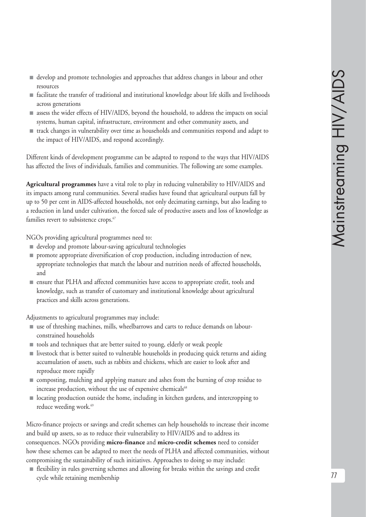- develop and promote technologies and approaches that address changes in labour and other resources
- facilitate the transfer of traditional and institutional knowledge about life skills and livelihoods across generations
- assess the wider effects of HIV/AIDS, beyond the household, to address the impacts on social systems, human capital, infrastructure, environment and other community assets, and
- track changes in vulnerability over time as households and communities respond and adapt to the impact of HIV/AIDS, and respond accordingly.

Different kinds of development programme can be adapted to respond to the ways that HIV/AIDS has affected the lives of individuals, families and communities. The following are some examples.

**Agricultural programmes** have a vital role to play in reducing vulnerability to HIV/AIDS and its impacts among rural communities. Several studies have found that agricultural outputs fall by up to 50 per cent in AIDS-affected households, not only decimating earnings, but also leading to a reduction in land under cultivation, the forced sale of productive assets and loss of knowledge as families revert to subsistence crops.<sup>67</sup> denotes and parents and reduced<br>the action of the stational stational stational stational stational stational stational stational stational stational stational stational stational stational stational stational stational s

NGOs providing agricultural programmes need to:

- develop and promote labour-saving agricultural technologies
- promote appropriate diversification of crop production, including introduction of new, appropriate technologies that match the labour and nutrition needs of affected households, and
- ensure that PLHA and affected communities have access to appropriate credit, tools and knowledge, such as transfer of customary and institutional knowledge about agricultural practices and skills across generations.

Adjustments to agricultural programmes may include:

- use of threshing machines, mills, wheelbarrows and carts to reduce demands on labourconstrained households
- tools and techniques that are better suited to young, elderly or weak people
- livestock that is better suited to vulnerable households in producing quick returns and aiding accumulation of assets, such as rabbits and chickens, which are easier to look after and reproduce more rapidly
- composting, mulching and applying manure and ashes from the burning of crop residue to increase production, without the use of expensive chemicals<sup>68</sup>
- locating production outside the home, including in kitchen gardens, and intercropping to reduce weeding work.<sup>69</sup>

Micro-finance projects or savings and credit schemes can help households to increase their income and build up assets, so as to reduce their vulnerability to HIV/AIDS and to address its consequences. NGOs providing **micro-finance** and **micro-credit schemes** need to consider how these schemes can be adapted to meet the needs of PLHA and affected communities, without compromising the sustainability of such initiatives. Approaches to doing so may include:

■ flexibility in rules governing schemes and allowing for breaks within the savings and credit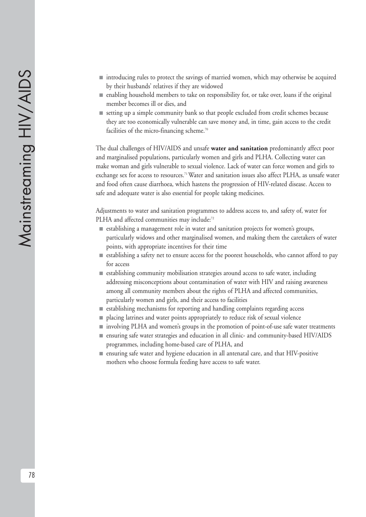- introducing rules to protect the savings of married women, which may otherwise be acquired by their husbands' relatives if they are widowed
- enabling household members to take on responsibility for, or take over, loans if the original member becomes ill or dies, and
- setting up a simple community bank so that people excluded from credit schemes because they are too economically vulnerable can save money and, in time, gain access to the credit facilities of the micro-financing scheme.<sup>70</sup>

The dual challenges of HIV/AIDS and unsafe **water and sanitation** predominantly affect poor and marginalised populations, particularly women and girls and PLHA. Collecting water can make woman and girls vulnerable to sexual violence. Lack of water can force women and girls to exchange sex for access to resources.71Water and sanitation issues also affect PLHA, as unsafe water and food often cause diarrhoea, which hastens the progression of HIV-related disease. Access to safe and adequate water is also essential for people taking medicines.

Adjustments to water and sanitation programmes to address access to, and safety of, water for PLHA and affected communities may include:<sup>72</sup>

- establishing a management role in water and sanitation projects for women's groups, particularly widows and other marginalised women, and making them the caretakers of water points, with appropriate incentives for their time
- establishing a safety net to ensure access for the poorest households, who cannot afford to pay for access
- establishing community mobilisation strategies around access to safe water, including addressing misconceptions about contamination of water with HIV and raising awareness among all community members about the rights of PLHA and affected communities, particularly women and girls, and their access to facilities
- establishing mechanisms for reporting and handling complaints regarding access
- placing latrines and water points appropriately to reduce risk of sexual violence
- involving PLHA and women's groups in the promotion of point-of-use safe water treatments
- ensuring safe water strategies and education in all clinic- and community-based HIV/AIDS programmes, including home-based care of PLHA, and
- ensuring safe water and hygiene education in all antenatal care, and that HIV-positive mothers who choose formula feeding have access to safe water.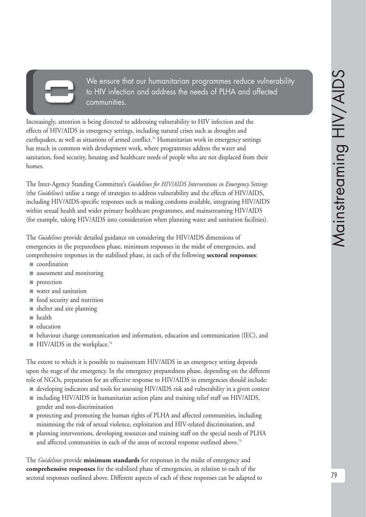

We ensure that our humanitarian programmes reduce vulnerability to HIV infection and address the needs of PLHA and affected communities.

Increasingly, attention is being directed to addressing vulnerability to HIV infection and the effects of HIV/AIDS in emergency settings, including natural crises such as droughts and earthquakes, as well as situations of armed conflict.<sup>73</sup> Humanitarian work in emergency settings has much in common with development work, where programmes address the water and sanitation, food security, housing and healthcare needs of people who are not displaced from their homes. We entsure that our humanitarian programmes reduce submerbility<br>to Film V indection and declease the meets of PHFA and different<br>decreases the meets of the state of the state of the state of the state of the state of the<br>

The Inter-Agency Standing Committee's *Guidelines for HIV/AIDS Interventions in Emergency Settings* (the *Guidelines*) utilise a range of strategies to address vulnerability and the effects of HIV/AIDS, including HIV/AIDS-specific responses such as making condoms available, integrating HIV/AIDS within sexual health and wider primary healthcare programmes, and mainstreaming HIV/AIDS (for example, taking HIV/AIDS into consideration when planning water and sanitation facilities).

The *Guidelines* provide detailed guidance on considering the HIV/AIDS dimensions of emergencies in the preparedness phase, minimum responses in the midst of emergencies, and comprehensive responses in the stabilised phase, in each of the following **sectoral responses**:

- coordination
- assessment and monitoring
- protection
- water and sanitation
- food security and nutrition
- shelter and site planning
- health
- education
- behaviour change communication and information, education and communication (IEC), and
- $\blacksquare$  HIV/AIDS in the workplace.<sup>74</sup>

The extent to which it is possible to mainstream HIV/AIDS in an emergency setting depends upon the stage of the emergency. In the emergency preparedness phase, depending on the different role of NGOs, preparation for an effective response to HIV/AIDS in emergencies should include:

- developing indicators and tools for assessing HIV/AIDS risk and vulnerability in a given context
- including HIV/AIDS in humanitarian action plans and training relief staff on HIV/AIDS, gender and non-discrimination
- protecting and promoting the human rights of PLHA and affected communities, including minimising the risk of sexual violence, exploitation and HIV-related discrimination, and
- planning interventions, developing resources and training staff on the special needs of PLHA and affected communities in each of the areas of sectoral response outlined above.<sup>75</sup>

The *Guidelines* provide **minimum standards** for responses in the midst of emergency and **comprehensive responses** for the stabilised phase of emergencies, in relation to each of the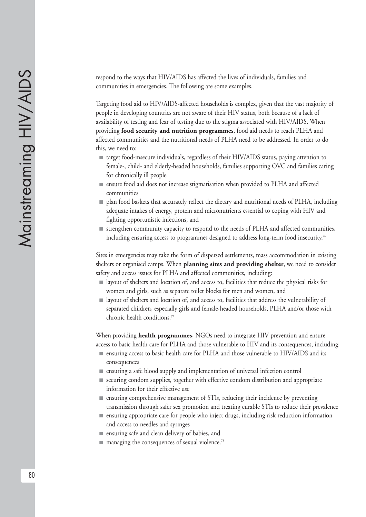respond to the ways that HIV/AIDS has affected the lives of individuals, families and communities in emergencies. The following are some examples.

Targeting food aid to HIV/AIDS-affected households is complex, given that the vast majority of people in developing countries are not aware of their HIV status, both because of a lack of availability of testing and fear of testing due to the stigma associated with HIV/AIDS. When providing **food security and nutrition programmes**, food aid needs to reach PLHA and affected communities and the nutritional needs of PLHA need to be addressed. In order to do this, we need to:

- target food-insecure individuals, regardless of their HIV/AIDS status, paying attention to female-, child- and elderly-headed households, families supporting OVC and families caring for chronically ill people
- ensure food aid does not increase stigmatisation when provided to PLHA and affected communities
- plan food baskets that accurately reflect the dietary and nutritional needs of PLHA, including adequate intakes of energy, protein and micronutrients essential to coping with HIV and fighting opportunistic infections, and
- strengthen community capacity to respond to the needs of PLHA and affected communities, including ensuring access to programmes designed to address long-term food insecurity.<sup>76</sup>

Sites in emergencies may take the form of dispersed settlements, mass accommodation in existing shelters or organised camps. When **planning sites and providing shelter**, we need to consider safety and access issues for PLHA and affected communities, including:

- layout of shelters and location of, and access to, facilities that reduce the physical risks for women and girls, such as separate toilet blocks for men and women, and
- layout of shelters and location of, and access to, facilities that address the vulnerability of separated children, especially girls and female-headed households, PLHA and/or those with chronic health conditions.<sup>77</sup>

When providing **health programmes**, NGOs need to integrate HIV prevention and ensure access to basic health care for PLHA and those vulnerable to HIV and its consequences, including:

- ensuring access to basic health care for PLHA and those vulnerable to HIV/AIDS and its consequences
- ensuring a safe blood supply and implementation of universal infection control
- securing condom supplies, together with effective condom distribution and appropriate information for their effective use
- ensuring comprehensive management of STIs, reducing their incidence by preventing transmission through safer sex promotion and treating curable STIs to reduce their prevalence
- ensuring appropriate care for people who inject drugs, including risk reduction information and access to needles and syringes
- ensuring safe and clean delivery of babies, and
- $\blacksquare$  managing the consequences of sexual violence.<sup>78</sup>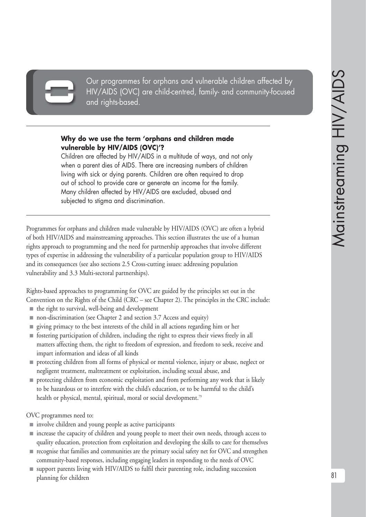

Our programmes for orphans and vulnerable children affected by HIV/AIDS (OVC) are child-centred, family- and community-focused and rights-based.

#### **Why do we use the term 'orphans and children made vulnerable by HIV/AIDS (OVC)'?**

Children are affected by HIV/AIDS in a multitude of ways, and not only when a parent dies of AIDS. There are increasing numbers of children living with sick or dying parents. Children are often required to drop out of school to provide care or generate an income for the family. Many children affected by HIV/AIDS are excluded, abused and subjected to stigma and discrimination.

Programmes for orphans and children made vulnerable by HIV/AIDS (OVC) are often a hybrid of both HIV/AIDS and mainstreaming approaches. This section illustrates the use of a human rights approach to programming and the need for partnership approaches that involve different types of expertise in addressing the vulnerability of a particular population group to HIV/AIDS and its consequences (see also sections 2.5 Cross-cutting issues: addressing population vulnerability and 3.3 Multi-sectoral partnerships).

Rights-based approaches to programming for OVC are guided by the principles set out in the Convention on the Rights of the Child (CRC – see Chapter 2). The principles in the CRC include:

- the right to survival, well-being and development
- non-discrimination (see Chapter 2 and section 3.7 Access and equity)
- giving primacy to the best interests of the child in all actions regarding him or her
- fostering participation of children, including the right to express their views freely in all matters affecting them, the right to freedom of expression, and freedom to seek, receive and impart information and ideas of all kinds
- protecting children from all forms of physical or mental violence, injury or abuse, neglect or negligent treatment, maltreatment or exploitation, including sexual abuse, and
- protecting children from economic exploitation and from performing any work that is likely to be hazardous or to interfere with the child's education, or to be harmful to the child's health or physical, mental, spiritual, moral or social development.<sup>79</sup>

OVC programmes need to:

- involve children and young people as active participants
- increase the capacity of children and young people to meet their own needs, through access to quality education, protection from exploitation and developing the skills to care for themselves
- recognise that families and communities are the primary social safety net for OVC and strengthen community-based responses, including engaging leaders in responding to the needs of OVC
- support parents living with HIV/AIDS to fulfil their parenting role, including succession planning for children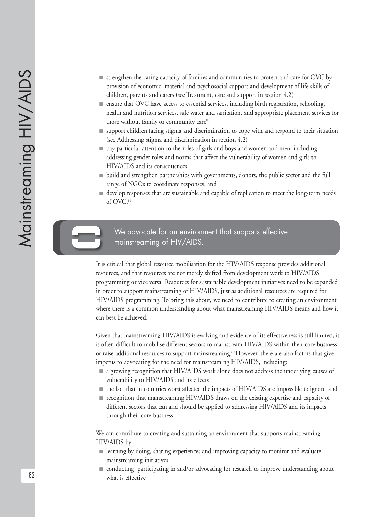- strengthen the caring capacity of families and communities to protect and care for OVC by provision of economic, material and psychosocial support and development of life skills of children, parents and carers (see Treatment, care and support in section 4.2)
- ensure that OVC have access to essential services, including birth registration, schooling, health and nutrition services, safe water and sanitation, and appropriate placement services for those without family or community care<sup>80</sup>
- support children facing stigma and discrimination to cope with and respond to their situation (see Addressing stigma and discrimination in section 4.2)
- pay particular attention to the roles of girls and boys and women and men, including addressing gender roles and norms that affect the vulnerability of women and girls to HIV/AIDS and its consequences
- build and strengthen partnerships with governments, donors, the public sector and the full range of NGOs to coordinate responses, and
- develop responses that are sustainable and capable of replication to meet the long-term needs of OVC.81



We advocate for an environment that supports effective mainstreaming of HIV/AIDS.

It is critical that global resource mobilisation for the HIV/AIDS response provides additional resources, and that resources are not merely shifted from development work to HIV/AIDS programming or vice versa. Resources for sustainable development initiatives need to be expanded in order to support mainstreaming of HIV/AIDS, just as additional resources are required for HIV/AIDS programming. To bring this about, we need to contribute to creating an environment where there is a common understanding about what mainstreaming HIV/AIDS means and how it can best be achieved.

Given that mainstreaming HIV/AIDS is evolving and evidence of its effectiveness is still limited, it is often difficult to mobilise different sectors to mainstream HIV/AIDS within their core business or raise additional resources to support mainstreaming.82 However, there are also factors that give impetus to advocating for the need for mainstreaming HIV/AIDS, including:

- a growing recognition that HIV/AIDS work alone does not address the underlying causes of vulnerability to HIV/AIDS and its effects
- the fact that in countries worst affected the impacts of HIV/AIDS are impossible to ignore, and
- recognition that mainstreaming HIV/AIDS draws on the existing expertise and capacity of different sectors that can and should be applied to addressing HIV/AIDS and its impacts through their core business.

We can contribute to creating and sustaining an environment that supports mainstreaming HIV/AIDS by:

- learning by doing, sharing experiences and improving capacity to monitor and evaluate mainstreaming initiatives
- conducting, participating in and/or advocating for research to improve understanding about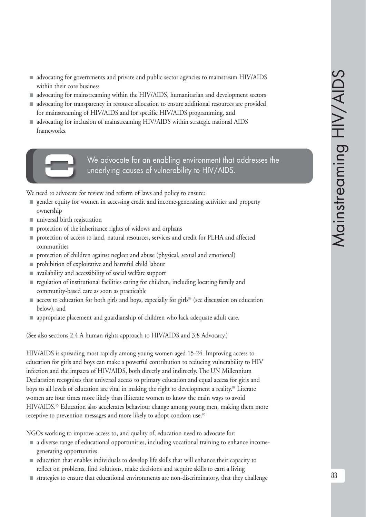- advocating for governments and private and public sector agencies to mainstream HIV/AIDS within their core business
- advocating for mainstreaming within the HIV/AIDS, humanitarian and development sectors
- advocating for transparency in resource allocation to ensure additional resources are provided for mainstreaming of HIV/AIDS and for specific HIV/AIDS programming, and
- advocating for inclusion of mainstreaming HIV/AIDS within strategic national AIDS frameworks.



We advocate for an enabling environment that addresses the underlying causes of vulnerability to HIV/AIDS.

- We need to advocate for review and reform of laws and policy to ensure:
- gender equity for women in accessing credit and income-generating activities and property ownership
- universal birth registration
- protection of the inheritance rights of widows and orphans
- protection of access to land, natural resources, services and credit for PLHA and affected communities
- protection of children against neglect and abuse (physical, sexual and emotional)
- prohibition of exploitative and harmful child labour
- availability and accessibility of social welfare support
- regulation of institutional facilities caring for children, including locating family and community-based care as soon as practicable
- access to education for both girls and boys, especially for girls<sup>83</sup> (see discussion on education below), and
- appropriate placement and guardianship of children who lack adequate adult care.

(See also sections 2.4 A human rights approach to HIV/AIDS and 3.8 Advocacy.)

HIV/AIDS is spreading most rapidly among young women aged 15-24. Improving access to education for girls and boys can make a powerful contribution to reducing vulnerability to HIV infection and the impacts of HIV/AIDS, both directly and indirectly. The UN Millennium Declaration recognises that universal access to primary education and equal access for girls and boys to all levels of education are vital in making the right to development a reality.<sup>84</sup> Literate women are four times more likely than illiterate women to know the main ways to avoid HIV/AIDS.<sup>85</sup> Education also accelerates behaviour change among young men, making them more receptive to prevention messages and more likely to adopt condom use.<sup>86</sup> a absorber for generation and private and public socion agents to ensure the Northern and developments are non-<br>anti-action and the strategies to ensure the NIVAIDS, however that also<br>ensure the strategies of the NIVAIDS

NGOs working to improve access to, and quality of, education need to advocate for:

- a diverse range of educational opportunities, including vocational training to enhance incomegenerating opportunities
- education that enables individuals to develop life skills that will enhance their capacity to reflect on problems, find solutions, make decisions and acquire skills to earn a living
-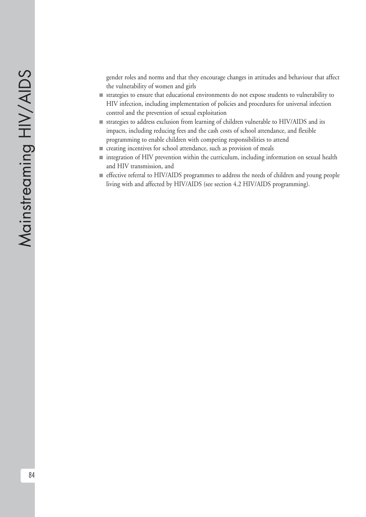gender roles and norms and that they encourage changes in attitudes and behaviour that affect the vulnerability of women and girls

- strategies to ensure that educational environments do not expose students to vulnerability to HIV infection, including implementation of policies and procedures for universal infection control and the prevention of sexual exploitation
- strategies to address exclusion from learning of children vulnerable to HIV/AIDS and its impacts, including reducing fees and the cash costs of school attendance, and flexible programming to enable children with competing responsibilities to attend
- creating incentives for school attendance, such as provision of meals
- integration of HIV prevention within the curriculum, including information on sexual health and HIV transmission, and
- effective referral to HIV/AIDS programmes to address the needs of children and young people living with and affected by HIV/AIDS (see section 4.2 HIV/AIDS programming).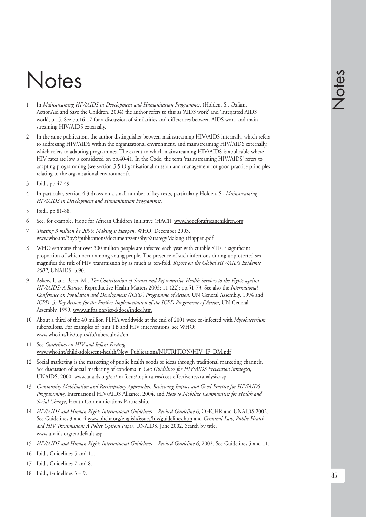# **Notes**

- 1 In *Mainstreaming HIV/AIDS in Development and Humanitarian Programmes*, (Holden, S., Oxfam, ActionAid and Save the Children, 2004) the author refers to this as 'AIDS work' and 'integrated AIDS work', p.15. See pp.16-17 for a discussion of similarities and differences between AIDS work and mainstreaming HIV/AIDS externally.
- 2 In the same publication, the author distinguishes between mainstreaming HIV/AIDS internally, which refers to addressing HIV/AIDS within the organisational environment, and mainstreaming HIV/AIDS externally, which refers to adapting programmes. The extent to which mainstreaming HIV/AIDS is applicable where HIV rates are low is considered on pp.40-41. In the Code, the term 'mainstreaming HIV/AIDS' refers to adapting programming (see section 3.5 Organisational mission and management for good practice principles relating to the organisational environment). 1 In Adventure of the Collection of Hamalandra Poperano, Deblat, 2, Odin, 2006.<br>
And Adventure of the Collection 2 and the Collection and NAS variety is a matter of the Collection and IN<br>
And is a finite proposition of th
- 3 Ibid., pp.47-49.
- 4 In particular, section 4.3 draws on a small number of key texts, particularly Holden, S., *Mainstreaming HIV/AIDS in Development and Humanitarian Programmes*.
- 5 Ibid., pp.81-88.
- 6 See, for example, Hope for African Children Initiative (HACI), <www.hopeforafricanchildren.org>
- 7 *Treating 3 million by 2005: Making it Happen*, WHO, December 2003. <www.who.int/3by5/publications/documents/en/3by5StrategyMakingItHappen.pdf>
- 8 WHO estimates that over 300 million people are infected each year with curable STIs, a significant proportion of which occur among young people. The presence of such infections during unprotected sex magnifies the risk of HIV transmission by as much as ten-fold. *Report on the Global HIV/AIDS Epidemic 2002*, UNAIDS, p.90.
- 9 Askew, I. and Berer, M., *The Contribution of Sexual and Reproductive Health Services to the Fights against HIV/AIDS: A Review*, Reproductive Health Matters 2003; 11 (22): pp.51-73. See also the *International Conference on Population and Development (ICPD) Programme of Action*, UN General Assembly, 1994 and *ICPD+5: Key Actions for the Further Implementation of the ICPD Programme of Action*, UN General Assembly, 1999. <www.unfpa.org/icpd/docs/index.htm>
- 10 About a third of the 40 million PLHA worldwide at the end of 2001 were co-infected with *Mycobacterium* tuberculosis. For examples of joint TB and HIV interventions, see WHO: <www.who.int/hiv/topics/tb/tuberculosis/en>
- 11 See *Guidelines on HIV and Infant Feeding*, [www.who.int/child-adolescent-health/New\\_Publications/NUTRITION/HIV\\_IF\\_DM.pdf](www.who.int/child-adolescent-health/New_Publications/NUTRITION/HIV_IF_DM.pdf)
- 12 Social marketing is the marketing of public health goods or ideas through traditional marketing channels. See discussion of social marketing of condoms in *Cost Guidelines for HIV/AIDS Prevention Strategies*, UNAIDS, 2000. www[.unaids.org/en/in+focus/topic+areas/cost-effectiveness+analysis.asp](www.unaids.org/en/in+focus/topic+areas/cost-effectiveness+analysis.asp)
- 13 *Community Mobilisation and Participatory Approaches: Reviewing Impact and Good Practice for HIV/AIDS Programming*, International HIV/AIDS Alliance, 2004, and *How to Mobilize Communities for Health and Social Change*, Health Communications Partnership.
- 14 *HIV/AIDS and Human Right: International Guidelines Revised Guideline 6*, OHCHR and UNAIDS 2002. See Guidelines 3 and 4 <www.ohchr.org/english/issues/hiv/guidelines.htm> and *Criminal Law, Public Health and HIV Transmission: A Policy Options Paper*, UNAIDS, June 2002. Search by title, <www.unaids.org/en/default.asp>
- 15 *HIV/AIDS and Human Right: International Guidelines Revised Guideline 6*, 2002. See Guidelines 5 and 11.
- 16 Ibid., Guidelines 5 and 11.
- 17 Ibid., Guidelines 7 and 8.
-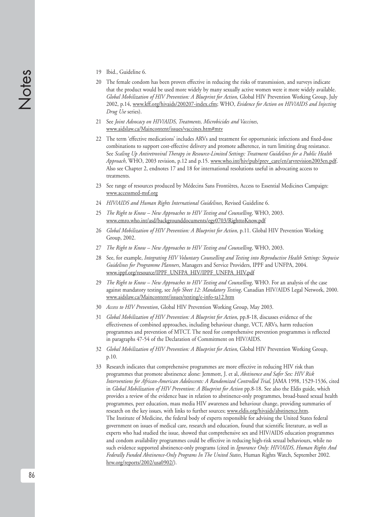- 19 Ibid., Guideline 6.
- 20 The female condom has been proven effective in reducing the risks of transmission, and surveys indicate that the product would be used more widely by many sexually active women were it more widely available. *Global Mobilization of HIV Prevention: A Blueprint for Action*, Global HIV Prevention Working Group, July 2002, p.14, <www.kff.org/hivaids/200207-index.cfm>; WHO, *Evidence for Action on HIV/AIDS and Injecting Drug Use* series).
- 21 See *Joint Advocacy on HIV/AIDS, Treatments, Microbicides and Vaccines*, <www.aidslaw.ca/Maincontent/issues/vaccines.htm#mtv>
- 22 The term 'effective medications' includes ARVs and treatment for opportunistic infections and fixed-dose combinations to support cost-effective delivery and promote adherence, in turn limiting drug resistance. See *Scaling Up Antiretroviral Therapy in Resource-Limited Settings: Treatment Guidelines for a Public Health Approach*, WHO, 2003 revision, p.12 and p.15. [www.who.int/hiv/pub/prev\\_care/en/arvrevision2003en.pdf](www.who.int/hiv/pub/prev_care/en/arvrevision2003en.pdf). Also see Chapter 2, endnotes 17 and 18 for international resolutions useful in advocating access to treatments.
- 23 See range of resources produced by Médecins Sans Frontières, Access to Essential Medicines Campaign: <www.accessmed-msf.org>
- 24 *HIV/AIDS and Human Rights International Guidelines*, Revised Guideline 6.
- 25 *The Right to Know New Approaches to HIV Testing and Counselling*, WHO, 2003. <www.emro.who.int/asd/backgrounddocuments/egy0703/RighttoKnow.pdf>
- 26 *Global Mobilization of HIV Prevention: A Blueprint for Action*, p.11. Global HIV Prevention Working Group, 2002.
- 27 *The Right to Know New Approaches to HIV Testing and Counselling*, WHO, 2003.
- 28 See, for example, *Integrating HIV Voluntary Counselling and Testing into Reproductive Health Settings: Stepwise Guidelines for Programme Planners*, Managers and Service Providers, IPPF and UNFPA, 2004. [www.ippf.org/resource/IPPF\\_UNFPA\\_HIV/IPPF\\_UNFPA\\_HIV.pdf](www.ippf.org/resource/IPPF_UNFPA_HIV/IPPF_UNFPA_HIV.pdf)
- 29 *The Right to Know New Approaches to HIV Testing and Counselling*, WHO. For an analysis of the case against mandatory testing, see *Info Sheet 12: Mandatory Testing*, Canadian HIV/AIDS Legal Network, 2000. <www.aidslaw.ca/Maincontent/issues/testing/e-info-ta12.htm>
- 30 *Access to HIV Prevention*, Global HIV Prevention Working Group, May 2003.
- 31 *Global Mobilization of HIV Prevention: A Blueprint for Action*, pp.8-18, discusses evidence of the effectiveness of combined approaches, including behaviour change, VCT, ARVs, harm reduction programmes and prevention of MTCT. The need for comprehensive prevention programmes is reflected in paragraphs 47-54 of the Declaration of Commitment on HIV/AIDS.
- 32 *Global Mobilization of HIV Prevention: A Blueprint for Action*, Global HIV Prevention Working Group, p.10.
- 33 Research indicates that comprehensive programmes are more effective in reducing HIV risk than programmes that promote abstinence alone: Jemmott, J. et al, *Abstinence and Safer Sex: HIV Risk Interventions for African-American Adolescents: A Randomized Controlled Trial,* JAMA 1998, 1529-1536, cited in *Global Mobilization of HIV Prevention: A Blueprint for Action* pp.8-18. See also the Eldis guide, which provides a review of the evidence base in relation to abstinence-only programmes, broad-based sexual health programmes, peer education, mass media HIV awareness and behaviour change, providing summaries of research on the key issues, with links to further sources;<www.eldis.org/hivaids/abstinence.htm>. The Institute of Medicine, the federal body of experts responsible for advising the United States federal government on issues of medical care, research and education, found that scientific literature, as well as experts who had studied the issue, showed that comprehensive sex and HIV/AIDS education programmes and condom availability programmes could be effective in reducing high-risk sexual behaviours, while no such evidence supported abstinence-only programs (cited in *Ignorance Only: HIV/AIDS, Human Rights And Federally Funded Abstinence-Only Programs In The United States*, Human Rights Watch, September 2002. [hrw.org/reports/2002/usa0902/\)](www.hrw.org/reports/2002/usa0902/).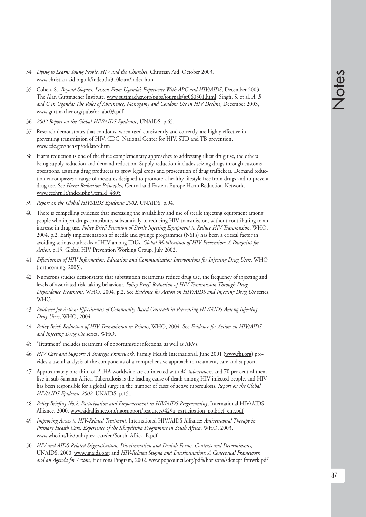- 34 *Dying to Learn: Young People, HIV and the Churches*, Christian Aid, October 2003. <www.christian-aid.org.uk/indepth/310learn/index.htm>
- 35 Cohen, S., *Beyond Slogans: Lessons From Uganda's Experience With ABC and HIV/AIDS*, December 2003, The Alan Guttmacher Institute, [www.guttmacher.org/pubs/journals/gr060501.html;](www.guttmacher.org/pubs/journals/gr060501.html) Singh, S. et al, *A, B and C in Uganda: The Roles of Abstinence, Monogamy and Condom Use in HIV Decline*, December 2003, [www.guttmacher.org/pubs/or\\_abc03.pdf](www.guttmacher.org/pubs/or_abc03.pdf)
- 36 *2002 Report on the Global HIV/AIDS Epidemic*, UNAIDS, p.65.
- 37 Research demonstrates that condoms, when used consistently and correctly, are highly effective in preventing transmission of HIV. CDC, National Center for HIV, STD and TB prevention, <www.cdc.gov/nchstp/od/latex.htm>
- 38 Harm reduction is one of the three complementary approaches to addressing illicit drug use, the others being supply reduction and demand reduction. Supply reduction includes seizing drugs through customs operations, assisting drug producers to grow legal crops and prosecution of drug traffickers. Demand reduction encompasses a range of measures designed to promote a healthy lifestyle free from drugs and to prevent drug use. See *Harm Reduction Principles*, Central and Eastern Europe Harm Reduction Network, <www.ceehrn.lt/index.php?ItemId=4805>
- 39 *Report on the Global HIV/AIDS Epidemic 2002*, UNAIDS, p.94.
- 40 There is compelling evidence that increasing the availability and use of sterile injecting equipment among people who inject drugs contributes substantially to reducing HIV transmission, without contributing to an increase in drug use. *Policy Brief: Provision of Sterile Injecting Equipment to Reduce HIV Transmission*, WHO, 2004, p.2. Early implementation of needle and syringe programmes (NSPs) has been a critical factor in avoiding serious outbreaks of HIV among IDUs. *Global Mobilization of HIV Prevention: A Blueprint for Action*, p.15, Global HIV Prevention Working Group, July 2002.
- 41 *Effectiveness of HIV Information, Education and Communication Interventions for Injecting Drug Users*, WHO (forthcoming, 2005).
- 42 Numerous studies demonstrate that substitution treatments reduce drug use, the frequency of injecting and levels of associated risk-taking behaviour. *Policy Brief: Reduction of HIV Transmission Through Drug-Dependence Treatment*, WHO, 2004, p.2. See *Evidence for Action on HIV/AIDS and Injecting Drug Use* series, WHO.
- 43 *Evidence for Action: Effectiveness of Community-Based Outreach in Preventing HIV/AIDS Among Injecting Drug Users*, WHO, 2004.
- 44 *Policy Brief: Reduction of HIV Transmission in Prisons*, WHO, 2004. See *Evidence for Action on HIV/AIDS and Injecting Drug Use* series, WHO.
- 45 'Treatment' includes treatment of opportunistic infections, as well as ARVs.
- 46 *HIV Care and Support: A Strategic Framework*, Family Health International, June 2001 [\(www.fhi.org\)](www.fhi.org) provides a useful analysis of the components of a comprehensive approach to treatment, care and support.
- 47 Approximately one-third of PLHA worldwide are co-infected with *M. tuberculosis*, and 70 per cent of them live in sub-Saharan Africa. Tuberculosis is the leading cause of death among HIV-infected people, and HIV has been responsible for a global surge in the number of cases of active tuberculosis. *Report on the Global HIV/AIDS Epidemic 2002*, UNAIDS, p.151.
- 48 *Policy Briefing No.2: Participation and Empowerment in HIV/AIDS Programming*, International HIV/AIDS Alliance, 2000. [www.aidsalliance.org/ngosupport/resources/429a\\_participation\\_polbrief\\_eng.pdf](www.aidsalliance.org/ngosupport/resources/429a_participation_polbrief_eng.pdf)
- 49 *Improving Access to HIV-Related Treatment*, International HIV/AIDS Alliance; *Antiretroviral Therapy in Primary Health Care: Experience of the Khayelitsha Programme in South Africa*, WHO, 2003, [www.who.int/hiv/pub/prev\\_care/en/South\\_Africa\\_E.pdf](www.who.int/hiv/pub/prev_care/en/South_Africa_E.pdf)
- 50 *HIV and AIDS-Related Stigmatization, Discrimination and Denial: Forms, Contexts and Determinants*, UNAIDS, 2000, [www.unaids.org;](www.unaids.org) and *HIV-Related Stigma and Discrimination: A Conceptual Framework and an Agenda for Action*, Horizons Program, 2002.<www.popcouncil.org/pdfs/horizons/sdcncptlfrmwrk.pdf>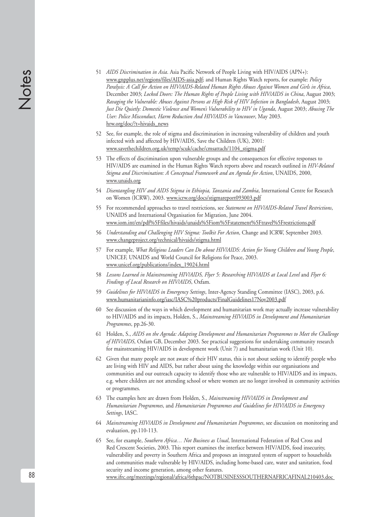- 51 *AIDS Discrimination in Asia*. Asia Pacific Network of People Living with HIV/AIDS (APN+): [www.gnpplus.net/regions/files/AIDS-asia.pdf;](www.gnpplus.net/regions/files/AIDS-asia.pdf) and Human Rights Watch reports, for example: *Policy Paralysis: A Call for Action on HIV/AIDS-Related Human Rights Abuses Against Women and Girls in Africa*, December 2003; *Locked Doors: The Human Rights of People Living with HIV/AIDS in China*, August 2003; *Ravaging the Vulnerable: Abuses Against Persons at High Risk of HIV Infection in Bangladesh*, August 2003; *Just Die Quietly: Domestic Violence and Women's Vulnerability to HIV in Uganda*, August 2003; *Abusing The User: Police Misconduct, Harm Reduction And HIV/AIDS in Vancouver*, May 2003. [hrw.org/doc/?t=hivaids\\_news](www.hrw.org/doc/?t=hivaids_news) **19.2** www.ifrc.org/meetings/regional/african/africa/6thpac/notes and the state of the state of the state of the state of the state of the state of the state of the state of the state of the state of the state of the sta
	- 52 See, for example, the role of stigma and discrimination in increasing vulnerability of children and youth infected with and affected by HIV/AIDS, Save the Children (UK), 2001: [www.savethechildren.org.uk/temp/scuk/cache/cmsattach/1104\\_stigma.pdf](www.savethechildren.org.uk/temp/scuk/cache/cmsattach/1104_stigma.pdf)
	- 53 The effects of discrimination upon vulnerable groups and the consequences for effective responses to HIV/AIDS are examined in the Human Rights Watch reports above and research outlined in *HIV-Related Stigma and Discrimination: A Conceptual Framework and an Agenda for Action*, UNAIDS, 2000, <www.unaids.org>
	- 54 *Disentangling HIV and AIDS Stigma in Ethiopia, Tanzania and Zambia*, International Centre for Research on Women (ICRW), 2003. <www.icrw.org/docs/stigmareport093003.pdf>
	- 55 For recommended approaches to travel restrictions, see *Statement on HIV/AIDS-Related Travel Restrictions*, UNAIDS and International Organisation for Migration, June 2004. <www.iom.int/en/pdf%5Ffiles/hivaids/unaids%5Fiom%5Fstatement%5Ftravel%5Frestrictions.pdf>
	- 56 *Understanding and Challenging HIV Stigma: Toolkit For Action*, Change and ICRW, September 2003. <www.changeproject.org/technical/hivaids/stigma.html>
	- 57 For example, *What Religious Leaders Can Do about HIV/AIDS: Action for Young Children and Young People*, UNICEF, UNAIDS and World Council for Religions for Peace, 2003. [www.unicef.org/publications/index\\_19024.html](www.unicef.org/publications/index_19024.html)
	- 58 *Lessons Learned in Mainstreaming HIV/AIDS, Flyer 5: Researching HIV/AIDS at Local Level* and *Flyer 6: Findings of Local Research on HIV/AIDS*, Oxfam.
	- 59 *Guidelines for HIV/AIDS in Emergency Settings*, Inter-Agency Standing Committee (IASC), 2003, p.6. <www.humanitarianinfo.org/iasc/IASC%20products/FinalGuidelines17Nov2003.pdf>
	- 60 See discussion of the ways in which development and humanitarian work may actually increase vulnerability to HIV/AIDS and its impacts, Holden, S., *Mainstreaming HIV/AIDS in Development and Humanitarian Programmes*, pp.26-30.
	- 61 Holden, S., *AIDS on the Agenda: Adapting Development and Humanitarian Programmes to Meet the Challenge of HIV/AIDS*, Oxfam GB, December 2003. See practical suggestions for undertaking community research for mainstreaming HIV/AIDS in development work (Unit 7) and humanitarian work (Unit 10).
	- 62 Given that many people are not aware of their HIV status, this is not about seeking to identify people who are living with HIV and AIDS, but rather about using the knowledge within our organisations and communities and our outreach capacity to identify those who are vulnerable to HIV/AIDS and its impacts, e.g. where children are not attending school or where women are no longer involved in community activities or programmes.
	- 63 The examples here are drawn from Holden, S., *Mainstreaming HIV/AIDS in Development and Humanitarian Programmes*, and *Humanitarian Programmes and Guidelines for HIV/AIDS in Emergency Settings*, IASC.
	- 64 *Mainstreaming HIV/AIDS in Development and Humanitarian Programmes*, see discussion on monitoring and evaluation, pp.110-113.
	- 65 See, for example, *Southern Africa… Not Business as Usual*, International Federation of Red Cross and Red Crescent Societies, 2003. This report examines the interface between HIV/AIDS, food insecurity, vulnerability and poverty in Southern Africa and proposes an integrated system of support to households and communities made vulnerable by HIV/AIDS, including home-based care, water and sanitation, food security and income generation, among other features.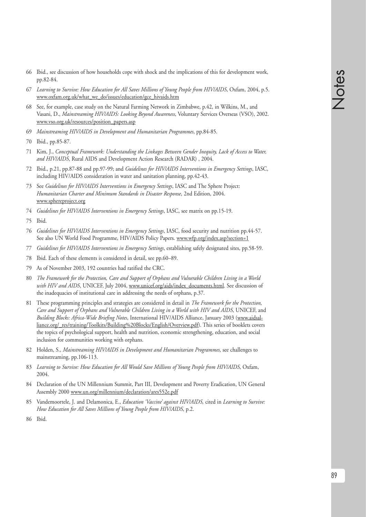- 66 Ibid., see discussion of how households cope with shock and the implications of this for development work, pp.82-84.
- 67 *Learning to Survive: How Education for All Saves Millions of Young People from HIV/AIDS*, Oxfam, 2004, p.5. [www.oxfam.org.uk/what\\_we\\_do/issues/education/gce\\_hivaids.htm](www.oxfam.org.uk/what_we_do/issues/education/gce_hivaids.htm)
- 68 See, for example, case study on the Natural Farming Network in Zimbabwe, p.42, in Wilkins, M., and Vasani, D., *Mainstreaming HIV/AIDS: Looking Beyond Awareness*, Voluntary Services Overseas (VSO), 2002. [www.vso.org.uk/resources/position\\_papers.asp](www.vso.org.uk/resources/position_papers.asp)
- 69 *Mainstreaming HIV/AIDS in Development and Humanitarian Programmes*, pp.84-85.
- 70 Ibid., pp.85-87.
- 71 Kim, J., *Conceptual Framework: Understanding the Linkages Between Gender Inequity, Lack of Access to Water, and HIV/AIDS*, Rural AIDS and Development Action Research (RADAR) , 2004.
- 72 Ibid., p.21, pp.87-88 and pp.97-99; and *Guidelines for HIV/AIDS Interventions in Emergency Settings*, IASC, including HIV/AIDS consideration in water and sanitation planning, pp.42-43.
- 73 See *Guidelines for HIV/AIDS Interventions in Emergency Settings*, IASC and The Sphere Project: *Humanitarian Charter and Minimum Standards in Disaster Response*, 2nd Edition, 2004. <www.sphereproject.org>
- 74 *Guidelines for HIV/AIDS Interventions in Emergency Settings*, IASC, see matrix on pp.15-19.
- 75 Ibid.
- 76 *Guidelines for HIV/AIDS Interventions in Emergency Settings*, IASC, food security and nutrition pp.44-57. See also UN World Food Programme, HIV/AIDS Policy Papers. www.wfp.org/index.asp?section=1
- 77 *Guidelines for HIV/AIDS Interventions in Emergency Settings*, establishing safely designated sites, pp.58-59.
- 78 Ibid. Each of these elements is considered in detail, see pp.60–89.
- 79 As of November 2003, 192 countries had ratified the CRC.
- 80 *The Framework for the Protection, Care and Support of Orphans and Vulnerable Children Living in a World* with HIV and AIDS, UNICEF, July 2004, [www.unicef.org/aids/index\\_documents.html](www.unicef.org/aids/index_documents.html). See discussion of the inadequacies of institutional care in addressing the needs of orphans, p.37.
- 81 These programming principles and strategies are considered in detail in *The Framework for the Protection, Care and Support of Orphans and Vulnerable Children Living in a World with HIV and AIDS*, UNICEF, and *Building Blocks: Africa-Wide Briefing Notes*, International HIV/AIDS Alliance, January 2003 (www.aidsal[liance.org/\\_res/training/Toolkits/Building%20Blocks/English/Overview.pdf\). This series of booklets covers](www.aidsalliance. org/_res/training/Toolkits/Building%20Blocks/English/Overview.pdf) the topics of psychological support, health and nutrition, economic strengthening, education, and social inclusion for communities working with orphans.
- 82 Holden, S., *Mainstreaming HIV/AIDS in Development and Humanitarian Programmes*, see challenges to mainstreaming, pp.106-113.
- 83 *Learning to Survive: How Education for All Would Save Millions of Young People from HIV/AIDS*, Oxfam, 2004.
- 84 Declaration of the UN Millennium Summit, Part III, Development and Poverty Eradication, UN General Assembly 2000 <www.un.org/millennium/declaration/ares552e.pdf>
- 85 Vandemoortele, J. and Delamonica, E., *Education 'Vaccine' against HIV/AIDS,* cited in *Learning to Survive: How Education for All Saves Millions of Young People from HIV/AIDS*, p.2.
- 86 Ibid.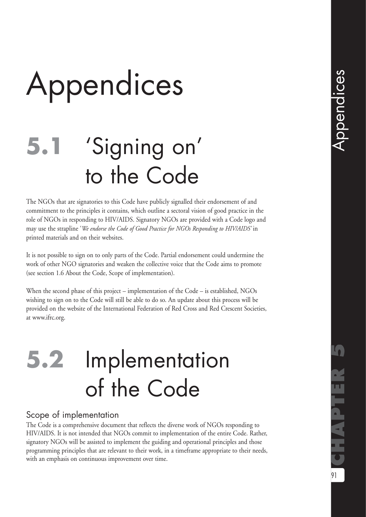# Appendices

# **5.1** 'Signing on' to the Code

The NGOs that are signatories to this Code have publicly signalled their endorsement of and commitment to the principles it contains, which outline a sectoral vision of good practice in the role of NGOs in responding to HIV/AIDS. Signatory NGOs are provided with a Code logo and may use the strapline '*We endorse the Code of Good Practice for NGOs Responding to HIV/AIDS'* in printed materials and on their websites.

It is not possible to sign on to only parts of the Code. Partial endorsement could undermine the work of other NGO signatories and weaken the collective voice that the Code aims to promote (see section 1.6 About the Code, Scope of implementation).

When the second phase of this project – implementation of the Code – is established, NGOs wishing to sign on to the Code will still be able to do so. An update about this process will be provided on the website of the International Federation of Red Cross and Red Crescent Societies, at www.ifrc.org.

# **5.2** Implementation of the Code

#### Scope of implementation

The Code is a comprehensive document that reflects the diverse work of NGOs responding to HIV/AIDS. It is not intended that NGOs commit to implementation of the entire Code. Rather, signatory NGOs will be assisted to implement the guiding and operational principles and those programming principles that are relevant to their work, in a timeframe appropriate to their needs, with an emphasis on continuous improvement over time.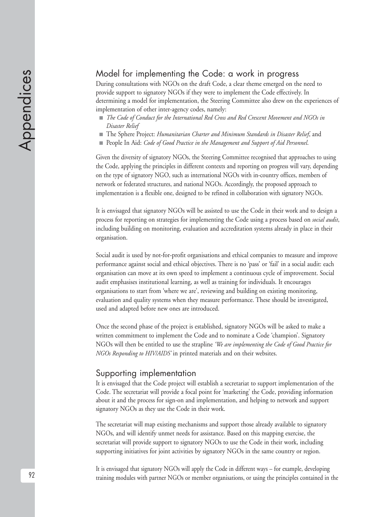#### Model for implementing the Code: a work in progress

During consultations with NGOs on the draft Code, a clear theme emerged on the need to provide support to signatory NGOs if they were to implement the Code effectively. In determining a model for implementation, the Steering Committee also drew on the experiences of implementation of other inter-agency codes, namely:

- *The Code of Conduct for the International Red Cross and Red Crescent Movement and NGOs in Disaster Relief*
- The Sphere Project: *Humanitarian Charter and Minimum Standards in Disaster Relief*, and
- People In Aid: *Code of Good Practice in the Management and Support of Aid Personnel*.

Given the diversity of signatory NGOs, the Steering Committee recognised that approaches to using the Code, applying the principles in different contexts and reporting on progress will vary, depending on the type of signatory NGO, such as international NGOs with in-country offices, members of network or federated structures, and national NGOs. Accordingly, the proposed approach to implementation is a flexible one, designed to be refined in collaboration with signatory NGOs.

It is envisaged that signatory NGOs will be assisted to use the Code in their work and to design a process for reporting on strategies for implementing the Code using a process based on *social audit*, including building on monitoring, evaluation and accreditation systems already in place in their organisation.

Social audit is used by not-for-profit organisations and ethical companies to measure and improve performance against social and ethical objectives. There is no 'pass' or 'fail' in a social audit: each organisation can move at its own speed to implement a continuous cycle of improvement. Social audit emphasises institutional learning, as well as training for individuals. It encourages organisations to start from 'where we are', reviewing and building on existing monitoring, evaluation and quality systems when they measure performance. These should be investigated, used and adapted before new ones are introduced. Model for implementing the Codes care with partner or member or the effective principles with the properties of the effective principles in the properties of the effective principles in the effective principles in the eff

Once the second phase of the project is established, signatory NGOs will be asked to make a written commitment to implement the Code and to nominate a Code 'champion'. Signatory NGOs will then be entitled to use the strapline *'We are implementing the Code of Good Practice for NGOs Responding to HIV/AIDS'* in printed materials and on their websites.

#### Supporting implementation

It is envisaged that the Code project will establish a secretariat to support implementation of the Code. The secretariat will provide a focal point for 'marketing' the Code, providing information about it and the process for sign-on and implementation, and helping to network and support signatory NGOs as they use the Code in their work.

The secretariat will map existing mechanisms and support those already available to signatory NGOs, and will identify unmet needs for assistance. Based on this mapping exercise, the secretariat will provide support to signatory NGOs to use the Code in their work, including supporting initiatives for joint activities by signatory NGOs in the same country or region.

It is envisaged that signatory NGOs will apply the Code in different ways – for example, developing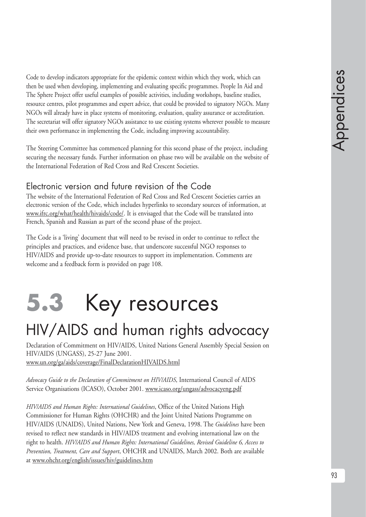Code to develop indicators appropriate for the epidemic context within which they work, which can then be used when developing, implementing and evaluating specific programmes. People In Aid and The Sphere Project offer useful examples of possible activities, including workshops, baseline studies, resource centres, pilot programmes and expert advice, that could be provided to signatory NGOs. Many NGOs will already have in place systems of monitoring, evaluation, quality assurance or accreditation. The secretariat will offer signatory NGOs assistance to use existing systems wherever possible to measure their own performance in implementing the Code, including improving accountability.

The Steering Committee has commenced planning for this second phase of the project, including securing the necessary funds. Further information on phase two will be available on the website of the International Federation of Red Cross and Red Crescent Societies.

### Electronic version and future revision of the Code

The website of the International Federation of Red Cross and Red Crescent Societies carries an electronic version of the Code, which includes hyperlinks to secondary sources of information, at <www.ifrc.org/what/health/hivaids/code/>. It is envisaged that the Code will be translated into French, Spanish and Russian as part of the second phase of the project.

The Code is a 'living' document that will need to be revised in order to continue to reflect the principles and practices, and evidence base, that underscore successful NGO responses to HIV/AIDS and provide up-to-date resources to support its implementation. Comments are welcome and a feedback form is provided on page 108.

# **5.3** Key resources

### HIV/AIDS and human rights advocacy

Declaration of Commitment on HIV/AIDS, United Nations General Assembly Special Session on HIV/AIDS (UNGASS), 25-27 June 2001. <www.un.org/ga/aids/coverage/FinalDeclarationHIVAIDS.html>

*Advocacy Guide to the Declaration of Commitment on HIV/AIDS*, International Council of AIDS Service Organisations (ICASO), October 2001. <www.icaso.org/ungass/advocacyeng.pdf>

*HIV/AIDS and Human Rights: International Guidelines*, Office of the United Nations High Commissioner for Human Rights (OHCHR) and the Joint United Nations Programme on HIV/AIDS (UNAIDS), United Nations, New York and Geneva, 1998. The *Guidelines* have been revised to reflect new standards in HIV/AIDS treatment and evolving international law on the right to health. *HIV/AIDS and Human Rights: International Guidelines, Revised Guideline 6, Access to Prevention, Treatment, Care and Support*, OHCHR and UNAIDS, March 2002. Both are available at <www.ohchr.org/english/issues/hiv/guidelines.htm>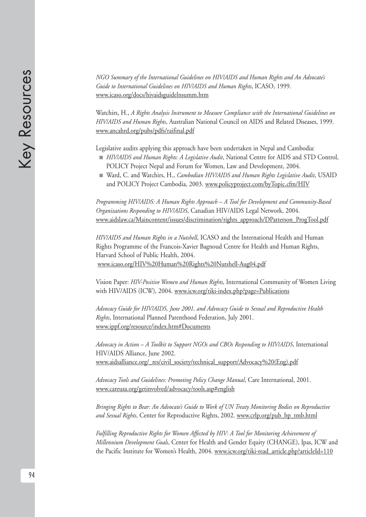*NGO Summary of the International Guidelines on HIV/AIDS and Human Rights and An Advocate's Guide to International Guidelines on HIV/AIDS and Human Rights*, ICASO, 1999. <www.icaso.org/docs/hivaidsguidelnsumm.htm>

Watchirs, H., *A Rights Analysis Instrument to Measure Compliance with the International Guidelines on HIV/AIDS and Human Rights*, Australian National Council on AIDS and Related Diseases, 1999. <www.ancahrd.org/pubs/pdfs/raifinal.pdf>

Legislative audits applying this approach have been undertaken in Nepal and Cambodia:

- *HIV/AIDS and Human Rights: A Legislative Audit*, National Centre for AIDS and STD Control, POLICY Project Nepal and Forum for Women, Law and Development, 2004.
- Ward, C. and Watchirs, H., *Cambodian HIV/AIDS and Human Rights Legislative Audit*, USAID and POLICY Project Cambodia, 2003. <www.policyproject.com/byTopic.cfm/HIV>

*Programming HIV/AIDS: A Human Rights Approach – A Tool for Development and Community-Based Organizations Responding to HIV/AIDS*, Canadian HIV/AIDS Legal Network, 2004. [www.aidslaw.ca/Maincontent/issues/discrimination/rights\\_approach/DPatterson\\_ProgTool.pdf](www.aidslaw.ca/Maincontent/issues/discrimination/rights_approach/DPatterson_ProgTool.pdf)

*HIV/AIDS and Human Rights in a Nutshell*, ICASO and the International Health and Human Rights Programme of the Francois-Xavier Bagnoud Centre for Health and Human Rights, Harvard School of Public Health, 2004. <www.icaso.org/HIV%20Human%20Rights%20Nutshell-Aug04.pdf>

Vision Paper: *HIV-Positive Women and Human Rights*, International Community of Women Living with HIV/AIDS (ICW), 2004. <www.icw.org/tiki-index.php?page=Publications>

*Advocacy Guide for HIV/AIDS, June 2001, and Advocacy Guide to Sexual and Reproductive Health Rights*, International Planned Parenthood Federation, July 2001. <www.ippf.org/resource/index.htm#Documents>

*Advocacy in Action – A Toolkit to Support NGOs and CBOs Responding to HIV/AIDS*, International HIV/AIDS Alliance, June 2002. [www.aidsalliance.org/\\_res/civil\\_society/technical\\_support/Advocacy%20\(Eng\).pdf](www.aidsalliance.org/_res/civil_society/technical_support/Advocacy%20(Eng).pdf)

*Advocacy Tools and Guidelines: Promoting Policy Change Manual*, Care International, 2001. <www.careusa.org/getinvolved/advocacy/tools.asp#english>

*Bringing Rights to Bear: An Advocate's Guide to Work of UN Treaty Monitoring Bodies on Reproductive and Sexual Rights*, Center for Reproductive Rights, 2002. [www.crlp.org/pub\\_bp\\_tmb.html](www.crlp.org/pub_bp_tmb.html)

*Fulfilling Reproductive Rights for Women Affected by HIV: A Tool for Monitoring Achievement of Millennium Development Goals*, Center for Health and Gender Equity (CHANGE), Ipas, ICW and the Pacific Institute for Women's Health, 2004. [www.icw.org/tiki-read\\_article.php?articleId=110](www.icw.org/tiki-read_article.php?articleId=110)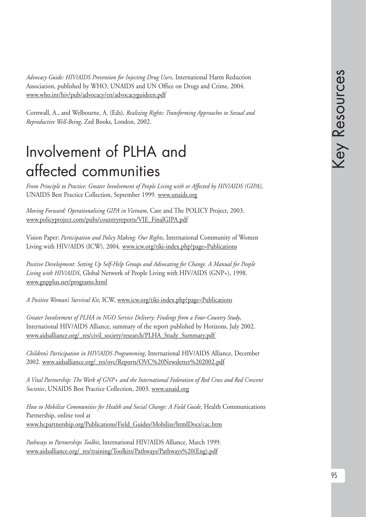*Advocacy Guide: HIV/AIDS Prevention for Injecting Drug Users*, International Harm Reduction Association, published by WHO, UNAIDS and UN Office on Drugs and Crime, 2004. <www.who.int/hiv/pub/advocacy/en/advocacyguideen.pdf>

Cornwall, A., and Welbourne, A. (Eds), *Realizing Rights: Transforming Approaches to Sexual and Reproductive Well-Being*, Zed Books, London, 2002.

# Involvement of PLHA and affected communities

*From Principle to Practice: Greater Involvement of People Living with or Affected by HIV/AIDS (GIPA)*, UNAIDS Best Practice Collection, September 1999. <www.unaids.org>

*Moving Forward: Operationalising GIPA in Vietnam*, Care and The POLICY Project, 2003. www.policyproject.com/pubs/countryreports/VIE\_FinalGIPA.pdf

Vision Paper: *Participation and Policy Making: Our Rights*, International Community of Women Living with HIV/AIDS (ICW), 2004. <www.icw.org/tiki-index.php?page=Publications>

*Positive Development: Setting Up Self-Help Groups and Advocating for Change. A Manual for People Living with HIV/AIDS*, Global Network of People Living with HIV/AIDS (GNP+), 1998. <www.gnpplus.net/programs.html>

*A Positive Woman's Survival Kit*, ICW, <www.icw.org/tiki-index.php?page=Publications>

*Greater Involvement of PLHA in NGO Service Delivery: Findings from a Four-Country Study*, International HIV/AIDS Alliance, summary of the report published by Horizons, July 2002. [www.aidsalliance.org/\\_res/civil\\_society/research/PLHA\\_Study\\_Summary.pdf](www.aidsalliance.org/_res/civil_society/research/PLHA_Study_Summary.pdf)

*Children's Participation in HIV/AIDS Programming*, International HIV/AIDS Alliance, December 2002. [www.aidsalliance.org/\\_res/ovc/Reports/OVC%20Newsletter%202002.pdf](www.aidsalliance.org/_res/ovc/Reports/OVC%20Newsletter%202002.pdf)

*A Vital Partnership: The Work of GNP+ and the International Federation of Red Cross and Red Crescent Societies*, UNAIDS Best Practice Collection, 2003. <www.unaid.org>

*How to Mobilize Communities for Health and Social Change: A Field Guide*, Health Communications Partnership, online tool at [www.hcpartnership.org/Publications/Field\\_Guides/Mobilize/htmlDocs/cac.htm](www.hcpartnership.org/Publications/Field_Guides/Mobilize/htmlDocs/cac.htm)

*Pathways to Partnerships Toolkit*, International HIV/AIDS Alliance, March 1999. [www.aidsalliance.org/\\_res/training/Toolkits/Pathways/Pathways%20\(Eng\).pdf](www.aidsalliance.org/_res/training/Toolkits/Pathways/Pathways%20(Eng).pdf)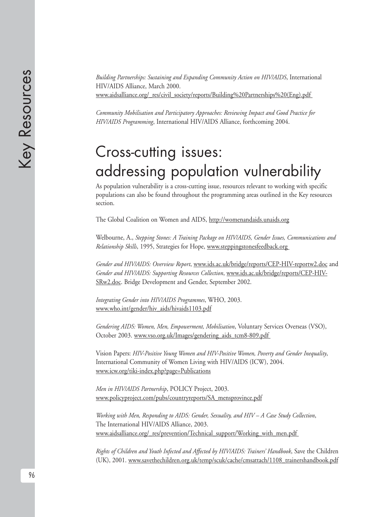*Building Partnerships: Sustaining and Expanding Community Action on HIV/AIDS*, International HIV/AIDS Alliance, March 2000.

[www.aidsalliance.org/\\_res/civil\\_society/reports/Building%20Partnerships%20\(Eng\).pdf](www.aidsalliance.org/_res/civil_society/reports/Building%20Partnerships%20(Eng).pdf)

*Community Mobilisation and Participatory Approaches: Reviewing Impact and Good Practice for HIV/AIDS Programming*, International HIV/AIDS Alliance, forthcoming 2004.

# Cross-cutting issues: addressing population vulnerability

As population vulnerability is a cross-cutting issue, resources relevant to working with specific populations can also be found throughout the programming areas outlined in the Key resources section.

The Global Coalition on Women and AIDS, <http://womenandaids.unaids.org>

Welbourne, A., *Stepping Stones: A Training Package on HIV/AIDS, Gender Issues, Communications and Relationship Skills*, 1995, Strategies for Hope, <www.steppingstonesfeedback.org>

*Gender and HIV/AIDS: Overview Report*, <www.ids.ac.uk/bridge/reports/CEP-HIV-reportw2.doc> and *Gender and HIV/AIDS: Supporting Resources Collection*, www.ids.ac.uk/bridge/reports/CEP-HIV-[SRw2.doc. Bridge Development and Gender, September 2002.](www.ids.ac.uk/bridge/reports/CEP-HIVSRw2. doc)

*Integrating Gender into HIV/AIDS Programmes*, WHO, 2003. [www.who.int/gender/hiv\\_aids/hivaids1103.pdf](www.who.int/gender/hiv_aids/hivaids1103.pdf)

*Gendering AIDS: Women, Men, Empowerment, Mobilisation*, Voluntary Services Overseas (VSO), October 2003. [www.vso.org.uk/Images/gendering\\_aids\\_tcm8-809.pdf](www.vso.org.uk/Images/gendering_aids_tcm8-809.pdf)

Vision Papers: *HIV-Positive Young Women and HIV-Positive Women, Poverty and Gender Inequality*, International Community of Women Living with HIV/AIDS (ICW), 2004. <www.icw.org/tiki-index.php?page=Publications>

*Men in HIV/AIDS Partnership*, POLICY Project, 2003. [www.policyproject.com/pubs/countryreports/SA\\_mensprovince.pdf](www.policyproject.com/pubs/countryreports/SA_mensprovince.pdf)

*Working with Men, Responding to AIDS: Gender, Sexuality, and HIV – A Case Study Collection*, The International HIV/AIDS Alliance, 2003. [www.aidsalliance.org/\\_res/prevention/Technical\\_support/Working\\_with\\_men.pdf](www.aidsalliance.org/_res/prevention/Technical_support/Working_with_men.pdf)

*Rights of Children and Youth Infected and Affected by HIV/AIDS: Trainers' Handbook*, Save the Children (UK), 2001. [www.savethechildren.org.uk/temp/scuk/cache/cmsattach/1108\\_trainershandbook.pdf](www.savethechildren.org.uk/temp/scuk/cache/cmsattach/1108_trainershandbook.pdf)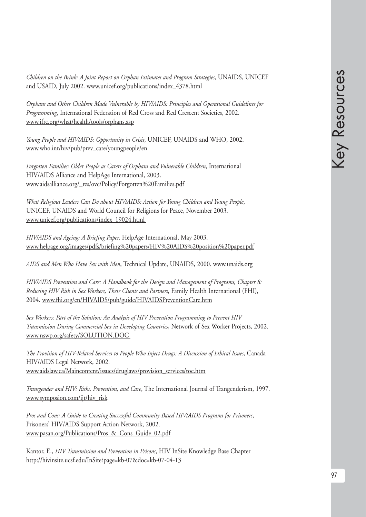*Children on the Brink: A Joint Report on Orphan Estimates and Program Strategies*, UNAIDS, UNICEF and USAID, July 2002. [www.unicef.org/publications/index\\_4378.html](www.unicef.org/publications/index_4378.html)

*Orphans and Other Children Made Vulnerable by HIV/AIDS: Principles and Operational Guidelines for Programming*, International Federation of Red Cross and Red Crescent Societies, 2002. <www.ifrc.org/what/health/tools/orphans.asp>

*Young People and HIV/AIDS: Opportunity in Crisis*, UNICEF, UNAIDS and WHO, 2002. [www.who.int/hiv/pub/prev\\_care/youngpeople/en](www.who.int/hiv/pub/prev_care/youngpeople/en)

*Forgotten Families: Older People as Carers of Orphans and Vulnerable Children*, International HIV/AIDS Alliance and HelpAge International, 2003. [www.aidsalliance.org/\\_res/ovc/Policy/Forgotten%20Families.pdf](www.aidsalliance.org/_res/ovc/Policy/Forgotten%20Families.pdf)

*What Religious Leaders Can Do about HIV/AIDS: Action for Young Children and Young People*, UNICEF, UNAIDS and World Council for Religions for Peace, November 2003. [www.unicef.org/publications/index\\_19024.html](www.unicef.org/publications/index_19024.html)

*HIV/AIDS and Ageing: A Briefing Paper,* HelpAge International, May 2003. <www.helpage.org/images/pdfs/briefing%20papers/HIV%20AIDS%20position%20paper.pdf>

*AIDS and Men Who Have Sex with Men*, Technical Update, UNAIDS, 2000. <www.unaids.org>

*HIV/AIDS Prevention and Care: A Handbook for the Design and Management of Programs, Chapter 8: Reducing HIV Risk in Sex Workers, Their Clients and Partners*, Family Health International (FHI), 2004. <www.fhi.org/en/HIVAIDS/pub/guide/HIVAIDSPreventionCare.htm>

*Sex Workers: Part of the Solution: An Analysis of HIV Prevention Programming to Prevent HIV Transmission During Commercial Sex in Developing Countries*, Network of Sex Worker Projects, 2002. <www.nswp.org/safety/SOLUTION.DOC>

*The Provision of HIV-Related Services to People Who Inject Drugs: A Discussion of Ethical Issues*, Canada HIV/AIDS Legal Network, 2002. [www.aidslaw.ca/Maincontent/issues/druglaws/provision\\_services/toc.htm](www.aidslaw.ca/Maincontent/issues/druglaws/provision_services/toc.htm)

*Transgender and HIV: Risks, Prevention, and Care*, The International Journal of Trangenderism, 1997. [www.symposion.com/ijt/hiv\\_risk](www.symposion.com/ijt/hiv_risk)

*Pros and Cons: A Guide to Creating Successful Community-Based HIV/AIDS Programs for Prisoners*, Prisoners' HIV/AIDS Support Action Network, 2002. [www.pasan.org/Publications/Pros\\_&\\_Cons\\_Guide\\_02.pdf](www.pasan.org/Publications/Pros_&_Cons_Guide_02.pdf)

Kantor, E., *HIV Transmission and Prevention in Prisons*, HIV InSite Knowledge Base Chapter <http://hivinsite.ucsf.edu/InSite?page=kb-07&doc=kb-07-04-13>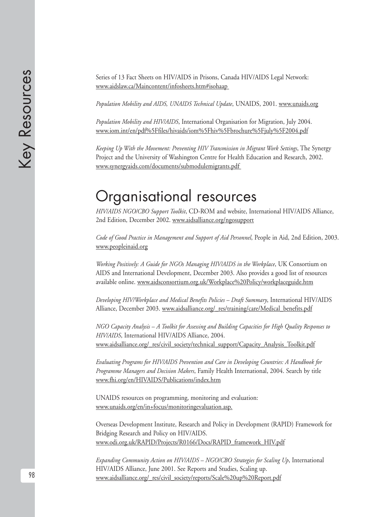Series of 13 Fact Sheets on HIV/AIDS in Prisons, Canada HIV/AIDS Legal Network: <www.aidslaw.ca/Maincontent/infosheets.htm#isohaap>

*Population Mobility and AIDS, UNAIDS Technical Update*, UNAIDS, 2001. <www.unaids.org>

*Population Mobility and HIV/AIDS*, International Organisation for Migration, July 2004. <www.iom.int/en/pdf%5Ffiles/hivaids/iom%5Fhiv%5Fbrochure%5Fjuly%5F2004.pdf>

*Keeping Up With the Movement: Preventing HIV Transmission in Migrant Work Settings*, The Synergy Project and the University of Washington Centre for Health Education and Research, 2002. <www.synergyaids.com/documents/submodulemigrants.pdf>

### Organisational resources

*HIV/AIDS NGO/CBO Support Toolkit*, CD-ROM and website, International HIV/AIDS Alliance, 2nd Edition, December 2002.<www.aidsalliance.org/ngosupport>

*Code of Good Practice in Management and Support of Aid Personnel*, People in Aid, 2nd Edition, 2003. <www.peopleinaid.org>

*Working Positively: A Guide for NGOs Managing HIV/AIDS in the Workplace*, UK Consortium on AIDS and International Development, December 2003. Also provides a good list of resources available online.<www.aidsconsortium.org.uk/Workplace%20Policy/workplaceguide.htm>

*Developing HIV/Workplace and Medical Benefits Policies – Draft Summary*, International HIV/AIDS Alliance, December 2003. [www.aidsalliance.org/\\_res/training/care/Medical\\_benefits.pdf](www.aidsalliance.org/_res/training/care/Medical_benefits.pdf)

*NGO Capacity Analysis – A Toolkit for Assessing and Building Capacities for High Quality Responses to HIV/AIDS*, International HIV/AIDS Alliance, 2004. [www.aidsalliance.org/\\_res/civil\\_society/technical\\_support/Capacity\\_Analysis\\_Toolkit.pdf](www.aidsalliance.org/_res/civil_society/technical_support/Capacity_Analysis_Toolkit.pdf) Series of 13 Fort Newton mathematicallistics. The branchesis of the Branchesis Carpeter (FINALDS) Legendation and the minimizal particles and EIDS (DEC). The matter of the state of the state of the state of the state of t

*Evaluating Programs for HIV/AIDS Prevention and Care in Developing Countries: A Handbook for Programme Managers and Decision Makers*, Family Health International, 2004. Search by title <www.fhi.org/en/HIVAIDS/Publications/index.htm>

UNAIDS resources on programming, monitoring and evaluation: [www.unaids.org/en/in+focus/monitoringevaluation.asp.](www.unaids.org/en/in+focus/monitoringevaluation.asp)

Overseas Development Institute, Research and Policy in Development (RAPID) Framework for Bridging Research and Policy on HIV/AIDS. [www.odi.org.uk/RAPID/Projects/R0166/Docs/RAPID\\_framework\\_HIV.pdf](www.odi.org.uk/RAPID/Projects/R0166/Docs/RAPID_framework_HIV.pdf)

*Expanding Community Action on HIV/AIDS – NGO/CBO Strategies for Scaling Up*, International HIV/AIDS Alliance, June 2001. See Reports and Studies, Scaling up.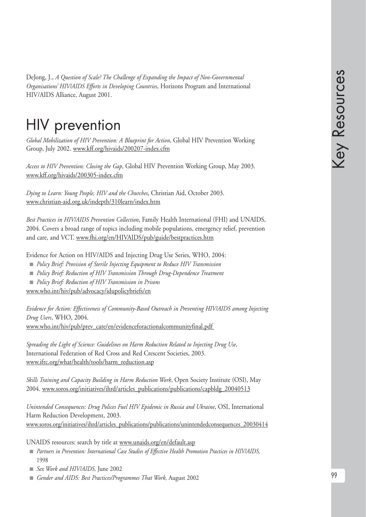DeJong, J., *A Question of Scale? The Challenge of Expanding the Impact of Non-Governmental Organisations' HIV/AIDS Efforts in Developing Countries*, Horizons Program and International HIV/AIDS Alliance, August 2001.

### HIV prevention

*Global Mobilization of HIV Prevention: A Blueprint for Action*, Global HIV Prevention Working Group, July 2002. <www.kff.org/hivaids/200207-index.cfm>

*Access to HIV Prevention: Closing the Gap*, Global HIV Prevention Working Group, May 2003. <www.kff.org/hivaids/200305-index.cfm>

*Dying to Learn: Young People, HIV and the Churches*, Christian Aid, October 2003. <www.christian-aid.org.uk/indepth/310learn/index.htm>

*Best Practices in HIV/AIDS Prevention Collection*, Family Health International (FHI) and UNAIDS, 2004. Covers a broad range of topics including mobile populations, emergency relief, prevention and care, and VCT. <www.fhi.org/en/HIVAIDS/pub/guide/bestpractices.htm>

Evidence for Action on HIV/AIDS and Injecting Drug Use Series, WHO, 2004:

- *Policy Brief: Provision of Sterile Injecting Equipment to Reduce HIV Transmission*
- *Policy Brief: Reduction of HIV Transmission Through Drug-Dependence Treatment*
- *Policy Brief: Reduction of HIV Transmission in Prisons*

<www.who.int/hiv/pub/advocacy/idupolicybriefs/en>

*Evidence for Action: Effectiveness of Community-Based Outreach in Preventing HIV/AIDS among Injecting Drug Users*, WHO, 2004. [www.who.int/hiv/pub/prev\\_care/en/evidenceforactionalcommunityfinal.pdf](www.who.int/hiv/pub/prev_care/en/evidenceforactionalcommunityfinal.pdf)

*Spreading the Light of Science: Guidelines on Harm Reduction Related to Injecting Drug Use*, International Federation of Red Cross and Red Crescent Societies, 2003. [www.ifrc.org/what/health/tools/harm\\_reduction.asp](www.ifrc.org/what/health/tools/harm_reduction.asp)

*Skills Training and Capacity Building in Harm Reduction Work*, Open Society Institute (OSI), May 2004. [www.soros.org/initiatives/ihrd/articles\\_publications/publications/capbldg\\_20040513](www.soros.org/initiatives/ihrd/articles_publications/publications/capbldg_20040513)

*Unintended Consequences: Drug Polices Fuel HIV Epidemic in Russia and Ukraine*, OSI, International Harm Reduction Development, 2003. [www.soros.org/initiatives/ihrd/articles\\_publications/publications/unintendedconsequences\\_20030414](www.soros.org/initiatives/ihrd/articles_publications/publications/unintendedconsequences_20030414) below) L. (Chorento Work The College of Equation Best Press of Numericity International<br>
Separation (Figure 2002)<br>
The College of Translation College of Translation College of Translation College of the Solen College of Tr

UNAIDS resources: search by title at<www.unaids.org/en/default.asp>

- *Partners in Prevention: International Case Studies of Effective Health Promotion Practices in HIV/AIDS,* 1998
- *Sex Work and HIV/AIDS*, June 2002
-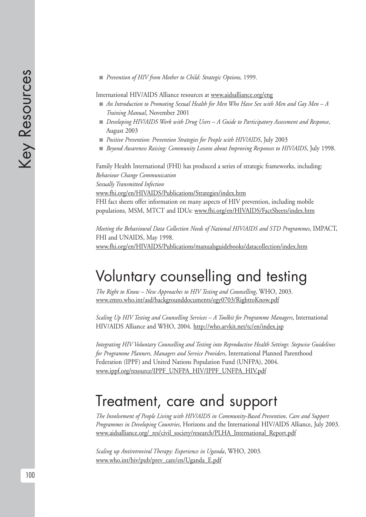■ *Prevention of HIV from Mother to Child: Strategic Options, 1999.* 

International HIV/AIDS Alliance resources at <www.aidsalliance.org/eng>

- *An Introduction to Promoting Sexual Health for Men Who Have Sex with Men and Gay Men A Training Manual*, November 2001
- *Developing HIV/AIDS Work with Drug Users A Guide to Participatory Assessment and Response*, August 2003
- *Positive Prevention: Prevention Strategies for People with HIV/AIDS*, July 2003
- *Beyond Awareness Raising: Community Lessons about Improving Responses to HIV/AIDS*, July 1998.

Family Health International (FHI) has produced a series of strategic frameworks, including: *Behaviour Change Communication Sexually Transmitted Infection*  <www.fhi.org/en/HIVAIDS/Publications/Strategies/index.htm> FHI fact sheets offer information on many aspects of HIV prevention, including mobile populations, MSM, MTCT and IDUs:<www.fhi.org/en/HIVAIDS/FactSheets/index.htm>

*Meeting the Behavioural Data Collection Needs of National HIV/AIDS and STD Programmes*, IMPACT, FHI and UNAIDS, May 1998. <www.fhi.org/en/HIVAIDS/Publications/manualsguidebooks/datacollection/index.htm>

### Voluntary counselling and testing

*The Right to Know – New Approaches to HIV Testing and Counselling*, WHO, 2003. <www.emro.who.int/asd/backgrounddocuments/egy0703/RighttoKnow.pdf>

*Scaling Up HIV Testing and Counselling Services – A Toolkit for Programme Managers*, International HIV/AIDS Alliance and WHO, 2004. <http://who.arvkit.net/tc/en/index.jsp>

*Integrating HIV Voluntary Counselling and Testing into Reproductive Health Settings: Stepwise Guidelines for Programme Planners, Managers and Service Providers*, International Planned Parenthood Federation (IPPF) and United Nations Population Fund (UNFPA), 2004. [www.ippf.org/resource/IPPF\\_UNFPA\\_HIV/IPPF\\_UNFPA\\_HIV.pdf](www.ippf.org/resource/IPPF_UNFPA_HIV/IPPF_UNFPA_HIV.pdf)

### Treatment, care and support

*The Involvement of People Living with HIV/AIDS in Community-Based Prevention, Care and Support Programmes in Developing Countries*, Horizons and the International HIV/AIDS Alliance, July 2003. [www.aidsalliance.org/\\_res/civil\\_society/research/PLHA\\_International\\_Report.pdf](www.aidsalliance.org/_res/civil_society/research/PLHA_International_Report.pdf)

*Scaling up Antiretroviral Therapy: Experience in Uganda*, WHO, 2003. [www.who.int/hiv/pub/prev\\_care/en/Uganda\\_E.pdf](www.who.int/hiv/pub/prev_care/en/Uganda_E.pdf)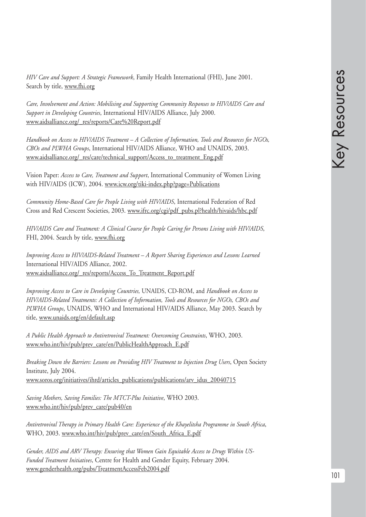*HIV Care and Support: A Strategic Framework*, Family Health International (FHI), June 2001. Search by title, <www.fhi.org>

*Care, Involvement and Action: Mobilising and Supporting Community Responses to HIV/AIDS Care and Support in Developing Countries*, International HIV/AIDS Alliance, July 2000. [www.aidsalliance.org/\\_res/reports/Care%20Report.pdf](www.aidsalliance.org/_res/reports/Care%20Report.pdf)

*Handbook on Access to HIV/AIDS Treatment – A Collection of Information, Tools and Resources for NGOs, CBOs and PLWHA Groups*, International HIV/AIDS Alliance, WHO and UNAIDS, 2003. [www.aidsalliance.org/\\_res/care/technical\\_support/Access\\_to\\_treatment\\_Eng.pdf](www.aidsalliance.org/_res/care/technical_support/Access_to_treatment_Eng.pdf)

Vision Paper: *Access to Care, Treatment and Support*, International Community of Women Living with HIV/AIDS (ICW), 2004.<www.icw.org/tiki-index.php?page=Publications>

*Community Home-Based Care for People Living with HIV/AIDS*, International Federation of Red Cross and Red Crescent Societies, 2003. [www.ifrc.org/cgi/pdf\\_pubs.pl?health/hivaids/hbc.pdf](www.ifrc.org/cgi/pdf_pubs.pl?health/hivaids/hbc.pdf)

*HIV/AIDS Care and Treatment: A Clinical Course for People Caring for Persons Living with HIV/AIDS*, FHI, 2004. Search by title, <www.fhi.org>

*Improving Access to HIV/AIDS-Related Treatment – A Report Sharing Experiences and Lessons Learned* International HIV/AIDS Alliance, 2002. [www.aidsalliance.org/\\_res/reports/Access\\_To\\_Treatment\\_Report.pdf](www.aidsalliance.org/_res/reports/Access_To_Treatment_Report.pdf)

*Improving Access to Care in Developing Countries,* UNAIDS, CD-ROM, and *Handbook on Access to HIV/AIDS-Related Treatments: A Collection of Information, Tools and Resources for NGOs, CBOs and PLWHA Groups*, UNAIDS, WHO and International HIV/AIDS Alliance, May 2003. Search by title, www.unaids.org/en/default.asp HW Core and Support A Senator of the material specific distance of HW10, June 2001.<br>
Senator by the same filtering the material content of the properties Core and HW10125 Core and<br>
Core, European in Deckey Resources Journa

*A Public Health Approach to Antiretroviral Treatment: Overcoming Constraints*, WHO, 2003. [www.who.int/hiv/pub/prev\\_care/en/PublicHealthApproach\\_E.pdf](www.who.int/hiv/pub/prev_care/en/PublicHealthApproach_E.pdf)

*Breaking Down the Barriers: Lessons on Providing HIV Treatment to Injection Drug Users*, Open Society Institute, July 2004. [www.soros.org/initiatives/ihrd/articles\\_publications/publications/arv\\_idus\\_20040715](www.soros.org/initiatives/ihrd/articles_publications/publications/arv_idus_20040715)

*Saving Mothers, Saving Families: The MTCT-Plus Initiative*, WHO 2003. www.who.int/hiv/pub/prev\_care/pub40/en

*Antiretroviral Therapy in Primary Health Care: Experience of the Khayelitsha Programme in South Africa*, WHO, 2003. [www.who.int/hiv/pub/prev\\_care/en/South\\_Africa\\_E.pdf](www.who.int/hiv/pub/prev_care/en/South_Africa_E.pdf)

*Gender, AIDS and ARV Therapy: Ensuring that Women Gain Equitable Access to Drugs Within US-Funded Treatment Initiatives*, Centre for Health and Gender Equity, February 2004.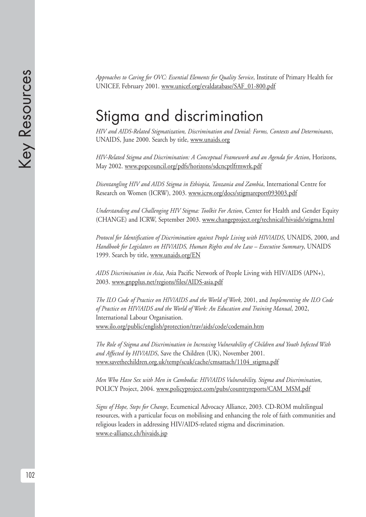*Approaches to Caring for OVC: Essential Elements for Quality Service*, Institute of Primary Health for UNICEF, February 2001. [www.unicef.org/evaldatabase/SAF\\_01-800.pdf](www.unicef.org/evaldatabase/SAF_01-800.pdf)

### Stigma and discrimination

*HIV and AIDS-Related Stigmatization, Discrimination and Denial: Forms, Contexts and Determinants*, UNAIDS, June 2000. Search by title, <www.unaids.org>

*HIV-Related Stigma and Discrimination: A Conceptual Framework and an Agenda for Action*, Horizons, May 2002. <www.popcouncil.org/pdfs/horizons/sdcncptlfrmwrk.pdf>

*Disentangling HIV and AIDS Stigma in Ethiopia, Tanzania and Zambia*, International Centre for Research on Women (ICRW), 2003. <www.icrw.org/docs/stigmareport093003.pdf>

*Understanding and Challenging HIV Stigma: Toolkit For Action*, Center for Health and Gender Equity (CHANGE) and ICRW, September 2003. <www.changeproject.org/technical/hivaids/stigma.html>

*Protocol for Identification of Discrimination against People Living with HIV/AIDS*, UNAIDS, 2000, and *Handbook for Legislators on HIV/AIDS, Human Rights and the Law – Executive Summary*, UNAIDS 1999. Search by title, <www.unaids.org/EN>

*AIDS Discrimination in Asia*, Asia Pacific Network of People Living with HIV/AIDS (APN+), 2003. <www.gnpplus.net/regions/files/AIDS-asia.pdf>

*The ILO Code of Practice on HIV/AIDS and the World of Work,* 2001, and *Implementing the ILO Code of Practice on HIV/AIDS and the World of Work: An Education and Training Manual*, 2002, International Labour Organisation. <www.ilo.org/public/english/protection/trav/aids/code/codemain.htm>

*The Role of Stigma and Discrimination in Increasing Vulnerability of Children and Youth Infected With and Affected by HIV/AIDS*, Save the Children (UK), November 2001. [www.savethechildren.org.uk/temp/scuk/cache/cmsattach/1104\\_stigma.pdf](www.savethechildren.org.uk/temp/scuk/cache/cmsattach/1104_stigma.pdf)

*Men Who Have Sex with Men in Cambodia: HIV/AIDS Vulnerability, Stigma and Discrimination*, POLICY Project, 2004. [www.policyproject.com/pubs/countryreports/CAM\\_MSM.pdf](www.policyproject.com/pubs/countryreports/CAM_MSM.pdf)

*Signs of Hope, Steps for Change*, Ecumenical Advocacy Alliance, 2003. CD-ROM multilingual resources, with a particular focus on mobilising and enhancing the role of faith communities and religious leaders in addressing HIV/AIDS-related stigma and discrimination. <www.e-alliance.ch/hivaids.jsp>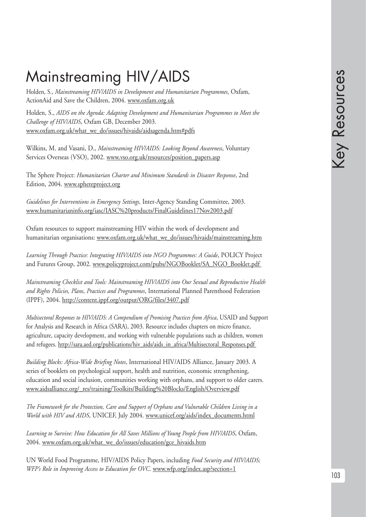# Mainstreaming HIV/AIDS

Holden, S., *Mainstreaming HIV/AIDS in Development and Humanitarian Programmes*, Oxfam, ActionAid and Save the Children, 2004. <www.oxfam.org.uk>

Holden, S., *AIDS on the Agenda: Adapting Development and Humanitarian Programmes to Meet the Challenge of HIV/AIDS*, Oxfam GB, December 2003. [www.oxfam.org.uk/what\\_we\\_do/issues/hivaids/aidsagenda.htm#pdfs](www.oxfam.org.uk/what_we_do/issues/hivaids/aidsagenda.htm#pdfs)

Wilkins, M. and Vasani, D., *Mainstreaming HIV/AIDS: Looking Beyond Awareness*, Voluntary Services Overseas (VSO), 2002. [www.vso.org.uk/resources/position\\_papers.asp](www.vso.org.uk/resources/position_papers.asp)

The Sphere Project: *Humanitarian Charter and Minimum Standards in Disaster Response*, 2nd Edition, 2004.<www.sphereproject.org>

*Guidelines for Interventions in Emergency Settings,* Inter-Agency Standing Committee, 2003. <www.humanitarianinfo.org/iasc/IASC%20products/FinalGuidelines17Nov2003.pdf>

Oxfam resources to support mainstreaming HIV within the work of development and humanitarian organisations: [www.oxfam.org.uk/what\\_we\\_do/issues/hivaids/mainstreaming.htm](www.oxfam.org.uk/what_we_do/issues/hivaids/mainstreaming.htm)

*Learning Through Practice: Integrating HIV/AIDS into NGO Programmes: A Guide*, POLICY Project and Futures Group, 2002. [www.policyproject.com/pubs/NGOBooklet/SA\\_NGO\\_Booklet.pdf](www.policyproject.com/pubs/NGOBooklet/SA_NGO_Booklet.pdf)

*Mainstreaming Checklist and Tools: Mainstreaming HIV/AIDS into Our Sexual and Reproductive Health and Rights Policies, Plans, Practices and Programmes*, International Planned Parenthood Federation (IPPF), 2004. <http://content.ippf.org/output/ORG/files/3407.pdf>

*Multisectoral Responses to HIV/AIDS: A Compendium of Promising Practices from Africa*, USAID and Support for Analysis and Research in Africa (SARA), 2003. Resource includes chapters on micro finance, agriculture, capacity development, and working with vulnerable populations such as children, women and refugees. [http://sara.aed.org/publications/hiv\\_aids/aids\\_in\\_africa/Multisectoral\\_Responses.pdf](http://sara.aed.org/publications/hiv_aids/aids_in_africa/Multisectoral_Responses.pdf) **McCinnstree Commission** FIN/2005<br>
Hollaho, 8. Admonstration Find Developer *Developer Schwamelines Programme* Collain, 1998<br>
Hollaho, 5. Advise to Collabora, 2004. <u>Superant and the measurements</u><br>
Hollaho, 5. Advise to Ag

*Building Blocks: Africa-Wide Briefing Notes*, International HIV/AIDS Alliance, January 2003. A series of booklets on psychological support, health and nutrition, economic strengthening, education and social inclusion, communities working with orphans, and support to older carers. [www.aidsalliance.org/\\_res/training/Toolkits/Building%20Blocks/English/Overview.pdf](www.aidsalliance.org/_res/training/Toolkits/Building%20Blocks/English/Overview.pdf)

*The Framework for the Protection, Care and Support of Orphans and Vulnerable Children Living in a World with HIV and AIDS*, UNICEF, July 2004. [www.unicef.org/aids/index\\_documents.html](www.unicef.org/aids/index_documents.html)

*Learning to Survive: How Education for All Saves Millions of Young People from HIV/AIDS*, Oxfam, 2004. [www.oxfam.org.uk/what\\_we\\_do/issues/education/gce\\_hivaids.htm](www.oxfam.org.uk/what_we_do/issues/education/gce_hivaids.htm)

UN World Food Programme, HIV/AIDS Policy Papers, including *Food Security and HIV/AIDS;*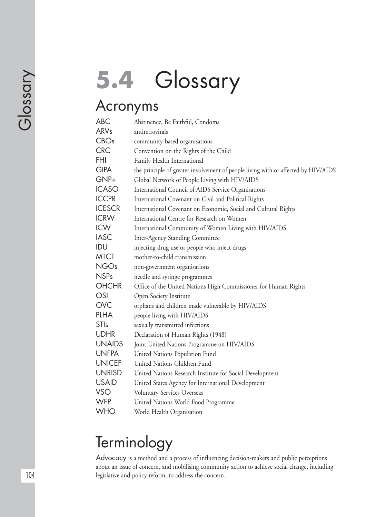# **5.4** Glossary

### Acronyms

| Glossary | Acronyms      | Glossary                                                                                                                                                                                   |
|----------|---------------|--------------------------------------------------------------------------------------------------------------------------------------------------------------------------------------------|
|          | <b>ABC</b>    | Abstinence, Be Faithful, Condoms                                                                                                                                                           |
|          | <b>ARVs</b>   | antiretrovirals                                                                                                                                                                            |
|          | CBOs          | community-based organisations                                                                                                                                                              |
|          | <b>CRC</b>    | Convention on the Rights of the Child                                                                                                                                                      |
|          | <b>FHI</b>    | Family Health International                                                                                                                                                                |
|          | <b>GIPA</b>   | the principle of greater involvement of people living with or affected by HIV/AIDS                                                                                                         |
|          | GNP+          | Global Network of People Living with HIV/AIDS                                                                                                                                              |
|          | <b>ICASO</b>  | International Council of AIDS Service Organisations                                                                                                                                        |
|          | <b>ICCPR</b>  | International Covenant on Civil and Political Rights                                                                                                                                       |
|          | <b>ICESCR</b> | International Covenant on Economic, Social and Cultural Rights                                                                                                                             |
|          | <b>ICRW</b>   | International Centre for Research on Women                                                                                                                                                 |
|          | <b>ICW</b>    | International Community of Women Living with HIV/AIDS                                                                                                                                      |
|          | <b>IASC</b>   | Inter-Agency Standing Committee                                                                                                                                                            |
|          | IDU           | injecting drug use or people who inject drugs                                                                                                                                              |
|          | <b>MTCT</b>   | mother-to-child transmission                                                                                                                                                               |
|          | <b>NGOs</b>   | non-government organisations                                                                                                                                                               |
|          | <b>NSPs</b>   | needle and syringe programmes                                                                                                                                                              |
|          | <b>OHCHR</b>  | Office of the United Nations High Commissioner for Human Rights                                                                                                                            |
|          | <b>OSI</b>    | Open Society Institute                                                                                                                                                                     |
|          | <b>OVC</b>    | orphans and children made vulnerable by HIV/AIDS                                                                                                                                           |
|          | <b>PLHA</b>   | people living with HIV/AIDS                                                                                                                                                                |
|          | <b>STIs</b>   | sexually transmitted infections                                                                                                                                                            |
|          | <b>UDHR</b>   | Declaration of Human Rights (1948)                                                                                                                                                         |
|          | <b>UNAIDS</b> | Joint United Nations Programme on HIV/AIDS                                                                                                                                                 |
|          | <b>UNFPA</b>  | United Nations Population Fund                                                                                                                                                             |
|          | <b>UNICEF</b> | United Nations Children Fund                                                                                                                                                               |
|          | <b>UNRISD</b> | United Nations Research Institute for Social Development                                                                                                                                   |
|          | <b>USAID</b>  | United States Agency for International Development                                                                                                                                         |
|          | <b>VSO</b>    | <b>Voluntary Services Overseas</b>                                                                                                                                                         |
|          | <b>WFP</b>    | United Nations World Food Programme                                                                                                                                                        |
|          | <b>WHO</b>    | World Health Organisation                                                                                                                                                                  |
|          |               | Terminology                                                                                                                                                                                |
| 104      |               | Advocacy is a method and a process of influencing decision-makers and public perceptions<br>about an issue of concern, and mobilising community action to achieve social change, including |

# **Terminology**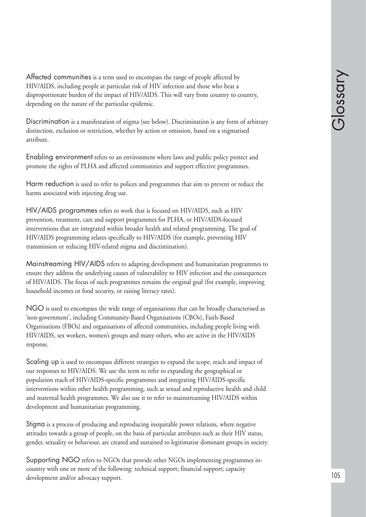Affected communities is a term used to encompass the range of people affected by HIV/AIDS, including people at particular risk of HIV infection and those who bear a disproportionate burden of the impact of HIV/AIDS. This will vary from country to country, depending on the nature of the particular epidemic.

Discrimination is a manifestation of stigma (see below). Discrimination is any form of arbitrary distinction, exclusion or restriction, whether by action or omission, based on a stigmatised attribute.

Enabling environment refers to an environment where laws and public policy protect and promote the rights of PLHA and affected communities and support effective programmes.

Harm reduction is used to refer to polices and programmes that aim to prevent or reduce the harms associated with injecting drug use.

HIV/AIDS programmes refers to work that is focused on HIV/AIDS, such as HIV prevention, treatment, care and support programmes for PLHA, or HIV/AIDS-focused interventions that are integrated within broader health and related programming. The goal of HIV/AIDS programming relates specifically to HIV/AIDS (for example, preventing HIV transmission or reducing HIV-related stigma and discrimination).

Mainstreaming HIV/AIDS refers to adapting development and humanitarian programmes to ensure they address the underlying causes of vulnerability to HIV infection and the consequences of HIV/AIDS. The focus of such programmes remains the original goal (for example, improving household incomes or food security, or raising literacy rates).

NGO is used to encompass the wide range of organisations that can be broadly characterised as 'non-government', including Community-Based Organisations (CBOs), Faith-Based Organisations (FBOs) and organisations of affected communities, including people living with HIV/AIDS, sex workers, women's groups and many others, who are active in the HIV/AIDS response.

Scaling up is used to encompass different strategies to expand the scope, reach and impact of our responses to HIV/AIDS. We use the term to refer to expanding the geographical or population reach of HIV/AIDS-specific programmes and integrating HIV/AIDS-specific interventions within other health programming, such as sexual and reproductive health and child and maternal health programmes. We also use it to refer to mainstreaming HIV/AIDS within development and humanitarian programming. Affected communities is a turn used to consume the traps of populational by<br>equivalent and/or advocacy relations are also increase to the state of the<br>subsequentiants, because the anisotropic support of the state of the<br>s

Stigma is a process of producing and reproducing inequitable power relations, where negative attitudes towards a group of people, on the basis of particular attributes such as their HIV status, gender, sexuality or behaviour, are created and sustained to legitimatise dominant groups in society.

Supporting NGO refers to NGOs that provide other NGOs implementing programmes incountry with one or more of the following: technical support; financial support; capacity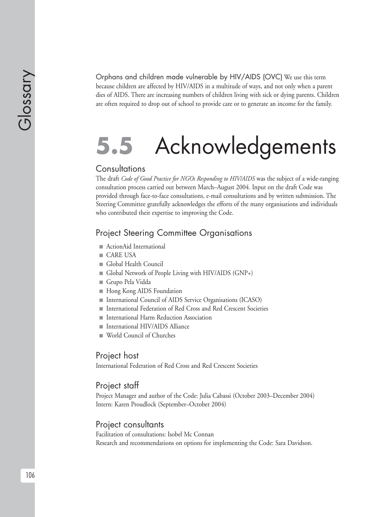Glossary Clossary

Orphans and children made vulnerable by HIV/AIDS (OVC) We use this term because children are affected by HIV/AIDS in a multitude of ways, and not only when a parent dies of AIDS. There are increasing numbers of children living with sick or dying parents. Children are often required to drop out of school to provide care or to generate an income for the family.

# **5.5** Acknowledgements

#### Consultations

The draft *Code of Good Practice for NGOs Responding to HIV/AIDS* was the subject of a wide-ranging consultation process carried out between March–August 2004. Input on the draft Code was provided through face-to-face consultations, e-mail consultations and by written submission. The Steering Committee gratefully acknowledges the efforts of the many organisations and individuals who contributed their expertise to improving the Code.

#### Project Steering Committee Organisations

- ActionAid International
- CARE USA
- Global Health Council
- Global Network of People Living with HIV/AIDS (GNP+)
- Grupo Pela Vidda
- Hong Kong AIDS Foundation
- International Council of AIDS Service Organisations (ICASO)
- International Federation of Red Cross and Red Crescent Societies
- International Harm Reduction Association
- International HIV/AIDS Alliance
- World Council of Churches

#### Project host

International Federation of Red Cross and Red Crescent Societies

#### Project staff

Project Manager and author of the Code: Julia Cabassi (October 2003–December 2004) Intern: Karen Proudlock (September–October 2004)

#### Project consultants

Facilitation of consultations: Isobel Mc Connan Research and recommendations on options for implementing the Code: Sara Davidson.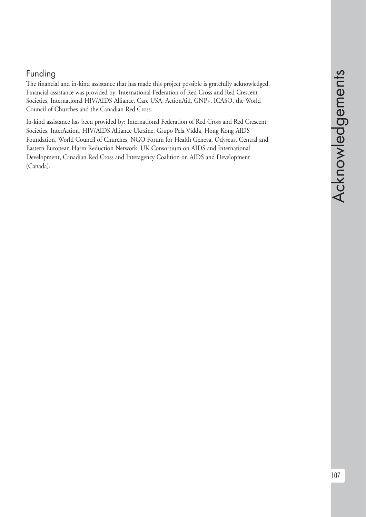#### Funding

The financial and in-kind assistance that has made this project possible is gratefully acknowledged. Financial assistance was provided by: International Federation of Red Cross and Red Crescent Societies, International HIV/AIDS Alliance, Care USA, ActionAid, GNP+, ICASO, the World Council of Churches and the Canadian Red Cross.

In-kind assistance has been provided by: International Federation of Red Cross and Red Crescent Societies, InterAction, HIV/AIDS Alliance Ukraine, Grupo Pela Vidda, Hong Kong AIDS Foundation, World Council of Churches, NGO Forum for Health Geneva, Odyseus, Central and Eastern European Harm Reduction Network, UK Consortium on AIDS and International Development, Canadian Red Cross and Interagency Coalition on AIDS and Development (Canada).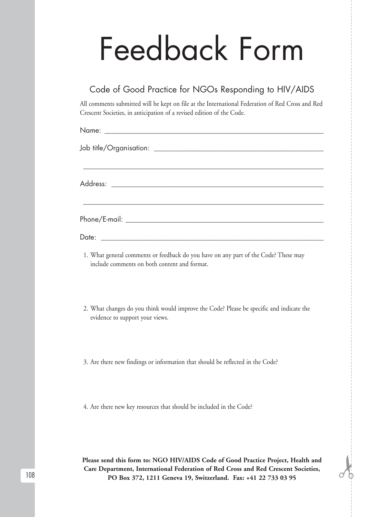## Feedback Form

## Code of Good Practice for NGOs Responding to HIV/AIDS

All comments submitted will be kept on file at the International Federation of Red Cross and Red Crescent Societies, in anticipation of a revised edition of the Code.

1. What general comments or feedback do you have on any part of the Code? These may include comments on both content and format.

2. What changes do you think would improve the Code? Please be specific and indicate the evidence to support your views.

3. Are there new findings or information that should be reflected in the Code?

4. Are there new key resources that should be included in the Code?

**Please send this form to: NGO HIV/AIDS Code of Good Practice Project, Health and Care Department, International Federation of Red Cross and Red Crescent Societies, PO Box 372, 1211 Geneva 19, Switzerland. Fax: +41 22 733 03 95**